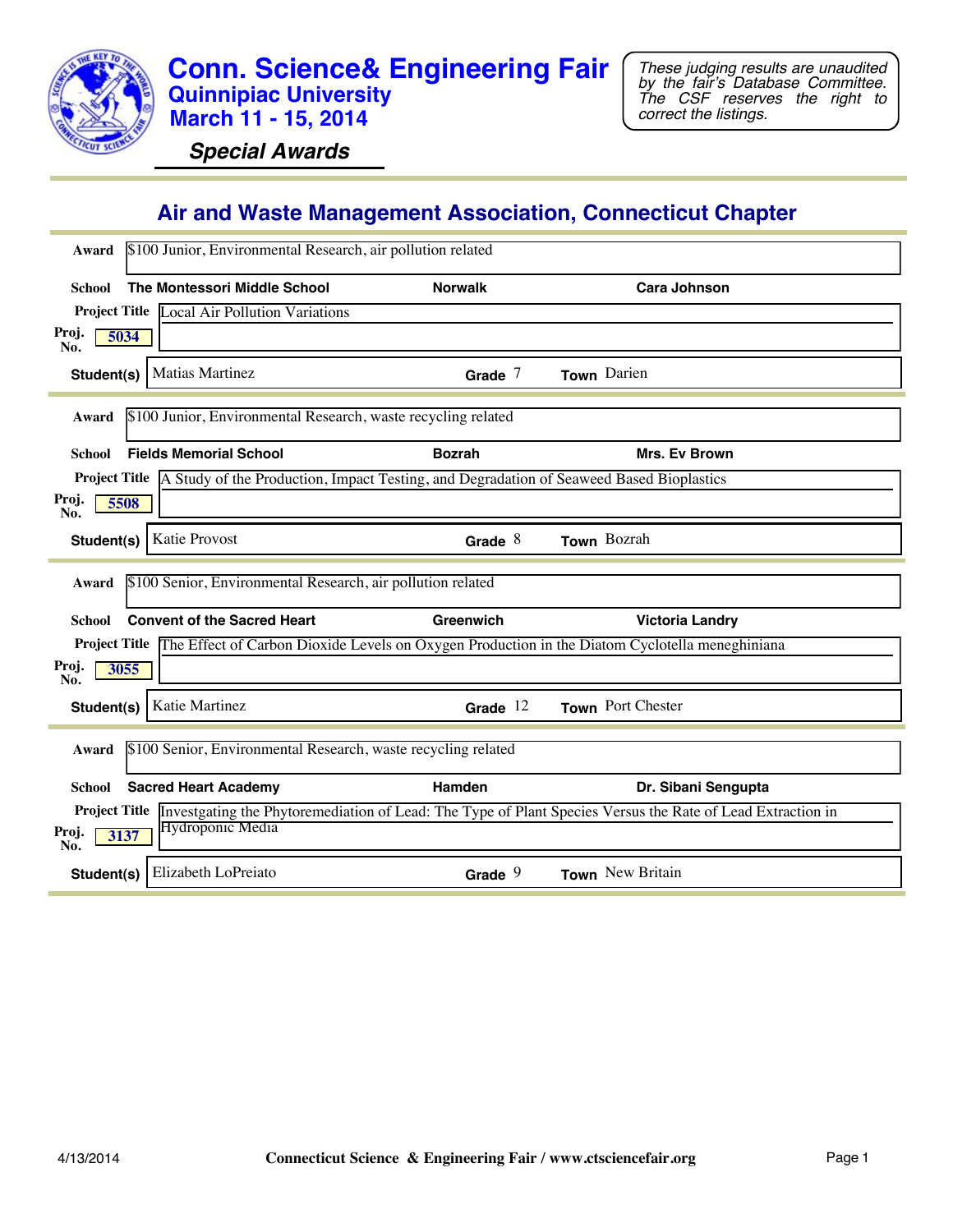

**Special Awards**

### **Air and Waste Management Association, Connecticut Chapter**

| \$100 Junior, Environmental Research, air pollution related<br>Award                                                                 |                |                        |
|--------------------------------------------------------------------------------------------------------------------------------------|----------------|------------------------|
| <b>The Montessori Middle School</b><br>School                                                                                        | <b>Norwalk</b> | <b>Cara Johnson</b>    |
| <b>Project Title Local Air Pollution Variations</b>                                                                                  |                |                        |
| Proj.<br>5034<br>No.                                                                                                                 |                |                        |
| <b>Matias Martinez</b><br>Student(s)                                                                                                 | Grade $7$      | Town Darien            |
| \$100 Junior, Environmental Research, waste recycling related<br>Award                                                               |                |                        |
| <b>Fields Memorial School</b><br>School                                                                                              | <b>Bozrah</b>  | Mrs. Ev Brown          |
| <b>Project Title</b> A Study of the Production, Impact Testing, and Degradation of Seaweed Based Bioplastics                         |                |                        |
| Proj.<br>5508<br>No.                                                                                                                 |                |                        |
| Katie Provost<br>Student(s)                                                                                                          | Grade $8$      | Town Bozrah            |
|                                                                                                                                      |                |                        |
| \$100 Senior, Environmental Research, air pollution related<br>Award                                                                 |                |                        |
| <b>Convent of the Sacred Heart</b><br>School                                                                                         | Greenwich      |                        |
|                                                                                                                                      |                | <b>Victoria Landry</b> |
| Project Title The Effect of Carbon Dioxide Levels on Oxygen Production in the Diatom Cyclotella meneghiniana<br>Proj.<br>3055<br>No. |                |                        |
| Katie Martinez<br>Student(s)                                                                                                         | Grade $12$     | Town Port Chester      |
| \$100 Senior, Environmental Research, waste recycling related<br>Award                                                               |                |                        |
| <b>Sacred Heart Academy</b><br>School                                                                                                | Hamden         | Dr. Sibani Sengupta    |
| Project Title Investgating the Phytoremediation of Lead: The Type of Plant Species Versus the Rate of Lead Extraction in             |                |                        |
| Hydroponic Media<br>Proj.<br>3137<br>No.                                                                                             |                |                        |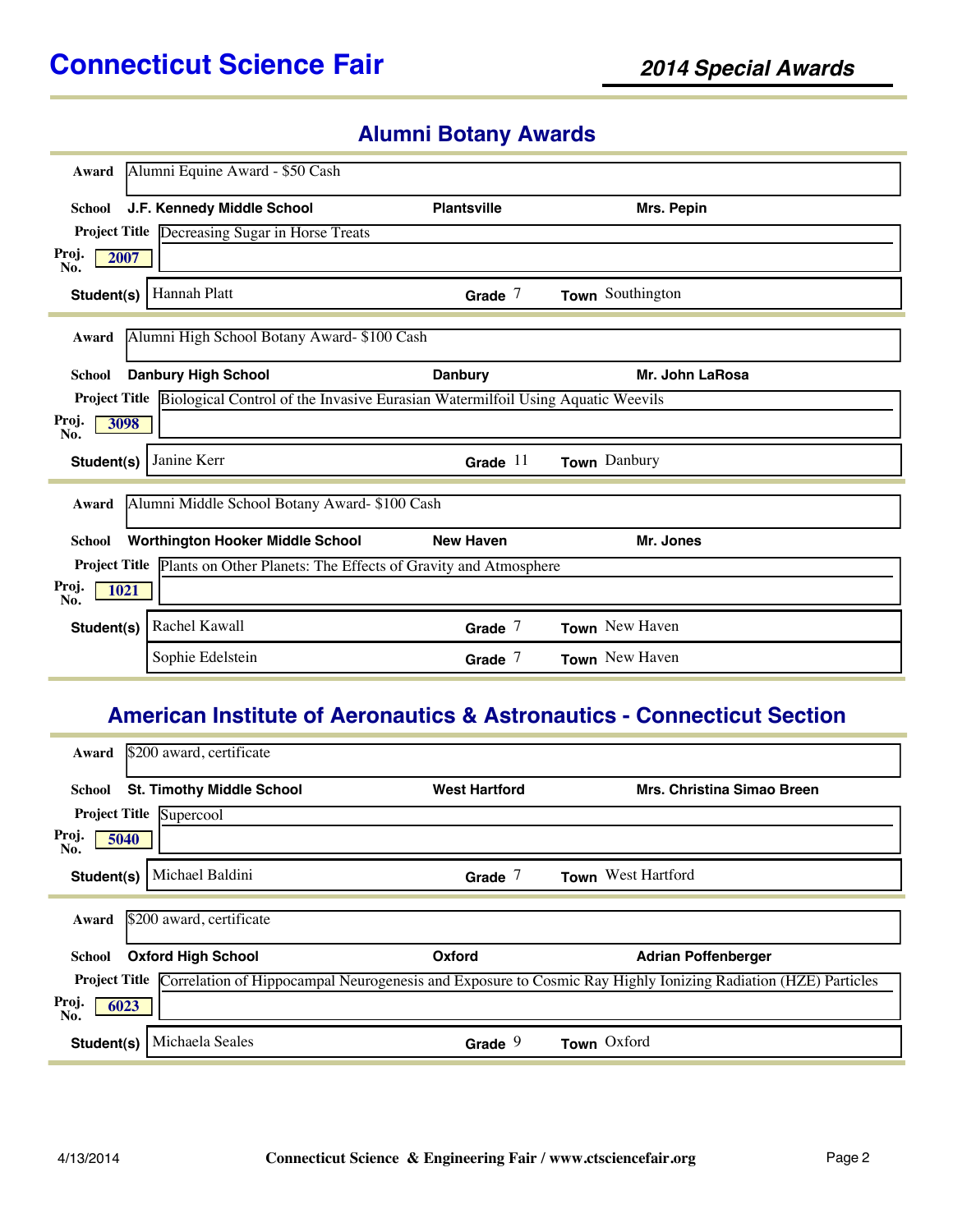# **Alumni Botany Awards**

| Award                | Alumni Equine Award - \$50 Cash                                                                     |                    |                  |
|----------------------|-----------------------------------------------------------------------------------------------------|--------------------|------------------|
| <b>School</b>        | J.F. Kennedy Middle School                                                                          | <b>Plantsville</b> | Mrs. Pepin       |
|                      | <b>Project Title</b> Decreasing Sugar in Horse Treats                                               |                    |                  |
| Proj.<br>2007<br>No. |                                                                                                     |                    |                  |
| Student(s)           | <b>Hannah Platt</b>                                                                                 | Grade $7$          | Town Southington |
| Award                | Alumni High School Botany Award- \$100 Cash                                                         |                    |                  |
| <b>School</b>        | <b>Danbury High School</b>                                                                          | <b>Danbury</b>     | Mr. John LaRosa  |
|                      | <b>Project Title Biological Control of the Invasive Eurasian Watermilfoil Using Aquatic Weevils</b> |                    |                  |
| Proj.<br>3098<br>No. |                                                                                                     |                    |                  |
| Student(s)           | Janine Kerr                                                                                         | Grade $11$         | Town Danbury     |
| Award                | Alumni Middle School Botany Award- \$100 Cash                                                       |                    |                  |
| School               | <b>Worthington Hooker Middle School</b>                                                             | <b>New Haven</b>   | Mr. Jones        |
|                      | Project Title Plants on Other Planets: The Effects of Gravity and Atmosphere                        |                    |                  |
| Proj.<br>1021<br>No. |                                                                                                     |                    |                  |
| Student(s)           | Rachel Kawall                                                                                       | Grade $7$          | Town New Haven   |
|                      | Sophie Edelstein                                                                                    | Grade $7$          | Town New Haven   |

### **American Institute of Aeronautics & Astronautics - Connecticut Section**

| Award                | \$200 award, certificate         |                      |                                                                                                                                   |
|----------------------|----------------------------------|----------------------|-----------------------------------------------------------------------------------------------------------------------------------|
| School               | <b>St. Timothy Middle School</b> | <b>West Hartford</b> | Mrs. Christina Simao Breen                                                                                                        |
|                      | Project Title Supercool          |                      |                                                                                                                                   |
| Proj.<br>5040<br>No. |                                  |                      |                                                                                                                                   |
| Student(s)           | Michael Baldini                  | Grade $7$            | Town West Hartford                                                                                                                |
| Award                | \$200 award, certificate         |                      |                                                                                                                                   |
| School               | <b>Oxford High School</b>        | Oxford               | <b>Adrian Poffenberger</b>                                                                                                        |
|                      |                                  |                      | <b>Project Title</b> Correlation of Hippocampal Neurogenesis and Exposure to Cosmic Ray Highly Ionizing Radiation (HZE) Particles |
| Proj.<br>6023<br>No. |                                  |                      |                                                                                                                                   |
| Student(s)           | Michaela Seales                  | Grade                | Town Oxford                                                                                                                       |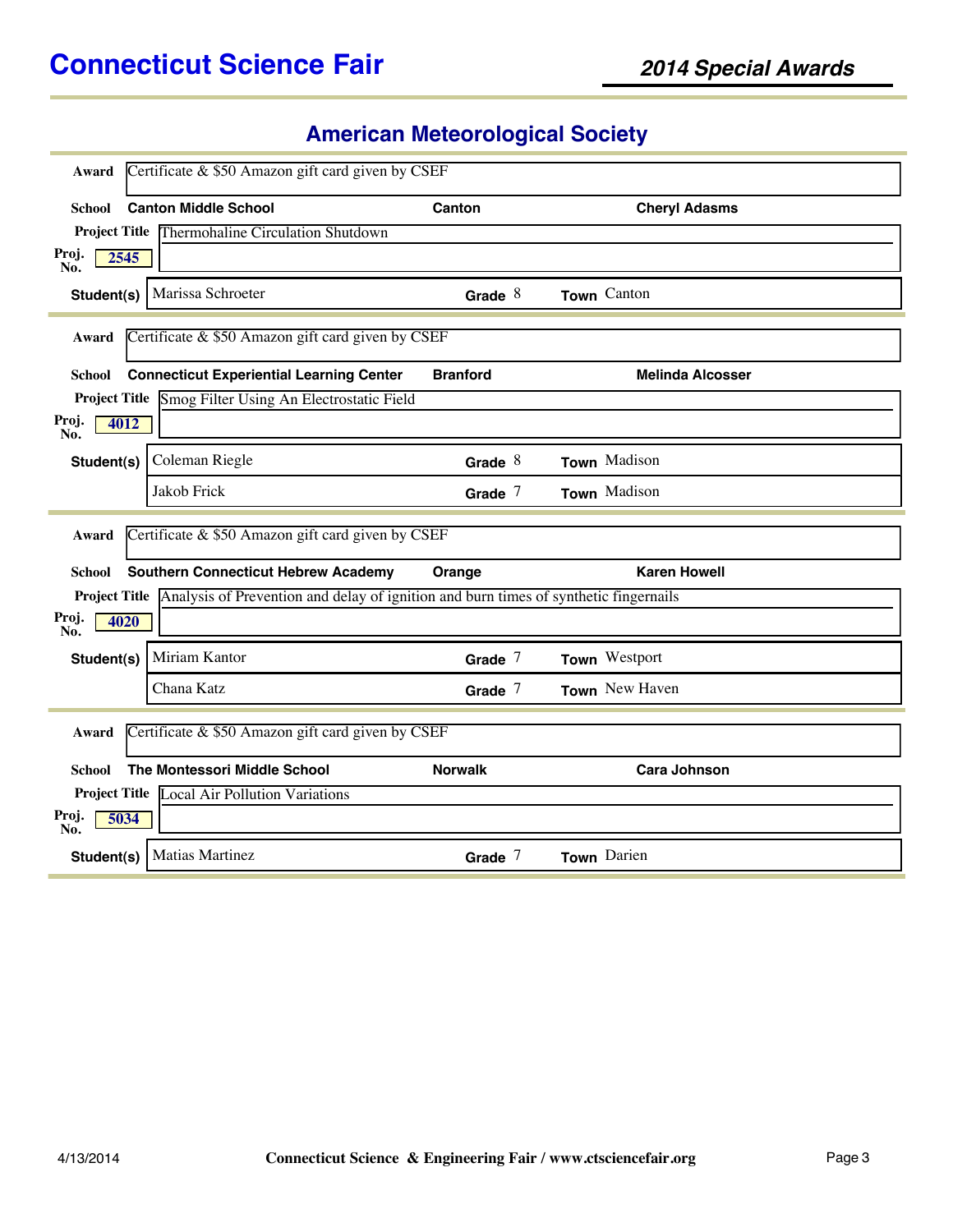# **American Meteorological Society**

| Award                | Certificate & \$50 Amazon gift card given by CSEF                                                         |                 |                         |
|----------------------|-----------------------------------------------------------------------------------------------------------|-----------------|-------------------------|
| School               | <b>Canton Middle School</b>                                                                               | Canton          | <b>Cheryl Adasms</b>    |
|                      | <b>Project Title Thermohaline Circulation Shutdown</b>                                                    |                 |                         |
| Proj.<br>2545<br>No. |                                                                                                           |                 |                         |
| Student(s) $\vert$   | Marissa Schroeter                                                                                         | Grade $8$       | Town Canton             |
| Award                | Certificate & \$50 Amazon gift card given by CSEF                                                         |                 |                         |
| School               | <b>Connecticut Experiential Learning Center</b>                                                           | <b>Branford</b> | <b>Melinda Alcosser</b> |
|                      | Project Title Smog Filter Using An Electrostatic Field                                                    |                 |                         |
| Proj.<br>4012<br>No. |                                                                                                           |                 |                         |
| Student(s)           | Coleman Riegle                                                                                            | Grade $8$       | Town Madison            |
|                      | Jakob Frick                                                                                               | Grade $7$       | Town Madison            |
|                      |                                                                                                           |                 |                         |
|                      |                                                                                                           |                 |                         |
| Award                | Certificate & \$50 Amazon gift card given by CSEF                                                         |                 |                         |
| School               | <b>Southern Connecticut Hebrew Academy</b>                                                                | Orange          | <b>Karen Howell</b>     |
|                      | <b>Project Title</b> Analysis of Prevention and delay of ignition and burn times of synthetic fingernails |                 |                         |
| Proj.<br>4020<br>No. |                                                                                                           |                 |                         |
| Student(s)           | Miriam Kantor                                                                                             | Grade $7$       | Town Westport           |
|                      | Chana Katz                                                                                                | Grade $7$       | Town New Haven          |
| Award                | Certificate & \$50 Amazon gift card given by CSEF                                                         |                 |                         |
|                      |                                                                                                           |                 |                         |
| School               | The Montessori Middle School                                                                              | <b>Norwalk</b>  | <b>Cara Johnson</b>     |
|                      | Project Title Local Air Pollution Variations                                                              |                 |                         |
| Proj.<br>5034<br>No. |                                                                                                           |                 |                         |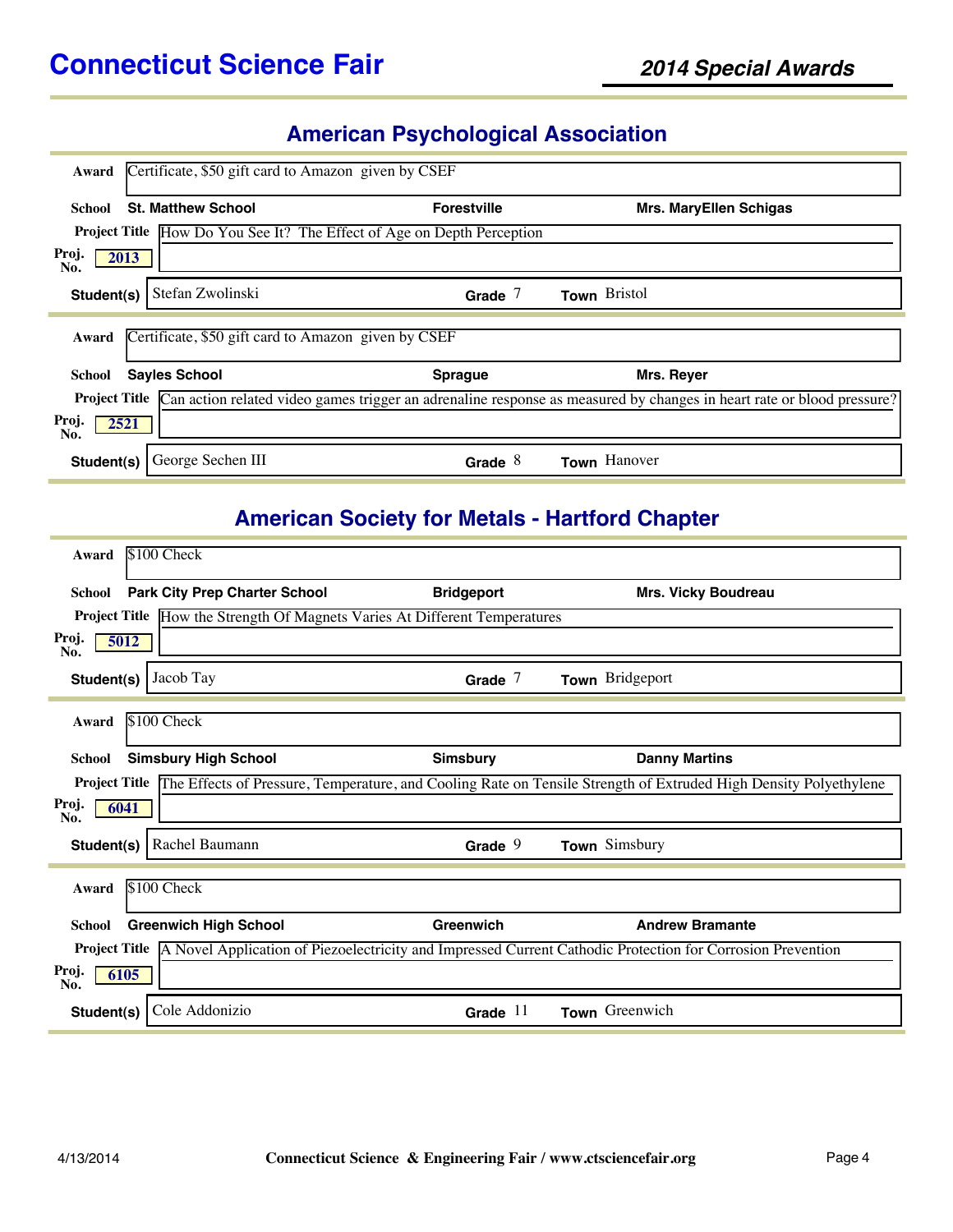# **American Psychological Association**

| Award                | Certificate, \$50 gift card to Amazon given by CSEF |                                                                               |                                                                                                                                            |
|----------------------|-----------------------------------------------------|-------------------------------------------------------------------------------|--------------------------------------------------------------------------------------------------------------------------------------------|
| School               | <b>St. Matthew School</b>                           | <b>Forestville</b>                                                            | <b>Mrs. MaryEllen Schigas</b>                                                                                                              |
|                      |                                                     | <b>Project Title</b> How Do You See It? The Effect of Age on Depth Perception |                                                                                                                                            |
| Proj.<br>2013<br>No. |                                                     |                                                                               |                                                                                                                                            |
| Student(s)           | Stefan Zwolinski                                    | Grade $7$                                                                     | Town Bristol                                                                                                                               |
| Award                | Certificate, \$50 gift card to Amazon given by CSEF |                                                                               |                                                                                                                                            |
| School               | <b>Sayles School</b>                                | <b>Sprague</b>                                                                | Mrs. Reyer                                                                                                                                 |
|                      |                                                     |                                                                               | <b>Project Title</b> Can action related video games trigger an adrenaline response as measured by changes in heart rate or blood pressure? |
| Proj.<br>2521<br>No. |                                                     |                                                                               |                                                                                                                                            |
| Student(s)           | George Sechen III                                   | Grade $8$                                                                     | Town Hanover                                                                                                                               |

# **American Society for Metals - Hartford Chapter**

| Award                | \$100 Check                                                                       |                   |                                                                                                                                       |
|----------------------|-----------------------------------------------------------------------------------|-------------------|---------------------------------------------------------------------------------------------------------------------------------------|
| <b>School</b>        | <b>Park City Prep Charter School</b>                                              | <b>Bridgeport</b> | <b>Mrs. Vicky Boudreau</b>                                                                                                            |
|                      | <b>Project Title</b> How the Strength Of Magnets Varies At Different Temperatures |                   |                                                                                                                                       |
| Proj.<br>5012<br>No. |                                                                                   |                   |                                                                                                                                       |
| Student(s)           | Jacob Tay                                                                         | Grade $7$         | Town Bridgeport                                                                                                                       |
| Award                | \$100 Check                                                                       |                   |                                                                                                                                       |
| <b>School</b>        | <b>Simsbury High School</b>                                                       | <b>Simsbury</b>   | <b>Danny Martins</b>                                                                                                                  |
|                      |                                                                                   |                   | <b>Project Title</b> The Effects of Pressure, Temperature, and Cooling Rate on Tensile Strength of Extruded High Density Polyethylene |
| Proj.<br>6041<br>No. |                                                                                   |                   |                                                                                                                                       |
| Student(s)           | Rachel Baumann                                                                    | Grade $9$         | Town Simsbury                                                                                                                         |
| Award                | \$100 Check                                                                       |                   |                                                                                                                                       |
|                      |                                                                                   |                   |                                                                                                                                       |
| <b>School</b>        | <b>Greenwich High School</b>                                                      | Greenwich         | <b>Andrew Bramante</b>                                                                                                                |
| <b>Project Title</b> |                                                                                   |                   | A Novel Application of Piezoelectricity and Impressed Current Cathodic Protection for Corrosion Prevention                            |
| Proj.<br>6105<br>No. |                                                                                   |                   |                                                                                                                                       |
| Student(s)           | Cole Addonizio                                                                    | Grade $11$        | Town Greenwich                                                                                                                        |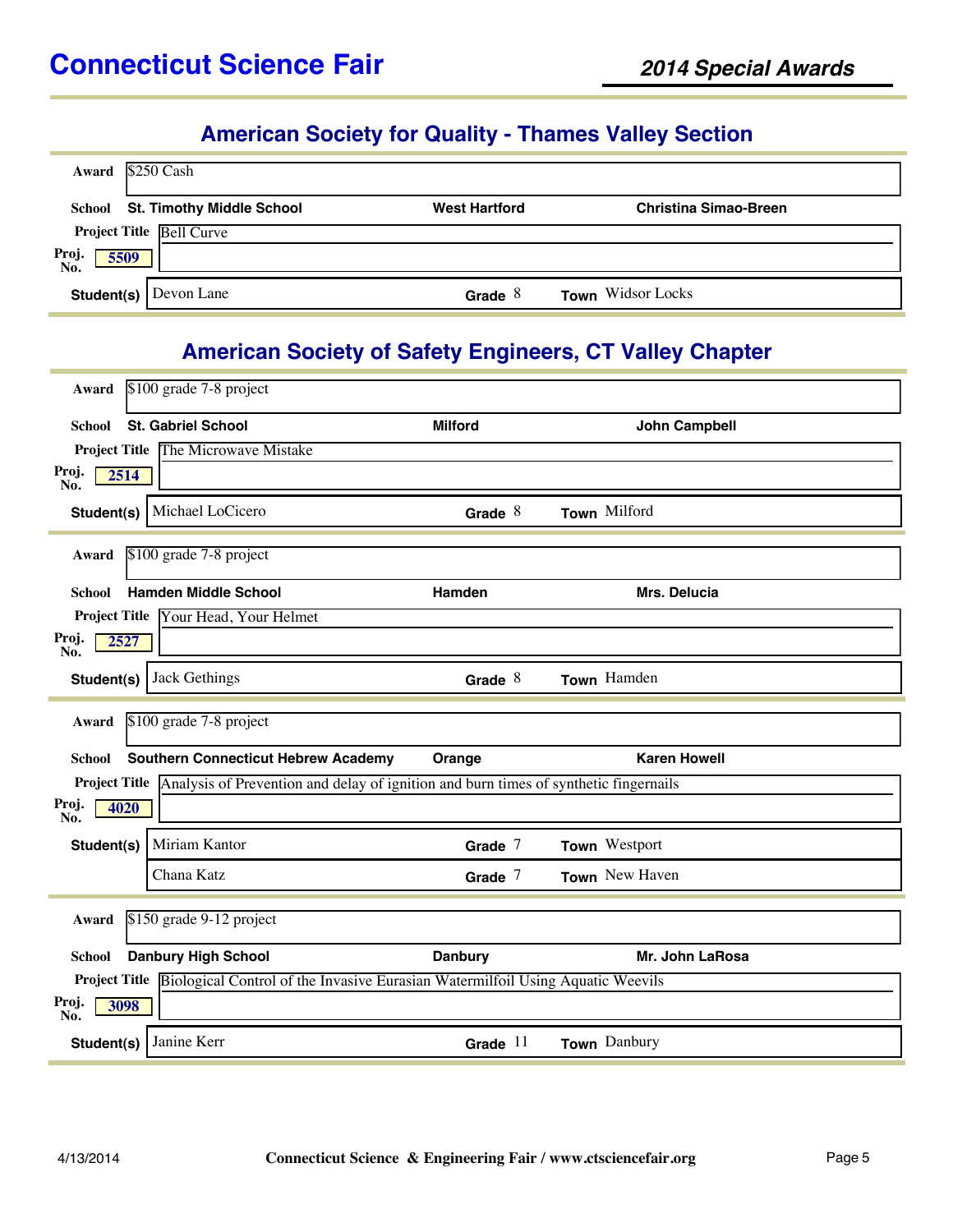#### **American Society for Quality - Thames Valley Section**

| $$250$ Cash<br>Award                 |                      |                              |
|--------------------------------------|----------------------|------------------------------|
| School St. Timothy Middle School     | <b>West Hartford</b> | <b>Christina Simao-Breen</b> |
| <b>Project Title Bell Curve</b>      |                      |                              |
| Proj.<br>No.<br>5509                 |                      |                              |
| <b>Student(s)</b> $\vert$ Devon Lane | Grade $8$            | <b>Town</b> Widsor Locks     |

### **American Society of Safety Engineers, CT Valley Chapter**

| Award                | \$100 grade 7-8 project                                                              |                |                      |
|----------------------|--------------------------------------------------------------------------------------|----------------|----------------------|
| School               | <b>St. Gabriel School</b>                                                            | <b>Milford</b> | <b>John Campbell</b> |
| <b>Project Title</b> | The Microwave Mistake                                                                |                |                      |
| Proj.<br>No.<br>2514 |                                                                                      |                |                      |
| Student(s)           | Michael LoCicero                                                                     | Grade $8$      | Town Milford         |
| Award                | \$100 grade 7-8 project                                                              |                |                      |
| School               | <b>Hamden Middle School</b>                                                          | Hamden         | Mrs. Delucia         |
| <b>Project Title</b> | Your Head, Your Helmet                                                               |                |                      |
| Proj.<br>2527<br>No. |                                                                                      |                |                      |
| Student(s)           | Jack Gethings                                                                        | Grade $8$      | Town Hamden          |
| Award                | \$100 grade 7-8 project                                                              |                |                      |
|                      |                                                                                      |                |                      |
| <b>School</b>        | <b>Southern Connecticut Hebrew Academy</b>                                           | Orange         | <b>Karen Howell</b>  |
| <b>Project Title</b> | Analysis of Prevention and delay of ignition and burn times of synthetic fingernails |                |                      |
| Proj.<br>4020<br>No. |                                                                                      |                |                      |
| Student(s)           | Miriam Kantor                                                                        | Grade $7$      | Town Westport        |
|                      | Chana Katz                                                                           | Grade $7$      | Town New Haven       |
| Award                | \$150 grade 9-12 project                                                             |                |                      |
| <b>School</b>        | <b>Danbury High School</b>                                                           | <b>Danbury</b> | Mr. John LaRosa      |
| <b>Project Title</b> |                                                                                      |                |                      |
|                      | Biological Control of the Invasive Eurasian Watermilfoil Using Aquatic Weevils       |                |                      |
| Proj.<br>3098<br>No. |                                                                                      |                |                      |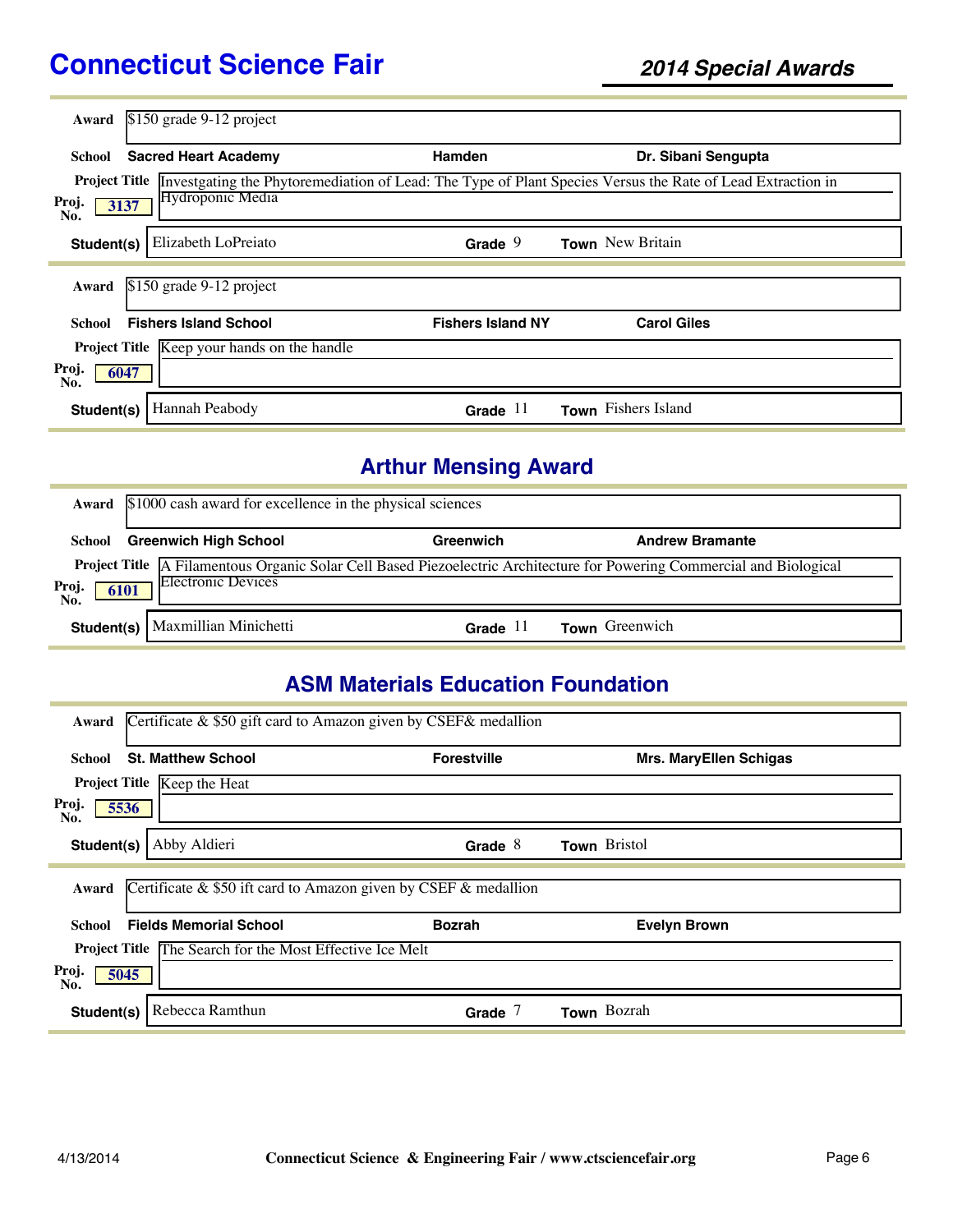| Award                | \$150 grade 9-12 project                           |                          |                                                                                                            |
|----------------------|----------------------------------------------------|--------------------------|------------------------------------------------------------------------------------------------------------|
|                      |                                                    |                          |                                                                                                            |
| School               | <b>Sacred Heart Academy</b>                        | Hamden                   | Dr. Sibani Sengupta                                                                                        |
| <b>Project Title</b> |                                                    |                          | Investgating the Phytoremediation of Lead: The Type of Plant Species Versus the Rate of Lead Extraction in |
| Proj.<br>No.         | Hydroponic Media<br>3137                           |                          |                                                                                                            |
| Student(s)           | Elizabeth LoPreiato                                | Grade $9$                | Town New Britain                                                                                           |
| Award                | $$150$ grade 9-12 project                          |                          |                                                                                                            |
| School               | <b>Fishers Island School</b>                       | <b>Fishers Island NY</b> | <b>Carol Giles</b>                                                                                         |
|                      | <b>Project Title</b> Keep your hands on the handle |                          |                                                                                                            |
| Proj.<br>6047<br>No. |                                                    |                          |                                                                                                            |
| Student(s)           | Hannah Peabody                                     | Grade $11$               | <b>Town</b> Fishers Island                                                                                 |

# **Arthur Mensing Award**

|                      | Award \$1000 cash award for excellence in the physical sciences |            |                                                                                                                               |  |
|----------------------|-----------------------------------------------------------------|------------|-------------------------------------------------------------------------------------------------------------------------------|--|
| School               | <b>Greenwich High School</b>                                    | Greenwich  | <b>Andrew Bramante</b>                                                                                                        |  |
| Proj.<br>No.<br>6101 | <b>Electronic Devices</b>                                       |            | <b>Project Title</b> A Filamentous Organic Solar Cell Based Piezoelectric Architecture for Powering Commercial and Biological |  |
|                      | Student(s)   Maxmillian Minichetti                              | Grade $11$ | Town Greenwich                                                                                                                |  |

### **ASM Materials Education Foundation**

| Certificate $\&$ \$50 gift card to Amazon given by CSEF $\&$ medallion<br>Award |                    |                               |
|---------------------------------------------------------------------------------|--------------------|-------------------------------|
| <b>St. Matthew School</b><br>School                                             | <b>Forestville</b> | <b>Mrs. MaryEllen Schigas</b> |
| Project Title Keep the Heat                                                     |                    |                               |
| Proj.<br>5536<br>No.                                                            |                    |                               |
| Abby Aldieri<br>Student(s)                                                      | Grade $8$          | Town Bristol                  |
|                                                                                 |                    |                               |
| Certificate $\&$ \$50 ift card to Amazon given by CSEF $\&$ medallion<br>Award  |                    |                               |
| <b>Fields Memorial School</b><br>School                                         | <b>Bozrah</b>      | <b>Evelyn Brown</b>           |
| The Search for the Most Effective Ice Melt<br><b>Project Title</b>              |                    |                               |
| Proj.<br>5045<br>No.                                                            |                    |                               |
| Rebecca Ramthun<br>Student(s)                                                   | Grade $7$          | Town Bozrah                   |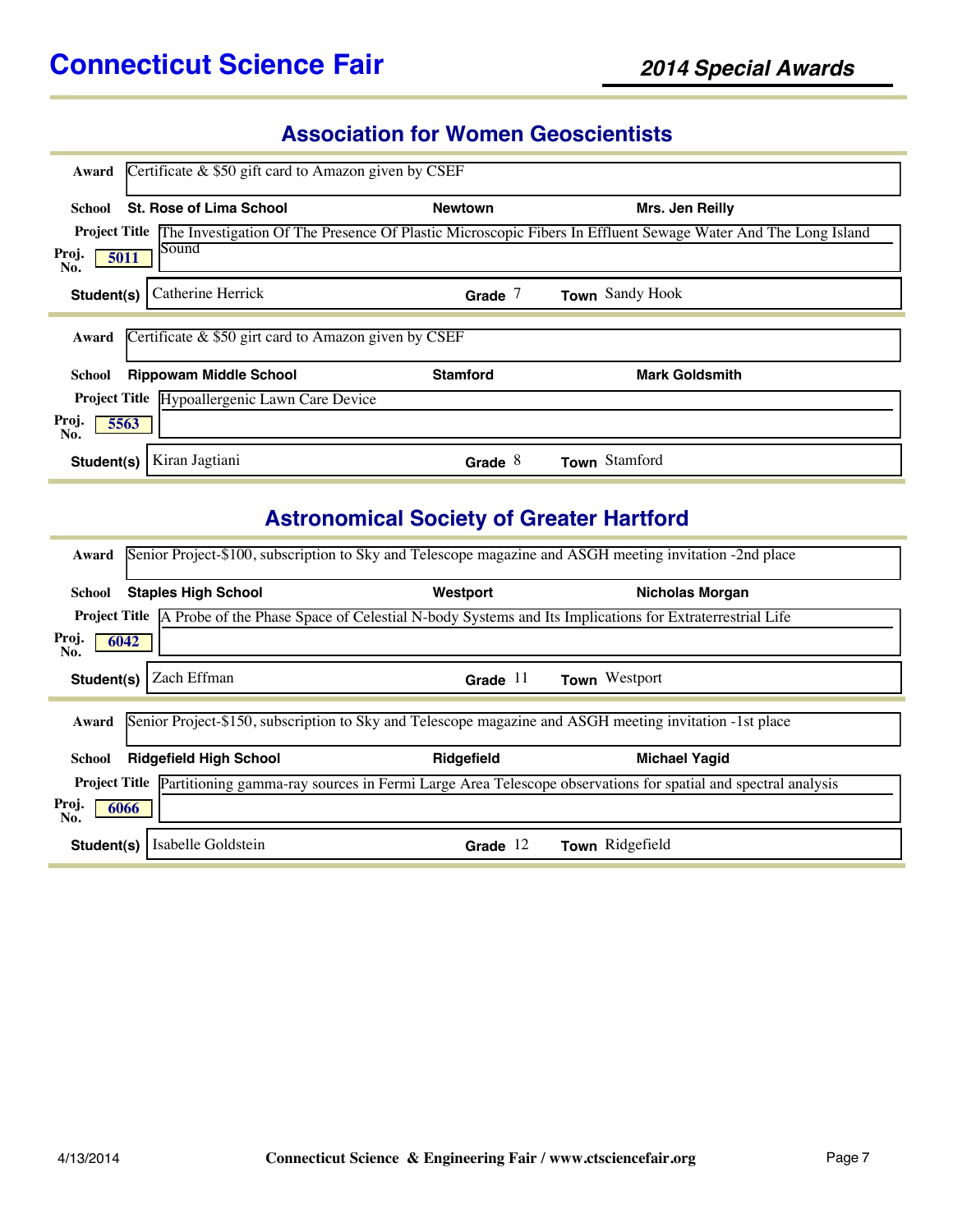### **Association for Women Geoscientists**

| Award                | Certificate $\&$ \$50 gift card to Amazon given by CSEF |                 |                                                                                                                            |
|----------------------|---------------------------------------------------------|-----------------|----------------------------------------------------------------------------------------------------------------------------|
| School               | <b>St. Rose of Lima School</b>                          | <b>Newtown</b>  | Mrs. Jen Reilly                                                                                                            |
|                      |                                                         |                 | Project Title The Investigation Of The Presence Of Plastic Microscopic Fibers In Effluent Sewage Water And The Long Island |
| Proj.<br>5011<br>No. | Sound                                                   |                 |                                                                                                                            |
| Student(s)           | Catherine Herrick                                       | Grade $7$       | Town Sandy Hook                                                                                                            |
| Award                | Certificate $\&$ \$50 girt card to Amazon given by CSEF |                 |                                                                                                                            |
| School               | <b>Rippowam Middle School</b>                           | <b>Stamford</b> | <b>Mark Goldsmith</b>                                                                                                      |
|                      | Project Title Hypoallergenic Lawn Care Device           |                 |                                                                                                                            |
| Proj.<br>5563<br>No. |                                                         |                 |                                                                                                                            |
| Student(s)           | Kiran Jagtiani                                          | Grade $8$       | Town Stamford                                                                                                              |

# **Astronomical Society of Greater Hartford**

| Award                                                                                                                            | Senior Project-\$100, subscription to Sky and Telescope magazine and ASGH meeting invitation -2nd place                    |                        |  |  |  |
|----------------------------------------------------------------------------------------------------------------------------------|----------------------------------------------------------------------------------------------------------------------------|------------------------|--|--|--|
| <b>Staples High School</b><br>School                                                                                             | Westport                                                                                                                   | <b>Nicholas Morgan</b> |  |  |  |
|                                                                                                                                  | <b>Project Title</b> A Probe of the Phase Space of Celestial N-body Systems and Its Implications for Extraterrestrial Life |                        |  |  |  |
| Proj.<br>6042<br>No.                                                                                                             |                                                                                                                            |                        |  |  |  |
| Zach Effman<br>Student(s)                                                                                                        | Grade $11$                                                                                                                 | Town Westport          |  |  |  |
|                                                                                                                                  |                                                                                                                            |                        |  |  |  |
| Award                                                                                                                            | Senior Project-\$150, subscription to Sky and Telescope magazine and ASGH meeting invitation -1st place                    |                        |  |  |  |
| <b>Ridgefield High School</b><br>School                                                                                          | Ridgefield                                                                                                                 | <b>Michael Yagid</b>   |  |  |  |
| <b>Project Title</b> Partitioning gamma-ray sources in Fermi Large Area Telescope observations for spatial and spectral analysis |                                                                                                                            |                        |  |  |  |
| Proj.<br>6066<br>No.                                                                                                             |                                                                                                                            |                        |  |  |  |
| Isabelle Goldstein<br>Student(s)                                                                                                 | Grade $12$                                                                                                                 | Town Ridgefield        |  |  |  |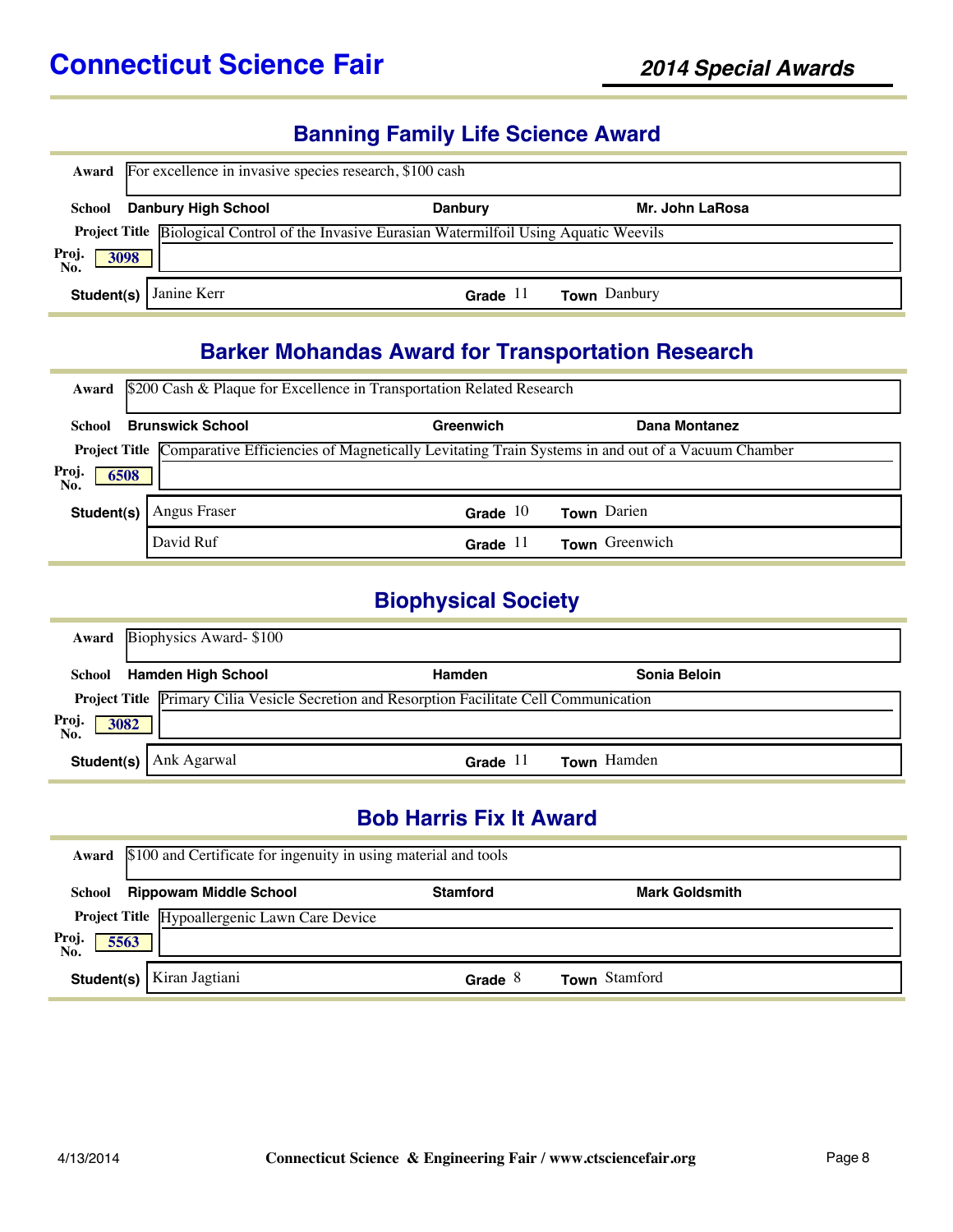#### **Banning Family Life Science Award**

| Award                | For excellence in invasive species research, \$100 cash                                             |                |                     |  |  |
|----------------------|-----------------------------------------------------------------------------------------------------|----------------|---------------------|--|--|
| School               | <b>Danbury High School</b>                                                                          | <b>Danbury</b> | Mr. John LaRosa     |  |  |
|                      | <b>Project Title Biological Control of the Invasive Eurasian Watermilfoil Using Aquatic Weevils</b> |                |                     |  |  |
| Proj.<br>No.<br>3098 |                                                                                                     |                |                     |  |  |
| Student(s)           | Janine Kerr                                                                                         | Grade $11$     | <b>Town</b> Danbury |  |  |

### **Barker Mohandas Award for Transportation Research**

| Award                | \$200 Cash & Plaque for Excellence in Transportation Related Research                                          |            |                |  |  |
|----------------------|----------------------------------------------------------------------------------------------------------------|------------|----------------|--|--|
| School               | <b>Brunswick School</b>                                                                                        | Greenwich  | Dana Montanez  |  |  |
|                      | Project Title Comparative Efficiencies of Magnetically Levitating Train Systems in and out of a Vacuum Chamber |            |                |  |  |
| Proj.<br>6508<br>No. |                                                                                                                |            |                |  |  |
| Student(s)           | Angus Fraser                                                                                                   | Grade $10$ | Town Darien    |  |  |
|                      | David Ruf                                                                                                      | Grade $11$ | Town Greenwich |  |  |

#### **Biophysical Society**

|                     | <b>Award</b> Biophysics Award-\$100                                                        |            |                    |  |
|---------------------|--------------------------------------------------------------------------------------------|------------|--------------------|--|
|                     | School Hamden High School                                                                  | Hamden     | Sonia Beloin       |  |
|                     | Project Title Primary Cilia Vesicle Secretion and Resorption Facilitate Cell Communication |            |                    |  |
| Proj<br>No.<br>3082 |                                                                                            |            |                    |  |
|                     | <b>Student(s)</b> Ank Agarwal                                                              | Grade $11$ | <b>Town</b> Hamden |  |

#### **Bob Harris Fix It Award**

|                     | Award \$100 and Certificate for ingenuity in using material and tools |                 |                       |  |  |
|---------------------|-----------------------------------------------------------------------|-----------------|-----------------------|--|--|
| School              | <b>Rippowam Middle School</b>                                         | <b>Stamford</b> | <b>Mark Goldsmith</b> |  |  |
|                     | Project Title Hypoallergenic Lawn Care Device                         |                 |                       |  |  |
| Proj<br>No.<br>5563 |                                                                       |                 |                       |  |  |
| Student(s)          | Kiran Jagtiani                                                        | Grade $8$       | Town Stamford         |  |  |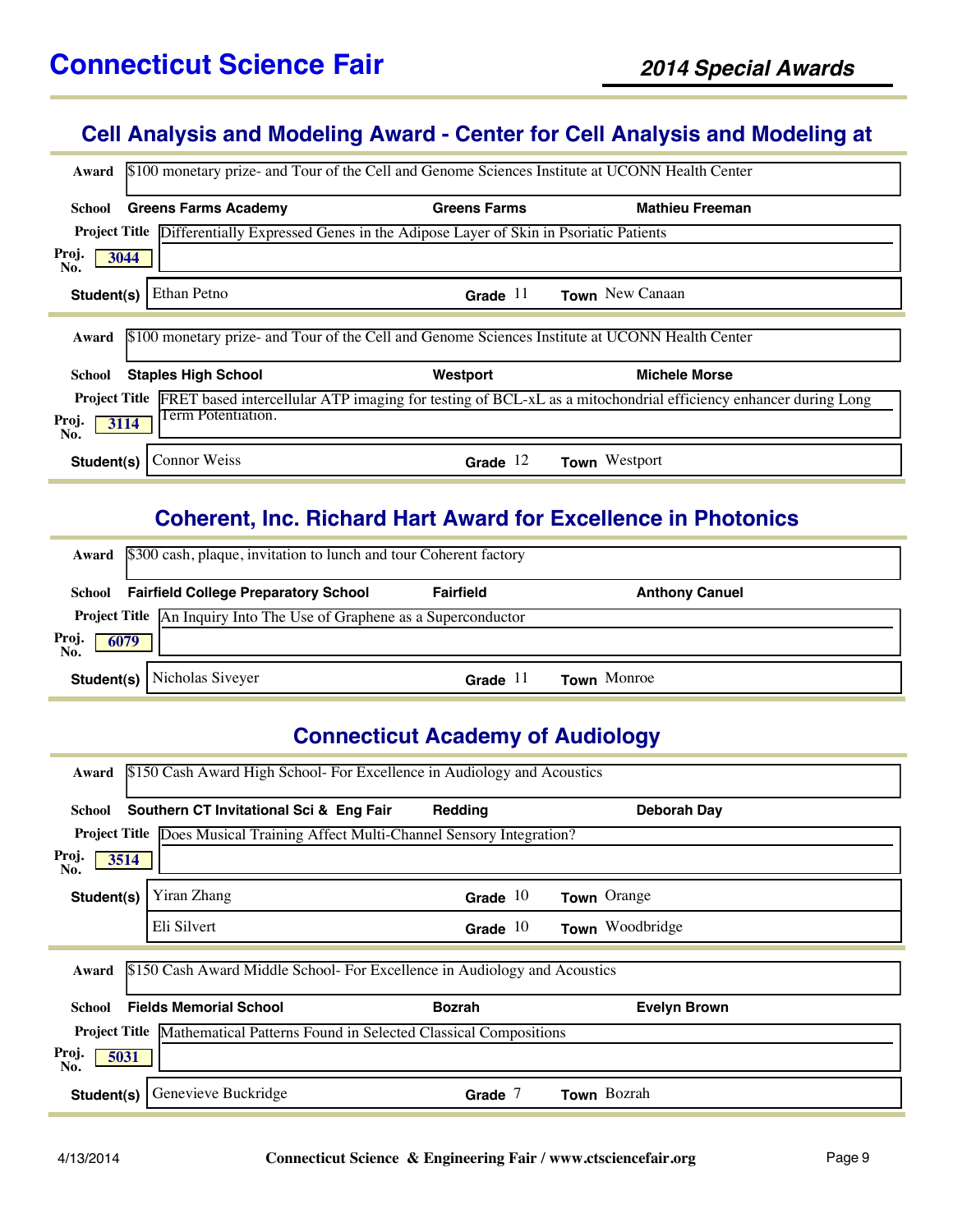### **Cell Analysis and Modeling Award - Center for Cell Analysis and Modeling at**

| Award                                      | \$100 monetary prize- and Tour of the Cell and Genome Sciences Institute at UCONN Health Center        |                                                                                                               |  |  |  |  |
|--------------------------------------------|--------------------------------------------------------------------------------------------------------|---------------------------------------------------------------------------------------------------------------|--|--|--|--|
| <b>Greens Farms Academy</b><br>School      | <b>Greens Farms</b>                                                                                    | <b>Mathieu Freeman</b>                                                                                        |  |  |  |  |
|                                            | <b>Project Title Differentially Expressed Genes in the Adipose Layer of Skin in Psoriatic Patients</b> |                                                                                                               |  |  |  |  |
| Proj.<br>3044<br>No.                       |                                                                                                        |                                                                                                               |  |  |  |  |
| Ethan Petno<br>Student(s)                  | Grade $11$                                                                                             | Town New Canaan                                                                                               |  |  |  |  |
| Award                                      | \$100 monetary prize- and Tour of the Cell and Genome Sciences Institute at UCONN Health Center        |                                                                                                               |  |  |  |  |
| <b>Staples High School</b><br>School       | Westport                                                                                               | <b>Michele Morse</b>                                                                                          |  |  |  |  |
| <b>Project Title</b>                       |                                                                                                        | FRET based intercellular ATP imaging for testing of BCL-xL as a mitochondrial efficiency enhancer during Long |  |  |  |  |
| Term Potentiation.<br>Proj.<br>3114<br>No. |                                                                                                        |                                                                                                               |  |  |  |  |
| Connor Weiss<br>Student(s)                 | Grade $12$                                                                                             | <b>Town</b> Westport                                                                                          |  |  |  |  |

### **Coherent, Inc. Richard Hart Award for Excellence in Photonics**

|                      | Award \$300 cash, plaque, invitation to lunch and tour Coherent factory      |                  |                       |  |  |
|----------------------|------------------------------------------------------------------------------|------------------|-----------------------|--|--|
|                      | <b>School</b> Fairfield College Preparatory School                           | <b>Fairfield</b> | <b>Anthony Canuel</b> |  |  |
|                      | <b>Project Title</b> An Inquiry Into The Use of Graphene as a Superconductor |                  |                       |  |  |
| Proj.<br>6079<br>No. |                                                                              |                  |                       |  |  |
|                      | <b>Student(s)</b> Nicholas Siveyer                                           | Grade $11$       | <b>Town</b> Monroe    |  |  |

#### **Connecticut Academy of Audiology**

| \$150 Cash Award High School- For Excellence in Audiology and Acoustics<br>Award |                                                                                     |               |                     |  |  |  |
|----------------------------------------------------------------------------------|-------------------------------------------------------------------------------------|---------------|---------------------|--|--|--|
| School                                                                           | Southern CT Invitational Sci & Eng Fair                                             | Redding       | <b>Deborah Day</b>  |  |  |  |
|                                                                                  | Project Title Does Musical Training Affect Multi-Channel Sensory Integration?       |               |                     |  |  |  |
| Proj.<br>3514<br>No.                                                             |                                                                                     |               |                     |  |  |  |
| Student(s)                                                                       | Yiran Zhang                                                                         | Grade $10$    | Town Orange         |  |  |  |
|                                                                                  | Eli Silvert                                                                         | Grade $10$    | Town Woodbridge     |  |  |  |
| Award                                                                            | \$150 Cash Award Middle School- For Excellence in Audiology and Acoustics           |               |                     |  |  |  |
| School                                                                           | <b>Fields Memorial School</b>                                                       | <b>Bozrah</b> | <b>Evelyn Brown</b> |  |  |  |
|                                                                                  | <b>Project Title</b> Mathematical Patterns Found in Selected Classical Compositions |               |                     |  |  |  |
| Proj.<br>5031<br>No.                                                             |                                                                                     |               |                     |  |  |  |
| Student(s)                                                                       | Genevieve Buckridge                                                                 | Grade $7$     | Town Bozrah         |  |  |  |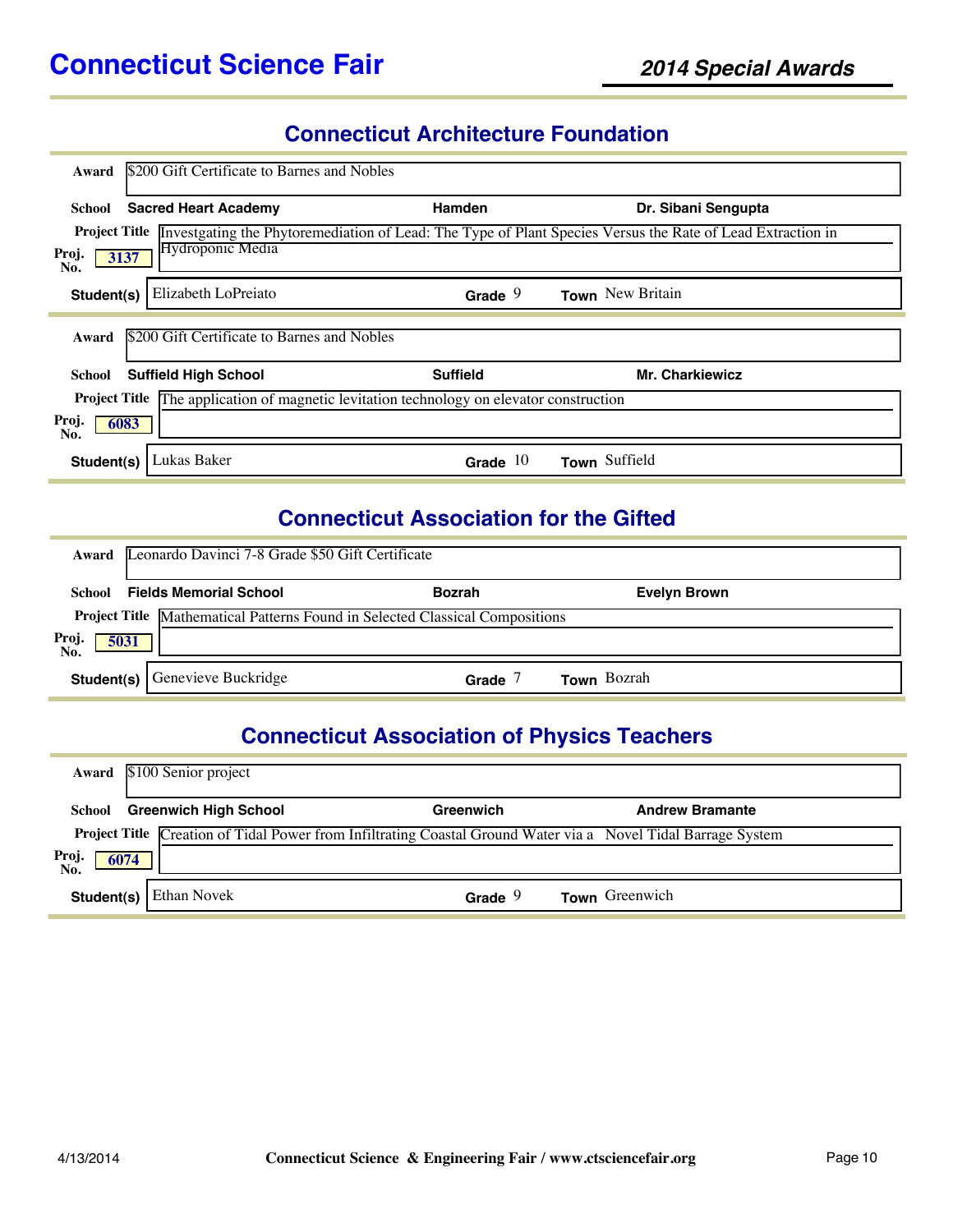### **Connecticut Architecture Foundation**

| Award                | \$200 Gift Certificate to Barnes and Nobles                                |                 |                                                                                                                                 |
|----------------------|----------------------------------------------------------------------------|-----------------|---------------------------------------------------------------------------------------------------------------------------------|
| School               | <b>Sacred Heart Academy</b>                                                | Hamden          | Dr. Sibani Sengupta                                                                                                             |
|                      |                                                                            |                 | Project Title <i>Investgating</i> the Phytoremediation of Lead: The Type of Plant Species Versus the Rate of Lead Extraction in |
| Proj.<br>3137<br>No. | <b>Hydroponic Media</b>                                                    |                 |                                                                                                                                 |
| Student(s)           | Elizabeth LoPreiato                                                        | Grade $9$       | Town New Britain                                                                                                                |
| Award                | \$200 Gift Certificate to Barnes and Nobles                                |                 |                                                                                                                                 |
| School               | <b>Suffield High School</b>                                                | <b>Suffield</b> | <b>Mr. Charkiewicz</b>                                                                                                          |
| <b>Project Title</b> | The application of magnetic levitation technology on elevator construction |                 |                                                                                                                                 |
| Proj.<br>6083<br>No. |                                                                            |                 |                                                                                                                                 |
| Student(s)           | Lukas Baker                                                                | Grade $10$      | Town Suffield                                                                                                                   |

### **Connecticut Association for the Gifted**

| Award                | Leonardo Davinci 7-8 Grade \$50 Gift Certificate                             |               |                     |  |  |
|----------------------|------------------------------------------------------------------------------|---------------|---------------------|--|--|
| School               | <b>Fields Memorial School</b>                                                | <b>Bozrah</b> | <b>Evelyn Brown</b> |  |  |
|                      | Project Title Mathematical Patterns Found in Selected Classical Compositions |               |                     |  |  |
| Proj.<br>No.<br>5031 |                                                                              |               |                     |  |  |
| Student(s)           | Genevieve Buckridge                                                          | Grade         | <b>Town</b> Bozrah  |  |  |

#### **Connecticut Association of Physics Teachers**

|                     | Award \$100 Senior project   |                                                                                                                      |                        |
|---------------------|------------------------------|----------------------------------------------------------------------------------------------------------------------|------------------------|
| School              | <b>Greenwich High School</b> | Greenwich                                                                                                            | <b>Andrew Bramante</b> |
|                     |                              | <b>Project Title Creation of Tidal Power from Infiltrating Coastal Ground Water via a</b> Novel Tidal Barrage System |                        |
| Proj<br>No.<br>6074 |                              |                                                                                                                      |                        |
| Student(s)          | <b>Ethan Novek</b>           | Grade $9$                                                                                                            | Town Greenwich         |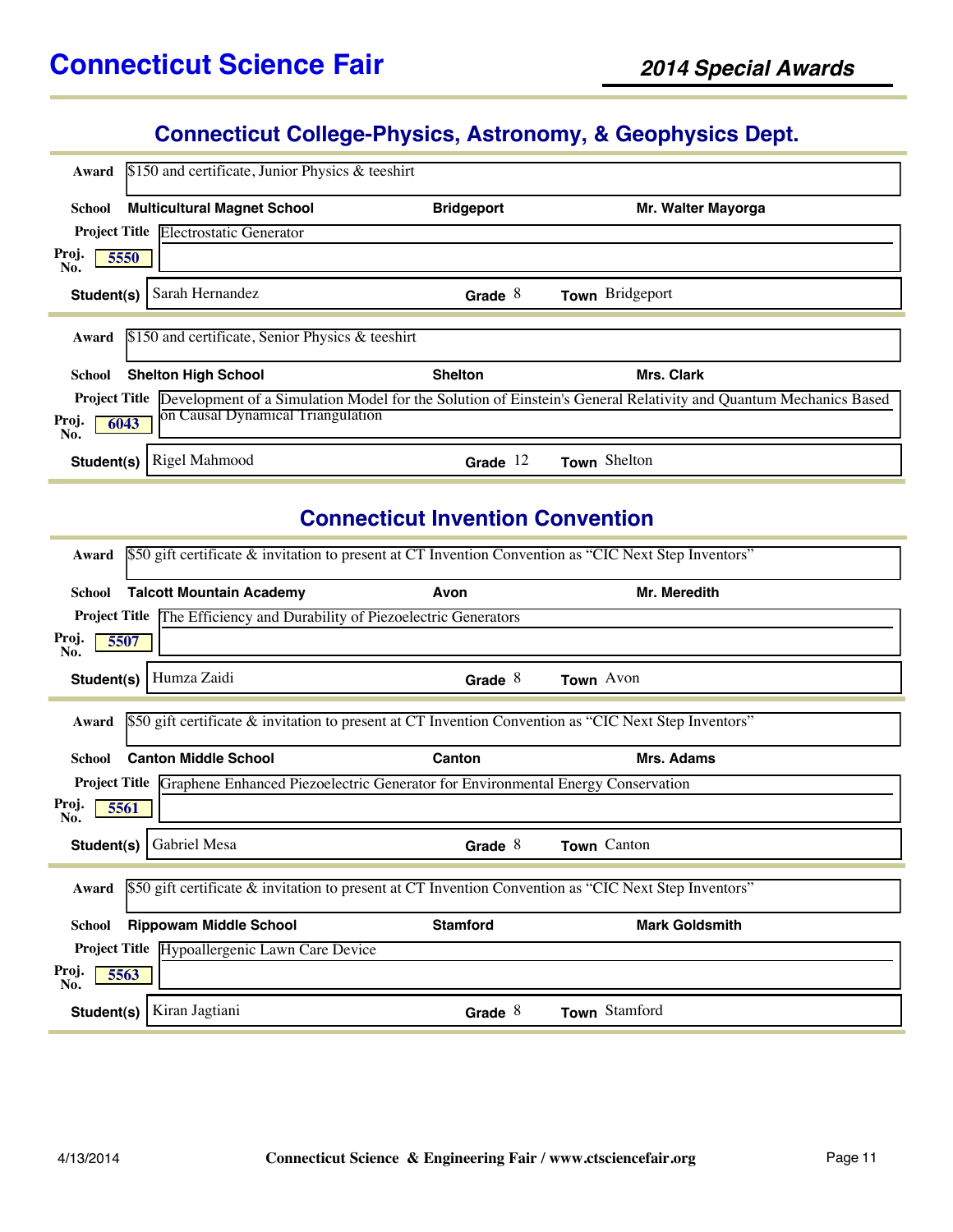#### **Connecticut College-Physics, Astronomy, & Geophysics Dept.**

| Award                                | \$150 and certificate, Junior Physics & teeshirt |                   |                                                                                                                 |  |
|--------------------------------------|--------------------------------------------------|-------------------|-----------------------------------------------------------------------------------------------------------------|--|
| <b>School</b>                        | <b>Multicultural Magnet School</b>               | <b>Bridgeport</b> | Mr. Walter Mayorga                                                                                              |  |
| <b>Project Title</b>                 | <b>Electrostatic Generator</b>                   |                   |                                                                                                                 |  |
| Proj.<br>5550<br>No.                 |                                                  |                   |                                                                                                                 |  |
| Student(s)                           | Sarah Hernandez                                  | Grade $8$         | Town Bridgeport                                                                                                 |  |
| Award                                | \$150 and certificate, Senior Physics & teeshirt |                   |                                                                                                                 |  |
| <b>Shelton High School</b><br>School |                                                  | <b>Shelton</b>    | <b>Mrs. Clark</b>                                                                                               |  |
| <b>Project Title</b>                 |                                                  |                   | Development of a Simulation Model for the Solution of Einstein's General Relativity and Quantum Mechanics Based |  |
| Proj.<br>6043<br>No.                 | on Causal Dynamical Triangulation                |                   |                                                                                                                 |  |
| Student(s)                           | Rigel Mahmood                                    | Grade             | Town Shelton                                                                                                    |  |

### **Connecticut Invention Convention**

| Award                | \$50 gift certificate & invitation to present at CT Invention Convention as "CIC Next Step Inventors" |                 |                       |  |  |
|----------------------|-------------------------------------------------------------------------------------------------------|-----------------|-----------------------|--|--|
| School               | <b>Talcott Mountain Academy</b>                                                                       | Avon            | Mr. Meredith          |  |  |
| <b>Project Title</b> | The Efficiency and Durability of Piezoelectric Generators                                             |                 |                       |  |  |
| Proj.<br>5507<br>No. |                                                                                                       |                 |                       |  |  |
| Student(s)           | Humza Zaidi                                                                                           | Grade $8$       | Town Avon             |  |  |
| Award                | \$50 gift certificate & invitation to present at CT Invention Convention as "CIC Next Step Inventors" |                 |                       |  |  |
| <b>School</b>        | <b>Canton Middle School</b>                                                                           | Canton          | Mrs. Adams            |  |  |
|                      | <b>Project Title Graphene Enhanced Piezoelectric Generator for Environmental Energy Conservation</b>  |                 |                       |  |  |
| Proj.<br>5561<br>No. |                                                                                                       |                 |                       |  |  |
| Student(s)           | Gabriel Mesa                                                                                          | Grade $8$       | Town Canton           |  |  |
| Award                | \$50 gift certificate & invitation to present at CT Invention Convention as "CIC Next Step Inventors" |                 |                       |  |  |
| School               | <b>Rippowam Middle School</b>                                                                         | <b>Stamford</b> | <b>Mark Goldsmith</b> |  |  |
|                      | Project Title Hypoallergenic Lawn Care Device                                                         |                 |                       |  |  |
| Proj.<br>5563<br>No. |                                                                                                       |                 |                       |  |  |
| Student(s)           | Kiran Jagtiani                                                                                        | Grade $8$       | Town Stamford         |  |  |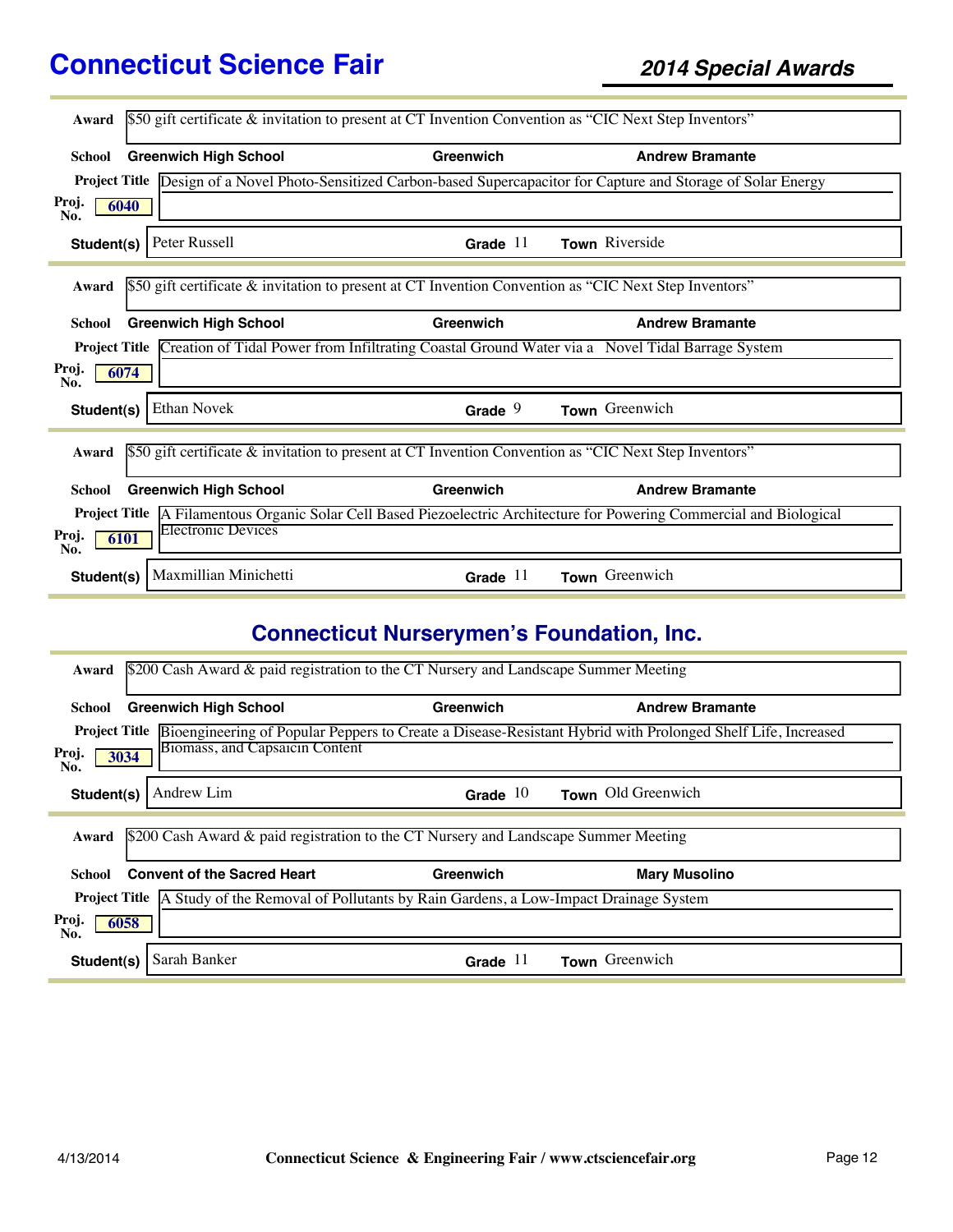| Award                |                                   | \$50 gift certificate & invitation to present at CT Invention Convention as "CIC Next Step Inventors" |                                                                                                                               |
|----------------------|-----------------------------------|-------------------------------------------------------------------------------------------------------|-------------------------------------------------------------------------------------------------------------------------------|
|                      |                                   |                                                                                                       |                                                                                                                               |
| School               | <b>Greenwich High School</b>      | Greenwich                                                                                             | <b>Andrew Bramante</b>                                                                                                        |
| <b>Project Title</b> |                                   |                                                                                                       | Design of a Novel Photo-Sensitized Carbon-based Supercapacitor for Capture and Storage of Solar Energy                        |
| Proj.<br>No.         | 6040                              |                                                                                                       |                                                                                                                               |
| Student(s)           | Peter Russell                     | Grade $11$                                                                                            | Town Riverside                                                                                                                |
|                      |                                   |                                                                                                       |                                                                                                                               |
| Award                |                                   | \$50 gift certificate & invitation to present at CT Invention Convention as "CIC Next Step Inventors" |                                                                                                                               |
| School               | <b>Greenwich High School</b>      | Greenwich                                                                                             | <b>Andrew Bramante</b>                                                                                                        |
|                      |                                   |                                                                                                       | Project Title Creation of Tidal Power from Infiltrating Coastal Ground Water via a Novel Tidal Barrage System                 |
| Proj.<br>No.         | 6074                              |                                                                                                       |                                                                                                                               |
| Student(s)           | <b>Ethan Novek</b>                | Grade $9$                                                                                             | Town Greenwich                                                                                                                |
|                      |                                   |                                                                                                       |                                                                                                                               |
| Award                |                                   | \$50 gift certificate & invitation to present at CT Invention Convention as "CIC Next Step Inventors" |                                                                                                                               |
| School               | <b>Greenwich High School</b>      | Greenwich                                                                                             | <b>Andrew Bramante</b>                                                                                                        |
|                      |                                   |                                                                                                       | <b>Project Title</b> A Filamentous Organic Solar Cell Based Piezoelectric Architecture for Powering Commercial and Biological |
| Proj.<br>No.         | <b>Electronic Devices</b><br>6101 |                                                                                                       |                                                                                                                               |
| Student(s)           | Maxmillian Minichetti             | Grade $11$                                                                                            | Town Greenwich                                                                                                                |

# **Connecticut Nurserymen's Foundation, Inc.**

| Award                                                                                            | \$200 Cash Award & paid registration to the CT Nursery and Landscape Summer Meeting |            |                                                                                                                           |  |  |
|--------------------------------------------------------------------------------------------------|-------------------------------------------------------------------------------------|------------|---------------------------------------------------------------------------------------------------------------------------|--|--|
| School                                                                                           | <b>Greenwich High School</b>                                                        | Greenwich  | <b>Andrew Bramante</b>                                                                                                    |  |  |
|                                                                                                  |                                                                                     |            | Project Title Bioengineering of Popular Peppers to Create a Disease-Resistant Hybrid with Prolonged Shelf Life, Increased |  |  |
| Proj.<br>3034<br>No.                                                                             | Biomass, and Capsaicin Content                                                      |            |                                                                                                                           |  |  |
| Student(s)                                                                                       | Andrew Lim                                                                          | Grade $10$ | Town Old Greenwich                                                                                                        |  |  |
|                                                                                                  |                                                                                     |            |                                                                                                                           |  |  |
| Award                                                                                            | \$200 Cash Award & paid registration to the CT Nursery and Landscape Summer Meeting |            |                                                                                                                           |  |  |
| School                                                                                           | <b>Convent of the Sacred Heart</b>                                                  | Greenwich  | <b>Mary Musolino</b>                                                                                                      |  |  |
| Project Title A Study of the Removal of Pollutants by Rain Gardens, a Low-Impact Drainage System |                                                                                     |            |                                                                                                                           |  |  |
| Proj.<br>6058<br>No.                                                                             |                                                                                     |            |                                                                                                                           |  |  |
| Student(s)                                                                                       | Sarah Banker                                                                        | Grade $11$ | Town Greenwich                                                                                                            |  |  |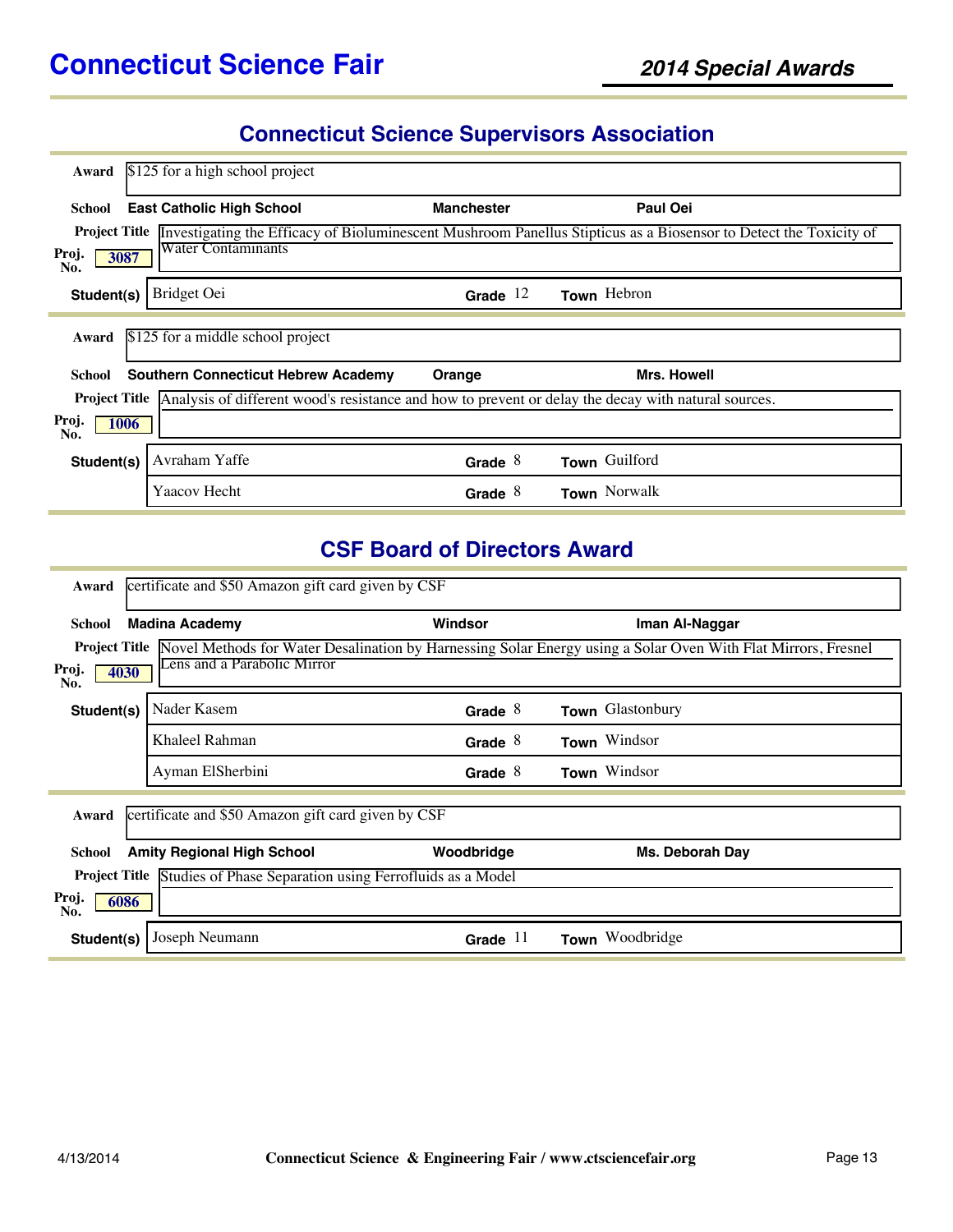# **Connecticut Science Supervisors Association**

| Award                | \$125 for a high school project                                                                     |                   |                                                                                                                   |  |  |  |
|----------------------|-----------------------------------------------------------------------------------------------------|-------------------|-------------------------------------------------------------------------------------------------------------------|--|--|--|
| School               | <b>East Catholic High School</b>                                                                    | <b>Manchester</b> | <b>Paul Oei</b>                                                                                                   |  |  |  |
| <b>Project Title</b> |                                                                                                     |                   | Investigating the Efficacy of Bioluminescent Mushroom Panellus Stipticus as a Biosensor to Detect the Toxicity of |  |  |  |
| Proj.<br>3087<br>No. | <b>Water Contaminants</b>                                                                           |                   |                                                                                                                   |  |  |  |
| Student(s)           | Bridget Oei                                                                                         | Grade $12$        | Town Hebron                                                                                                       |  |  |  |
| Award                | \$125 for a middle school project                                                                   |                   |                                                                                                                   |  |  |  |
| School               | <b>Southern Connecticut Hebrew Academy</b>                                                          | Orange            | <b>Mrs. Howell</b>                                                                                                |  |  |  |
| <b>Project Title</b> | Analysis of different wood's resistance and how to prevent or delay the decay with natural sources. |                   |                                                                                                                   |  |  |  |
| Proj.<br>1006<br>No. |                                                                                                     |                   |                                                                                                                   |  |  |  |
| Student(s)           | Avraham Yaffe                                                                                       | Grade $8$         | Town Guilford                                                                                                     |  |  |  |
|                      | Yaacov Hecht                                                                                        | Grade $8$         | Town Norwalk                                                                                                      |  |  |  |

### **CSF Board of Directors Award**

| Award                                                       | certificate and \$50 Amazon gift card given by CSF                            |            |                                                                                                                             |  |  |  |
|-------------------------------------------------------------|-------------------------------------------------------------------------------|------------|-----------------------------------------------------------------------------------------------------------------------------|--|--|--|
| School                                                      | <b>Madina Academy</b>                                                         | Windsor    | Iman Al-Naggar                                                                                                              |  |  |  |
| Proj.<br>4030<br>No.                                        | Lens and a Parabolic Mirror                                                   |            | Project Title Novel Methods for Water Desalination by Harnessing Solar Energy using a Solar Oven With Flat Mirrors, Fresnel |  |  |  |
| Student(s)                                                  | Nader Kasem                                                                   | Grade $8$  | Town Glastonbury                                                                                                            |  |  |  |
|                                                             | Khaleel Rahman                                                                | Grade $8$  | Town Windsor                                                                                                                |  |  |  |
|                                                             | Ayman ElSherbini                                                              | Grade $8$  | Town Windsor                                                                                                                |  |  |  |
| certificate and \$50 Amazon gift card given by CSF<br>Award |                                                                               |            |                                                                                                                             |  |  |  |
| <b>School</b>                                               | <b>Amity Regional High School</b>                                             | Woodbridge | Ms. Deborah Day                                                                                                             |  |  |  |
|                                                             | <b>Project Title</b> Studies of Phase Separation using Ferrofluids as a Model |            |                                                                                                                             |  |  |  |
| Proj.<br>6086<br>No.                                        |                                                                               |            |                                                                                                                             |  |  |  |
| Student(s)                                                  | Joseph Neumann                                                                | Grade $11$ | Woodbridge<br>Town                                                                                                          |  |  |  |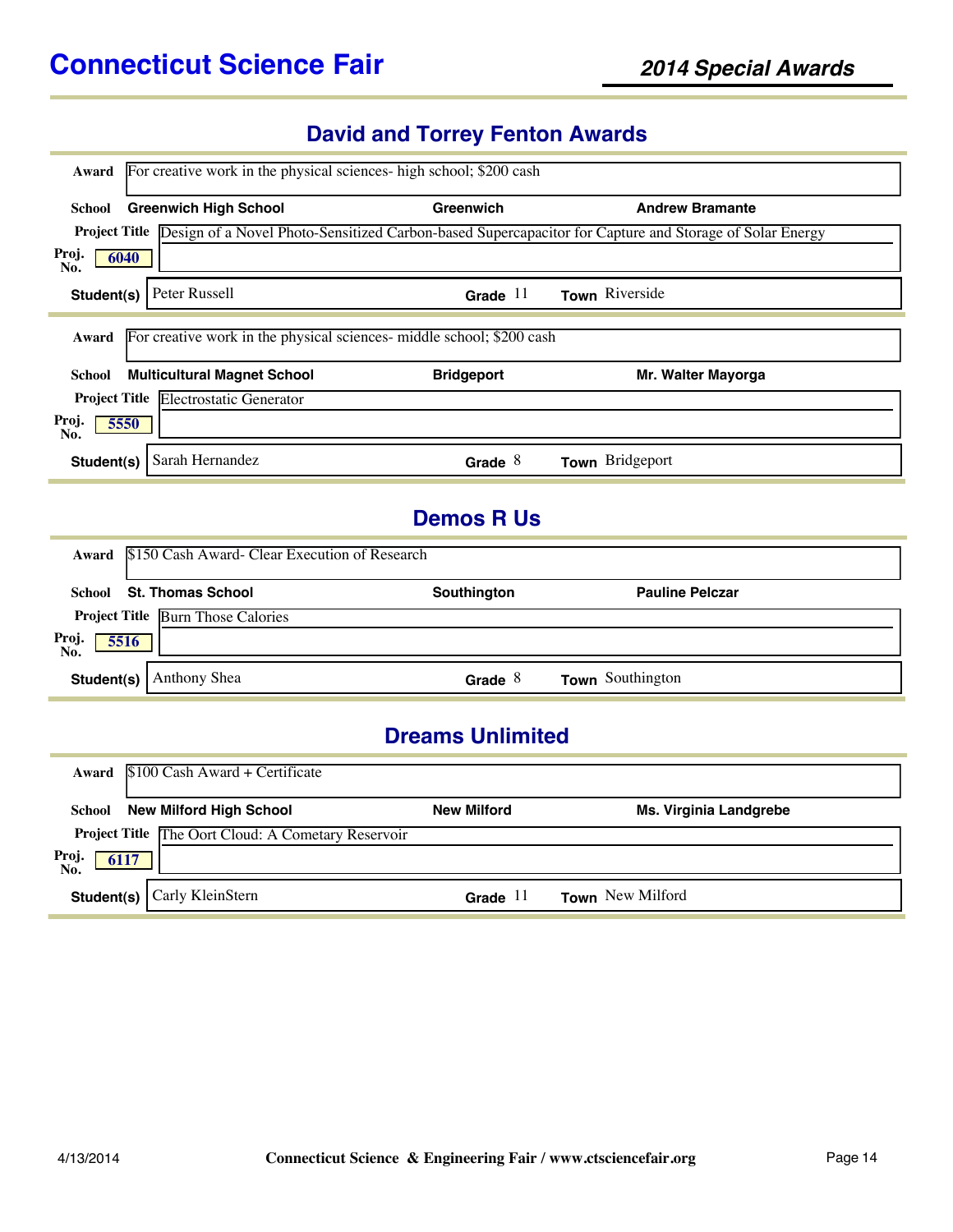# **David and Torrey Fenton Awards**

| Award                   | For creative work in the physical sciences- high school; \$200 cash   |                    |                                                                                                                      |  |  |
|-------------------------|-----------------------------------------------------------------------|--------------------|----------------------------------------------------------------------------------------------------------------------|--|--|
| School                  | <b>Greenwich High School</b>                                          | Greenwich          | <b>Andrew Bramante</b>                                                                                               |  |  |
|                         |                                                                       |                    | Project Title Design of a Novel Photo-Sensitized Carbon-based Supercapacitor for Capture and Storage of Solar Energy |  |  |
| Proj.<br>No.            | 6040                                                                  |                    |                                                                                                                      |  |  |
| Student(s)              | Peter Russell                                                         | Grade $11$         | Town Riverside                                                                                                       |  |  |
| Award                   | For creative work in the physical sciences- middle school; \$200 cash |                    |                                                                                                                      |  |  |
| School                  | <b>Multicultural Magnet School</b>                                    | <b>Bridgeport</b>  | Mr. Walter Mayorga                                                                                                   |  |  |
|                         | Project Title Electrostatic Generator                                 |                    |                                                                                                                      |  |  |
| Proj.<br>No.            | 5550                                                                  |                    |                                                                                                                      |  |  |
| Student(s)              | Sarah Hernandez                                                       | Grade $8$          | Town Bridgeport                                                                                                      |  |  |
|                         |                                                                       | <b>Demos R Us</b>  |                                                                                                                      |  |  |
| Award                   | \$150 Cash Award- Clear Execution of Research                         |                    |                                                                                                                      |  |  |
| School                  | <b>St. Thomas School</b>                                              | Southington        | <b>Pauline Pelczar</b>                                                                                               |  |  |
|                         | <b>Project Title Burn Those Calories</b>                              |                    |                                                                                                                      |  |  |
| Proj.<br>No.            | 5516                                                                  |                    |                                                                                                                      |  |  |
| Student(s)              | Anthony Shea                                                          | Grade $8$          | Town Southington                                                                                                     |  |  |
| <b>Dreams Unlimited</b> |                                                                       |                    |                                                                                                                      |  |  |
| Award                   | \$100 Cash Award + Certificate                                        |                    |                                                                                                                      |  |  |
| School                  | <b>New Milford High School</b>                                        | <b>New Milford</b> | Ms. Virginia Landgrebe                                                                                               |  |  |
|                         | Project Title The Oort Cloud: A Cometary Reservoir                    |                    |                                                                                                                      |  |  |
| Proj.<br>No.            | 6117                                                                  |                    |                                                                                                                      |  |  |
| Student(s)              | Carly KleinStern                                                      | Grade $11$         | Town New Milford                                                                                                     |  |  |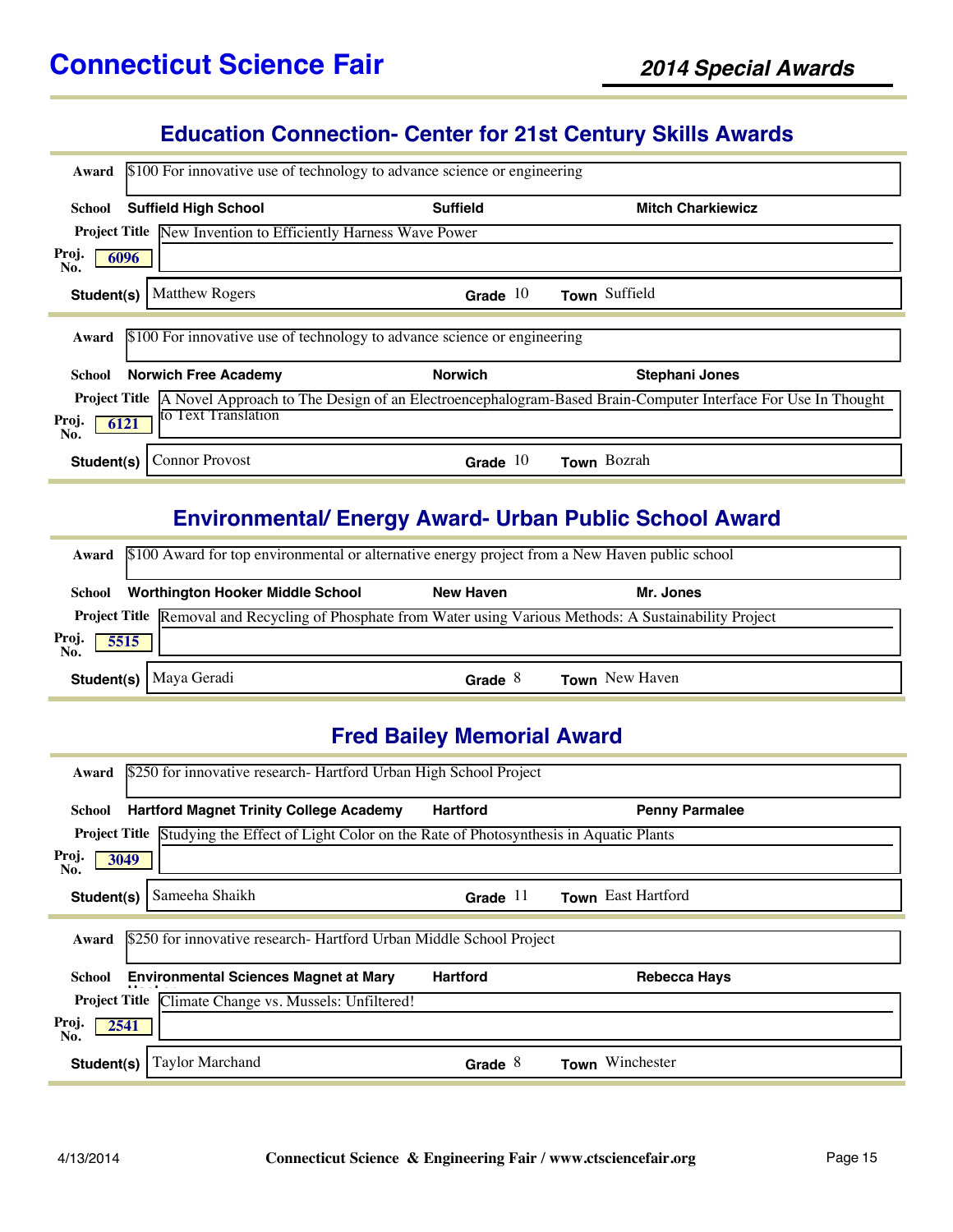#### **Education Connection- Center for 21st Century Skills Awards**

| \$100 For innovative use of technology to advance science or engineering<br>Award                                                |                                                                          |                          |  |  |  |
|----------------------------------------------------------------------------------------------------------------------------------|--------------------------------------------------------------------------|--------------------------|--|--|--|
| <b>Suffield High School</b><br>School                                                                                            | <b>Suffield</b>                                                          | <b>Mitch Charkiewicz</b> |  |  |  |
| <b>Project Title New Invention to Efficiently Harness Wave Power</b>                                                             |                                                                          |                          |  |  |  |
| Proj.<br>6096<br>No.                                                                                                             |                                                                          |                          |  |  |  |
| <b>Matthew Rogers</b><br>Student(s)                                                                                              | Grade $10$                                                               | Town Suffield            |  |  |  |
| Award                                                                                                                            | \$100 For innovative use of technology to advance science or engineering |                          |  |  |  |
| <b>Norwich Free Academy</b><br>School                                                                                            | <b>Norwich</b>                                                           | <b>Stephani Jones</b>    |  |  |  |
| <b>Project Title</b> A Novel Approach to The Design of an Electroencephalogram-Based Brain-Computer Interface For Use In Thought |                                                                          |                          |  |  |  |
| to Text Translation<br>Proj.<br>6121<br>No.                                                                                      |                                                                          |                          |  |  |  |
| <b>Connor Provost</b><br>Student(s)                                                                                              | Grade $10$                                                               | Town Bozrah              |  |  |  |

### **Environmental/ Energy Award- Urban Public School Award**

|                      | Award \$100 Award for top environmental or alternative energy project from a New Haven public school               |                  |                       |  |  |
|----------------------|--------------------------------------------------------------------------------------------------------------------|------------------|-----------------------|--|--|
| School               | <b>Worthington Hooker Middle School</b>                                                                            | <b>New Haven</b> | Mr. Jones             |  |  |
|                      | <b>Project Title</b> Removal and Recycling of Phosphate from Water using Various Methods: A Sustainability Project |                  |                       |  |  |
| Proj.<br>No.<br>5515 |                                                                                                                    |                  |                       |  |  |
|                      | Student(s)   Maya Geradi                                                                                           | Grade $8$        | <b>Town</b> New Haven |  |  |

#### **Fred Bailey Memorial Award**

| \$250 for innovative research- Hartford Urban High School Project<br>Award                              |                 |                       |  |  |
|---------------------------------------------------------------------------------------------------------|-----------------|-----------------------|--|--|
| <b>Hartford Magnet Trinity College Academy</b><br>School                                                | <b>Hartford</b> | <b>Penny Parmalee</b> |  |  |
| <b>Project Title Studying the Effect of Light Color on the Rate of Photosynthesis in Aquatic Plants</b> |                 |                       |  |  |
| Proj.<br>3049<br>No.                                                                                    |                 |                       |  |  |
| Sameeha Shaikh<br>Student(s)                                                                            | Grade $11$      | Town East Hartford    |  |  |
|                                                                                                         |                 |                       |  |  |
| \$250 for innovative research- Hartford Urban Middle School Project<br>Award                            |                 |                       |  |  |
| <b>Environmental Sciences Magnet at Mary</b><br>School                                                  | <b>Hartford</b> | <b>Rebecca Hays</b>   |  |  |
| Project Title Climate Change vs. Mussels: Unfiltered!                                                   |                 |                       |  |  |
| Proj.<br>2541<br>No.                                                                                    |                 |                       |  |  |
| Taylor Marchand<br>Student(s)                                                                           | Grade $8$       | Winchester<br>Town    |  |  |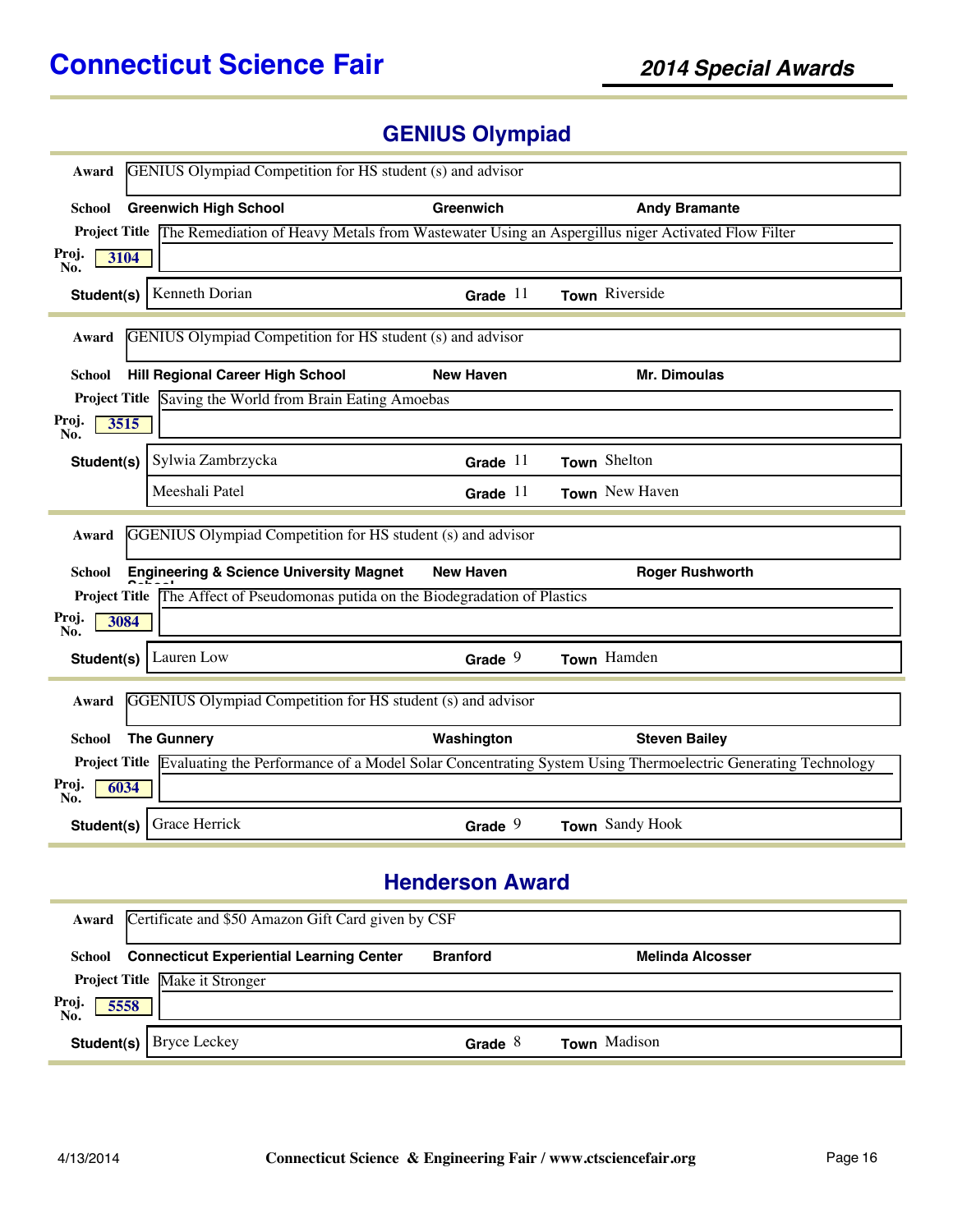# **GENIUS Olympiad**

| <b>GENIUS</b> Olympiad Competition for HS student (s) and advisor<br>Award |                                                                                                                       |                  |                                                                                                                                  |  |
|----------------------------------------------------------------------------|-----------------------------------------------------------------------------------------------------------------------|------------------|----------------------------------------------------------------------------------------------------------------------------------|--|
| <b>School</b>                                                              | <b>Greenwich High School</b>                                                                                          | Greenwich        | <b>Andy Bramante</b>                                                                                                             |  |
|                                                                            | <b>Project Title</b> The Remediation of Heavy Metals from Wastewater Using an Aspergillus niger Activated Flow Filter |                  |                                                                                                                                  |  |
| Proj.<br>3104<br>No.                                                       |                                                                                                                       |                  |                                                                                                                                  |  |
| Student(s)                                                                 | Kenneth Dorian                                                                                                        | Grade $11$       | Town Riverside                                                                                                                   |  |
| Award                                                                      | <b>GENIUS</b> Olympiad Competition for HS student (s) and advisor                                                     |                  |                                                                                                                                  |  |
| School                                                                     | <b>Hill Regional Career High School</b>                                                                               | <b>New Haven</b> | <b>Mr. Dimoulas</b>                                                                                                              |  |
|                                                                            | <b>Project Title</b> Saving the World from Brain Eating Amoebas                                                       |                  |                                                                                                                                  |  |
| Proj.<br>3515<br>No.                                                       |                                                                                                                       |                  |                                                                                                                                  |  |
| Student(s)                                                                 | Sylwia Zambrzycka                                                                                                     | Grade $11$       | Town Shelton                                                                                                                     |  |
|                                                                            | Meeshali Patel                                                                                                        | Grade $11$       | Town New Haven                                                                                                                   |  |
| Award                                                                      | <b>GGENIUS</b> Olympiad Competition for HS student (s) and advisor                                                    |                  |                                                                                                                                  |  |
| School                                                                     | <b>Engineering &amp; Science University Magnet</b>                                                                    | <b>New Haven</b> | <b>Roger Rushworth</b>                                                                                                           |  |
|                                                                            | Project Title The Affect of Pseudomonas putida on the Biodegradation of Plastics                                      |                  |                                                                                                                                  |  |
| Proj.<br>3084<br>No.                                                       |                                                                                                                       |                  |                                                                                                                                  |  |
| Student(s)                                                                 | Lauren Low                                                                                                            | Grade $9$        | Town Hamden                                                                                                                      |  |
| GGENIUS Olympiad Competition for HS student (s) and advisor<br>Award       |                                                                                                                       |                  |                                                                                                                                  |  |
| School                                                                     | <b>The Gunnery</b>                                                                                                    | Washington       | <b>Steven Bailey</b>                                                                                                             |  |
|                                                                            |                                                                                                                       |                  | <b>Project Title</b> Evaluating the Performance of a Model Solar Concentrating System Using Thermoelectric Generating Technology |  |
| Proj.<br>6034<br>No.                                                       |                                                                                                                       |                  |                                                                                                                                  |  |
| Student(s)                                                                 | Grace Herrick                                                                                                         | Grade $9$        | Town Sandy Hook                                                                                                                  |  |

### **Henderson Award**

|                     | Award Certificate and \$50 Amazon Gift Card given by CSF |                 |                     |  |  |
|---------------------|----------------------------------------------------------|-----------------|---------------------|--|--|
| School              | <b>Connecticut Experiential Learning Center</b>          | <b>Branford</b> | Melinda Alcosser    |  |  |
|                     | <b>Project Title Make it Stronger</b>                    |                 |                     |  |  |
| Proj<br>No.<br>5558 |                                                          |                 |                     |  |  |
|                     | <b>Student(s)</b>   Bryce Leckey                         | Grade $8$       | <b>Town</b> Madison |  |  |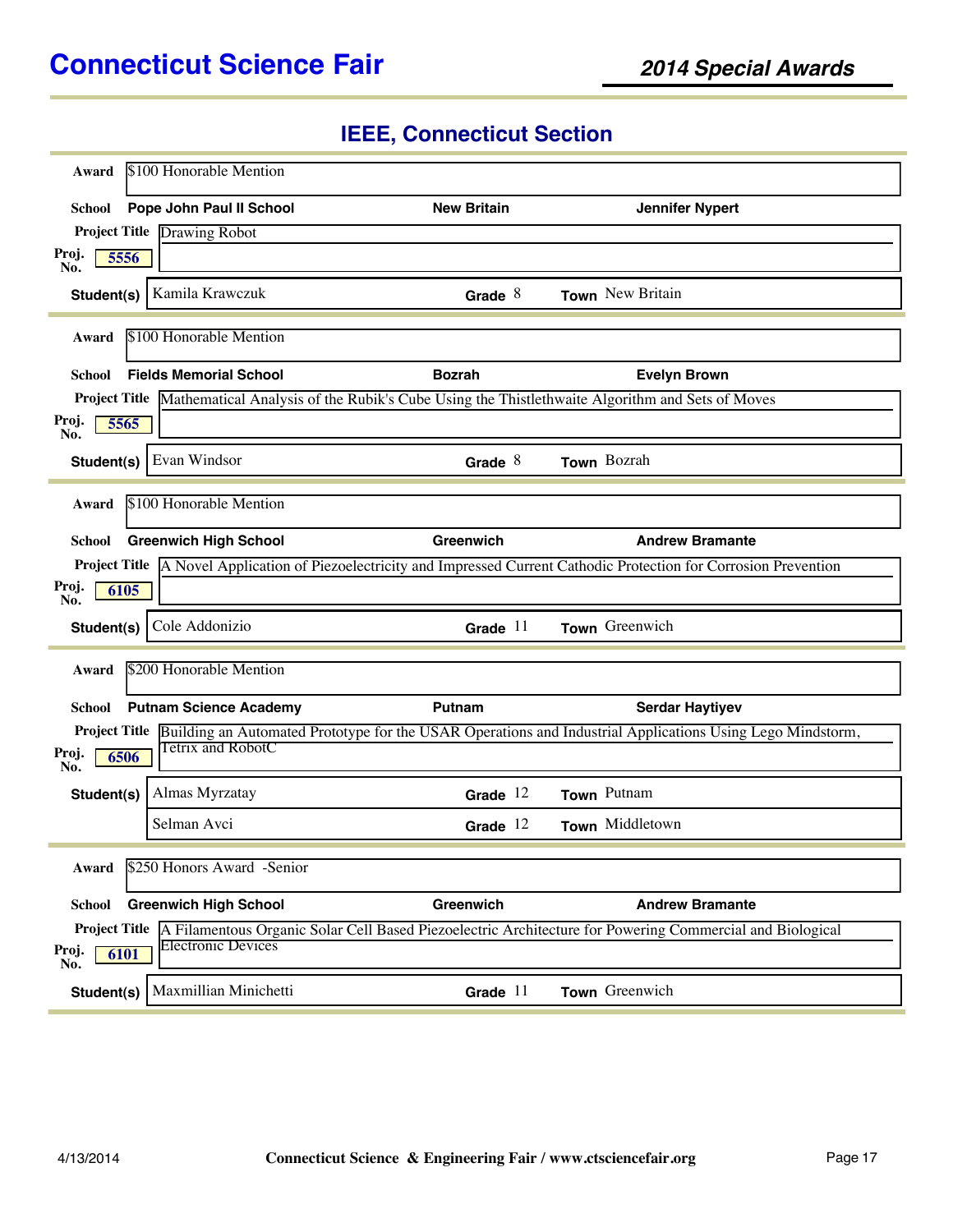# **IEEE, Connecticut Section**

| Award                                        | \$100 Honorable Mention       |                    |                                                                                                                                 |
|----------------------------------------------|-------------------------------|--------------------|---------------------------------------------------------------------------------------------------------------------------------|
| School                                       | Pope John Paul II School      | <b>New Britain</b> | <b>Jennifer Nypert</b>                                                                                                          |
| <b>Project Title Drawing Robot</b>           |                               |                    |                                                                                                                                 |
| Proj.<br>5556<br>No.                         |                               |                    |                                                                                                                                 |
| Student(s) $ $                               | Kamila Krawczuk               | Grade $8$          | Town New Britain                                                                                                                |
| Award                                        | \$100 Honorable Mention       |                    |                                                                                                                                 |
| School                                       | <b>Fields Memorial School</b> | <b>Bozrah</b>      | <b>Evelyn Brown</b>                                                                                                             |
|                                              |                               |                    | Project Title Mathematical Analysis of the Rubik's Cube Using the Thistlethwaite Algorithm and Sets of Moves                    |
| Proj.<br>5565<br>No.                         |                               |                    |                                                                                                                                 |
| Student(s)                                   | Evan Windsor                  | Grade $8$          | Town Bozrah                                                                                                                     |
| Award                                        | \$100 Honorable Mention       |                    |                                                                                                                                 |
| School                                       | <b>Greenwich High School</b>  | <b>Greenwich</b>   | <b>Andrew Bramante</b>                                                                                                          |
|                                              |                               |                    | <b>Project Title</b> A Novel Application of Piezoelectricity and Impressed Current Cathodic Protection for Corrosion Prevention |
| Proj.<br>6105<br>No.                         |                               |                    |                                                                                                                                 |
| Student(s)                                   | Cole Addonizio                | Grade $11$         | Town Greenwich                                                                                                                  |
| Award                                        | \$200 Honorable Mention       |                    |                                                                                                                                 |
| School                                       | <b>Putnam Science Academy</b> | Putnam             | <b>Serdar Haytiyev</b>                                                                                                          |
| Proj.<br>6506<br>No.                         | Tetrix and RobotC             |                    | <b>Project Title</b> Building an Automated Prototype for the USAR Operations and Industrial Applications Using Lego Mindstorm,  |
| Student(s)                                   | Almas Myrzatay                | Grade $12$         | Town Putnam                                                                                                                     |
|                                              | Selman Avci                   | Grade $12$         | Town Middletown                                                                                                                 |
| Award                                        | \$250 Honors Award -Senior    |                    |                                                                                                                                 |
| School                                       | <b>Greenwich High School</b>  | Greenwich          | <b>Andrew Bramante</b>                                                                                                          |
| <b>Project Title</b><br>Proj.<br>6101<br>No. | <b>Electronic Devices</b>     |                    | A Filamentous Organic Solar Cell Based Piezoelectric Architecture for Powering Commercial and Biological                        |
| Student(s)                                   | Maxmillian Minichetti         | Grade $11$         | Town Greenwich                                                                                                                  |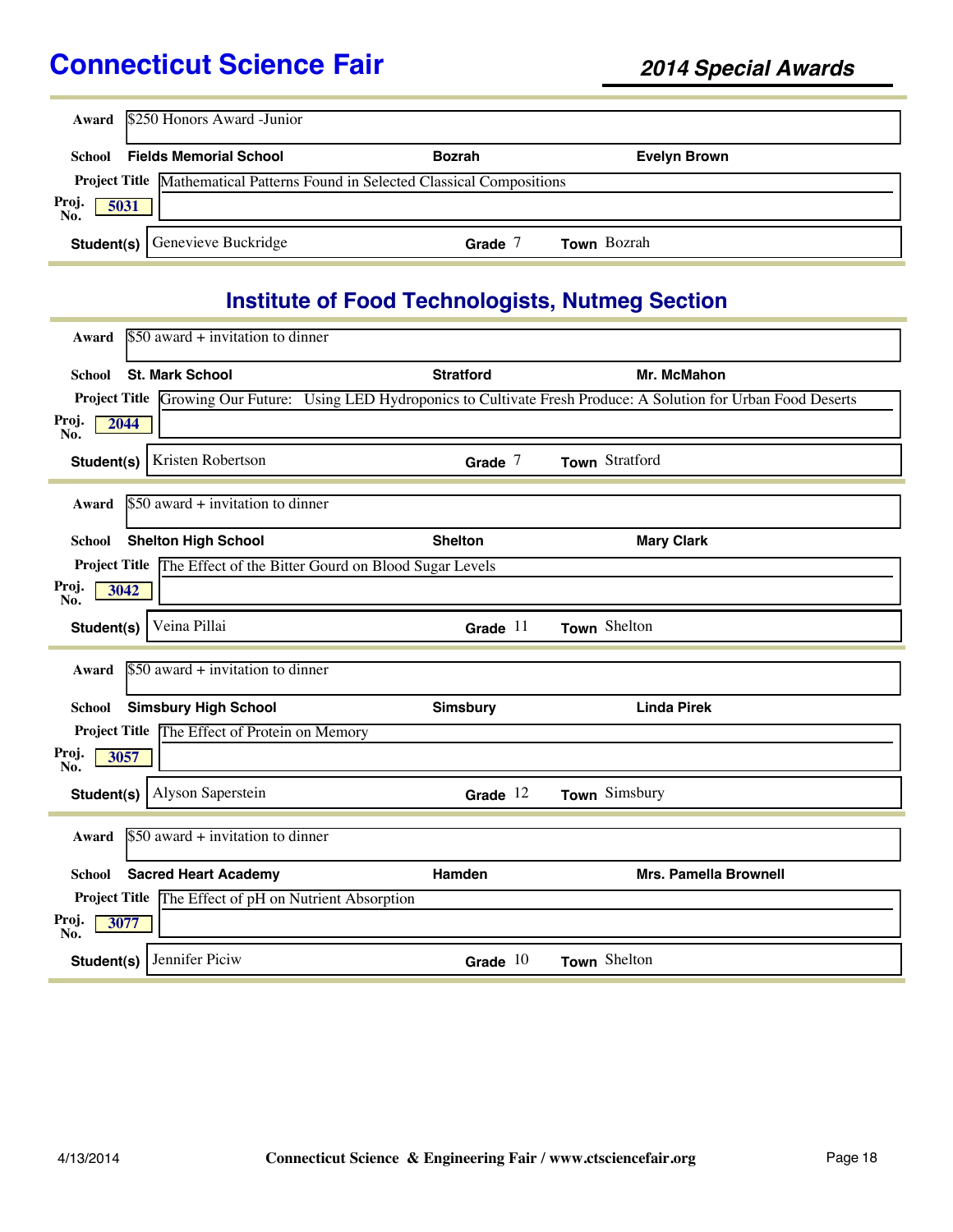|                      | Award \$250 Honors Award - Junior                                            |               |                     |  |  |  |
|----------------------|------------------------------------------------------------------------------|---------------|---------------------|--|--|--|
| <b>School</b>        | <b>Fields Memorial School</b>                                                | <b>Bozrah</b> | <b>Evelyn Brown</b> |  |  |  |
|                      | Project Title Mathematical Patterns Found in Selected Classical Compositions |               |                     |  |  |  |
| Proj.<br>No.<br>5031 |                                                                              |               |                     |  |  |  |
|                      | <b>Student(s)</b> Genevieve Buckridge                                        | Grade         | <b>Town</b> Bozrah  |  |  |  |

# **Institute of Food Technologists, Nutmeg Section**

| Award                               | $$50$ award + invitation to dinner                    |                                                                    |                                                                                                                              |  |
|-------------------------------------|-------------------------------------------------------|--------------------------------------------------------------------|------------------------------------------------------------------------------------------------------------------------------|--|
| School                              | <b>St. Mark School</b>                                | <b>Stratford</b>                                                   | Mr. McMahon                                                                                                                  |  |
|                                     |                                                       |                                                                    | <b>Project Title Growing Our Future:</b> Using LED Hydroponics to Cultivate Fresh Produce: A Solution for Urban Food Deserts |  |
| Proj.<br>2044<br>No.                |                                                       |                                                                    |                                                                                                                              |  |
| Student(s)                          | Kristen Robertson                                     | Grade $7$                                                          | Town Stratford                                                                                                               |  |
| Award                               | $$50$ award + invitation to dinner                    |                                                                    |                                                                                                                              |  |
| School                              | <b>Shelton High School</b>                            | <b>Shelton</b>                                                     | <b>Mary Clark</b>                                                                                                            |  |
|                                     |                                                       | Project Title The Effect of the Bitter Gourd on Blood Sugar Levels |                                                                                                                              |  |
| Proj.<br>3042<br>No.                |                                                       |                                                                    |                                                                                                                              |  |
| Student(s)                          | Veina Pillai                                          | Grade $11$                                                         | Town Shelton                                                                                                                 |  |
| Award                               | $$50$ award + invitation to dinner                    |                                                                    |                                                                                                                              |  |
| School                              | <b>Simsbury High School</b>                           | <b>Simsbury</b>                                                    | <b>Linda Pirek</b>                                                                                                           |  |
|                                     | Project Title The Effect of Protein on Memory         |                                                                    |                                                                                                                              |  |
| Proj.<br>3057<br>No.                |                                                       |                                                                    |                                                                                                                              |  |
| Student(s)                          | Alyson Saperstein                                     | Grade $12$                                                         | Town Simsbury                                                                                                                |  |
| Award                               | $$50$ award + invitation to dinner                    |                                                                    |                                                                                                                              |  |
| <b>School</b>                       | <b>Sacred Heart Academy</b>                           | Hamden                                                             | <b>Mrs. Pamella Brownell</b>                                                                                                 |  |
|                                     | Project Title The Effect of pH on Nutrient Absorption |                                                                    |                                                                                                                              |  |
| Proj.<br>3077<br>$\overline{N_0}$ . |                                                       |                                                                    |                                                                                                                              |  |
| Student(s)                          | Jennifer Piciw                                        | Grade $10$                                                         | Town Shelton                                                                                                                 |  |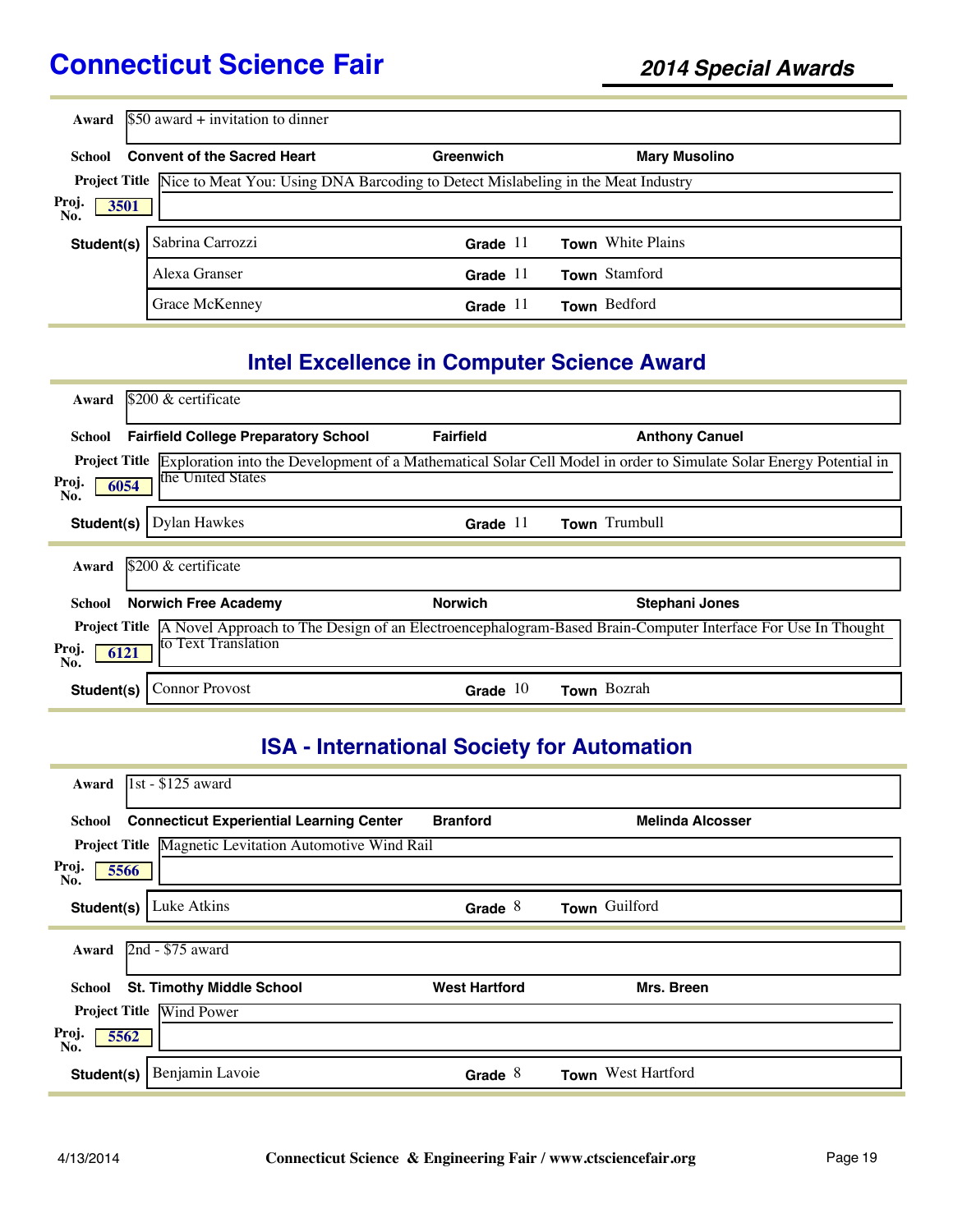| Award                | $$50$ award + invitation to dinner                                                                    |              |                          |  |
|----------------------|-------------------------------------------------------------------------------------------------------|--------------|--------------------------|--|
| School               | <b>Convent of the Sacred Heart</b>                                                                    | Greenwich    | <b>Mary Musolino</b>     |  |
|                      | <b>Project Title</b> Nice to Meat You: Using DNA Barcoding to Detect Mislabeling in the Meat Industry |              |                          |  |
| Proj.<br>3501<br>No. |                                                                                                       |              |                          |  |
| Student(s)           | Sabrina Carrozzi                                                                                      | Grade $11$   | <b>Town</b> White Plains |  |
|                      | Alexa Granser                                                                                         | Grade $11$   | Town Stamford            |  |
|                      | Grace McKenney                                                                                        | Grade<br>-11 | Town Bedford             |  |

# **Intel Excellence in Computer Science Award**

| Award                | $$200 \&$ certificate                       |                  |                                                                                                                                  |
|----------------------|---------------------------------------------|------------------|----------------------------------------------------------------------------------------------------------------------------------|
| School               | <b>Fairfield College Preparatory School</b> | <b>Fairfield</b> | <b>Anthony Canuel</b>                                                                                                            |
| <b>Project Title</b> |                                             |                  | Exploration into the Development of a Mathematical Solar Cell Model in order to Simulate Solar Energy Potential in               |
| Proj.<br>6054<br>No. | the United States                           |                  |                                                                                                                                  |
| Student(s)           | Dylan Hawkes                                | Grade $11$       | Town Trumbull                                                                                                                    |
|                      |                                             |                  |                                                                                                                                  |
| Award                | $$200 \&$ certificate                       |                  |                                                                                                                                  |
| School               | <b>Norwich Free Academy</b>                 | <b>Norwich</b>   | <b>Stephani Jones</b>                                                                                                            |
|                      |                                             |                  | <b>Project Title</b> A Novel Approach to The Design of an Electroencephalogram-Based Brain-Computer Interface For Use In Thought |
| Proj.<br>6121<br>No. | to Text Translation                         |                  |                                                                                                                                  |
| Student(s)           | <b>Connor Provost</b>                       | Grade $10$       | Town Bozrah                                                                                                                      |

# **ISA - International Society for Automation**

| 1st - \$125 award<br>Award                                    |                      |                         |
|---------------------------------------------------------------|----------------------|-------------------------|
| <b>Connecticut Experiential Learning Center</b><br>School     | <b>Branford</b>      | <b>Melinda Alcosser</b> |
| <b>Project Title Magnetic Levitation Automotive Wind Rail</b> |                      |                         |
| Proj.<br>5566<br>No.                                          |                      |                         |
| Luke Atkins<br>Student(s)                                     | Grade $8$            | Town Guilford           |
| 2nd - \$75 award<br>Award                                     |                      |                         |
| <b>St. Timothy Middle School</b><br>School                    | <b>West Hartford</b> | Mrs. Breen              |
| <b>Project Title</b><br>Wind Power                            |                      |                         |
| Proj.<br>5562<br>No.                                          |                      |                         |
| Benjamin Lavoie<br>Student(s)                                 | Grade $8$            | Town West Hartford      |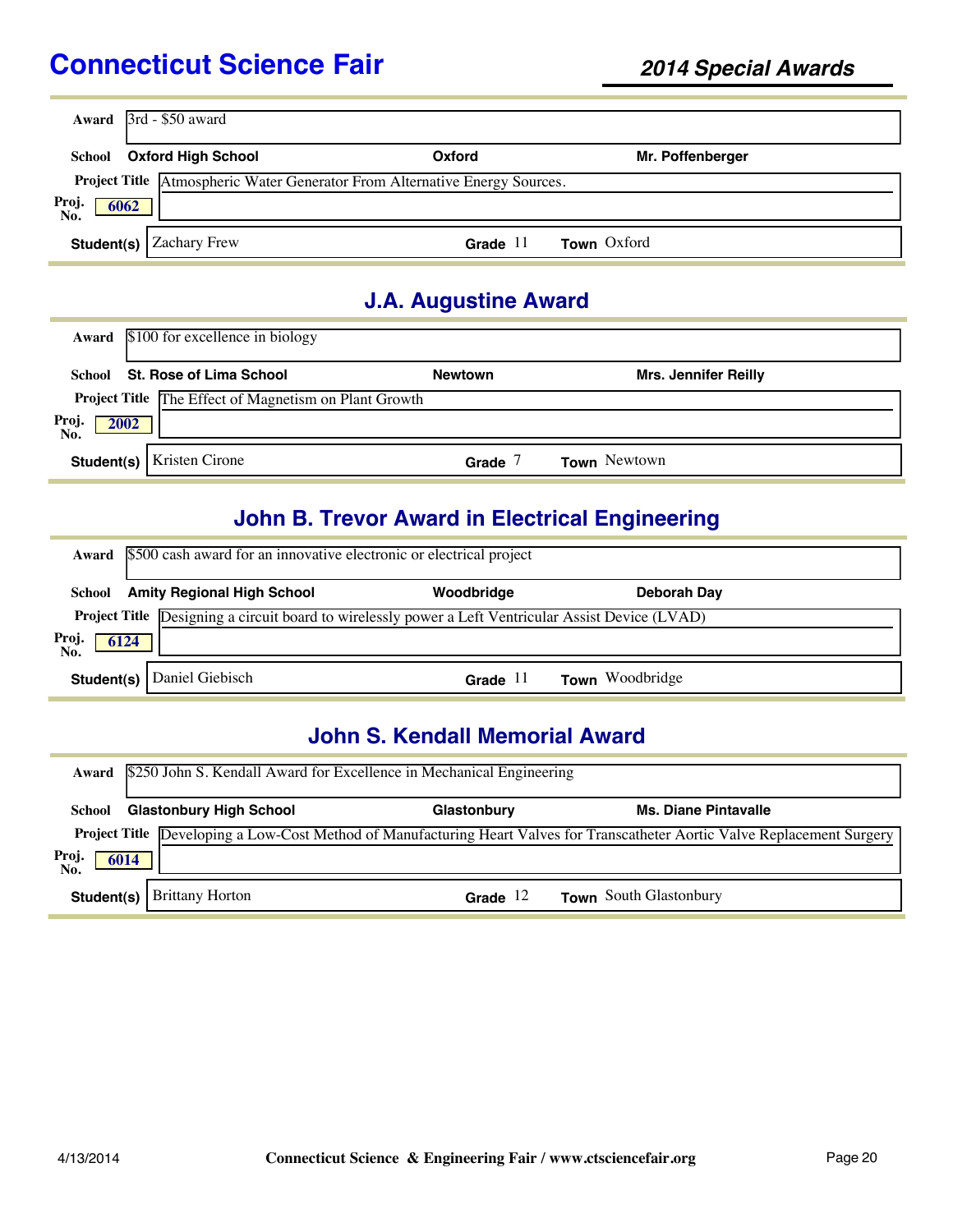|                      | Award $3rd - $50$ award   |                                                                            |                  |  |
|----------------------|---------------------------|----------------------------------------------------------------------------|------------------|--|
| School               | <b>Oxford High School</b> | Oxford                                                                     | Mr. Poffenberger |  |
|                      |                           | Project Title Atmospheric Water Generator From Alternative Energy Sources. |                  |  |
| Proj.<br>6062<br>No. |                           |                                                                            |                  |  |
| Student(s)           | <b>Zachary Frew</b>       | Grade $11$                                                                 | Town Oxford      |  |

### **J.A. Augustine Award**

|                     | Award \$100 for excellence in biology                 |                |                             |
|---------------------|-------------------------------------------------------|----------------|-----------------------------|
|                     | School St. Rose of Lima School                        | <b>Newtown</b> | <b>Mrs. Jennifer Reilly</b> |
|                     | Project Title The Effect of Magnetism on Plant Growth |                |                             |
| Proj<br>No.<br>2002 |                                                       |                |                             |
|                     | <b>Student(s)</b>   Kristen Cirone                    | Grade          | <b>Town</b> Newtown         |

# **John B. Trevor Award in Electrical Engineering**

|                      | Award \$500 cash award for an innovative electronic or electrical project                                  |            |                        |  |  |
|----------------------|------------------------------------------------------------------------------------------------------------|------------|------------------------|--|--|
|                      | <b>School</b> Amity Regional High School                                                                   | Woodbridge | Deborah Day            |  |  |
|                      | <b>Project Title</b> Designing a circuit board to wirelessly power a Left Ventricular Assist Device (LVAD) |            |                        |  |  |
| Proj.<br>No.<br>6124 |                                                                                                            |            |                        |  |  |
|                      | <b>Student(s)</b>   Daniel Giebisch                                                                        | Grade $11$ | <b>Town</b> Woodbridge |  |  |

### **John S. Kendall Memorial Award**

|              | Award \$250 John S. Kendall Award for Excellence in Mechanical Engineering |             |                                                                                                                             |  |  |
|--------------|----------------------------------------------------------------------------|-------------|-----------------------------------------------------------------------------------------------------------------------------|--|--|
| School       | <b>Glastonbury High School</b>                                             | Glastonbury | <b>Ms. Diane Pintavalle</b>                                                                                                 |  |  |
| Proj<br>6014 |                                                                            |             | Project Title Developing a Low-Cost Method of Manufacturing Heart Valves for Transcatheter Aortic Valve Replacement Surgery |  |  |
| No.          | <b>Student(s)</b> Brittany Horton                                          | Grade $12$  | <b>Town</b> South Glastonbury                                                                                               |  |  |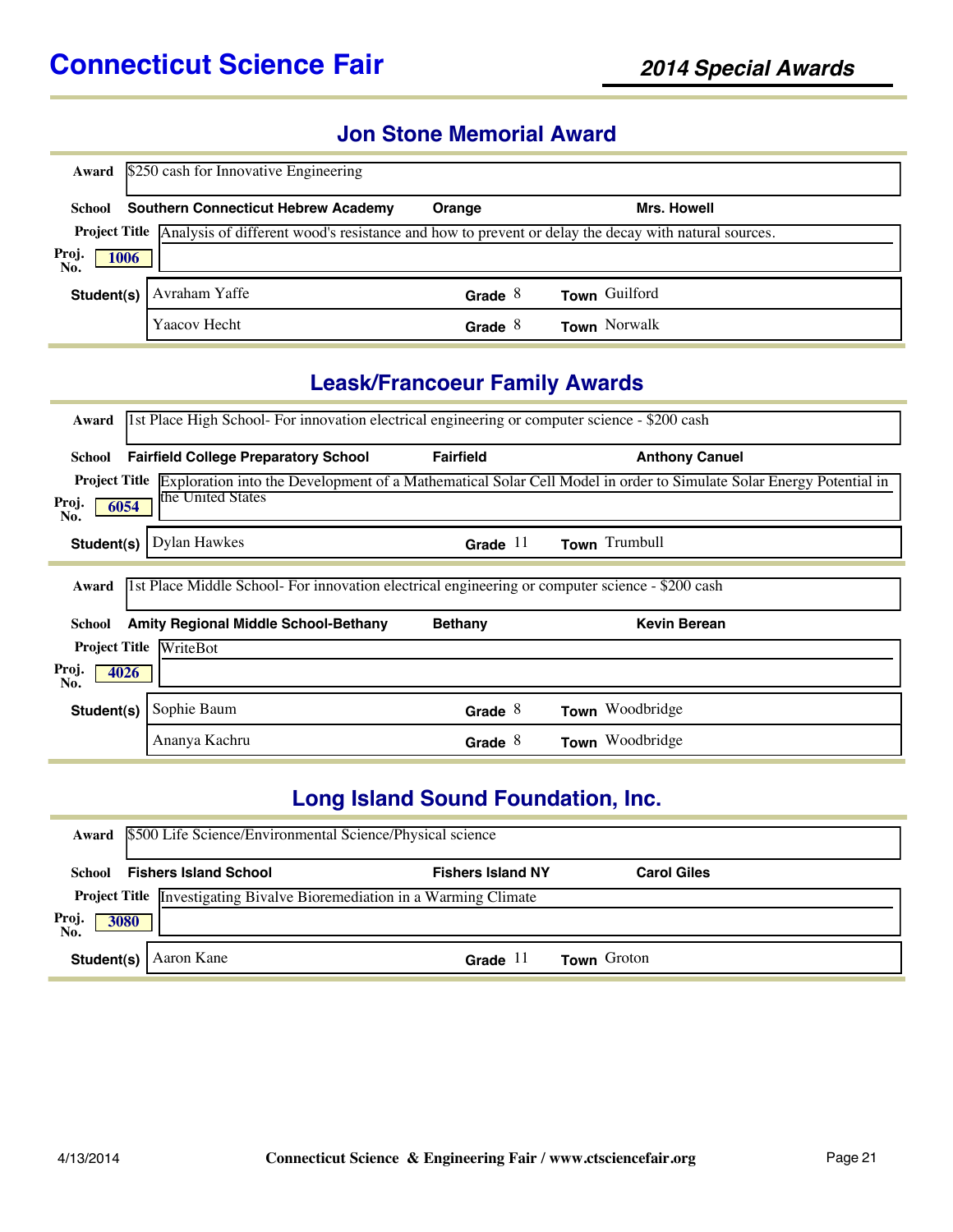### **Jon Stone Memorial Award**

| Award                | \$250 cash for Innovative Engineering                                                                             |           |               |  |
|----------------------|-------------------------------------------------------------------------------------------------------------------|-----------|---------------|--|
|                      | <b>School</b> Southern Connecticut Hebrew Academy                                                                 | Orange    | Mrs. Howell   |  |
|                      | Project Title Analysis of different wood's resistance and how to prevent or delay the decay with natural sources. |           |               |  |
| Proj.<br>1006<br>No. |                                                                                                                   |           |               |  |
| Student(s)           | Avraham Yaffe                                                                                                     | Grade $8$ | Town Guilford |  |
|                      | Yaacov Hecht                                                                                                      | Grade $8$ | Town Norwalk  |  |

### **Leask/Francoeur Family Awards**

| Award                | 1st Place High School- For innovation electrical engineering or computer science - \$200 cash   |                  |                                                                                                                                         |  |  |
|----------------------|-------------------------------------------------------------------------------------------------|------------------|-----------------------------------------------------------------------------------------------------------------------------------------|--|--|
| School               | <b>Fairfield College Preparatory School</b>                                                     | <b>Fairfield</b> | <b>Anthony Canuel</b>                                                                                                                   |  |  |
|                      |                                                                                                 |                  | <b>Project Title</b> Exploration into the Development of a Mathematical Solar Cell Model in order to Simulate Solar Energy Potential in |  |  |
| Proj.<br>6054<br>No. | the United States                                                                               |                  |                                                                                                                                         |  |  |
| Student(s)           | <b>Dylan Hawkes</b>                                                                             | Grade $11$       | Town Trumbull                                                                                                                           |  |  |
| Award                | 1st Place Middle School- For innovation electrical engineering or computer science - \$200 cash |                  |                                                                                                                                         |  |  |
| School               | <b>Amity Regional Middle School-Bethany</b>                                                     | <b>Bethany</b>   | <b>Kevin Berean</b>                                                                                                                     |  |  |
| <b>Project Title</b> | WriteBot                                                                                        |                  |                                                                                                                                         |  |  |
| Proj.<br>4026<br>No. |                                                                                                 |                  |                                                                                                                                         |  |  |
| Student(s)           | Sophie Baum                                                                                     | Grade $8$        | Town Woodbridge                                                                                                                         |  |  |
|                      | Ananya Kachru                                                                                   | Grade $8$        | Woodbridge<br>Town                                                                                                                      |  |  |

# **Long Island Sound Foundation, Inc.**

|                      | Award \$500 Life Science/Environmental Science/Physical science                |                          |                    |  |  |
|----------------------|--------------------------------------------------------------------------------|--------------------------|--------------------|--|--|
| School               | <b>Fishers Island School</b>                                                   | <b>Fishers Island NY</b> | <b>Carol Giles</b> |  |  |
|                      | <b>Project Title</b> Investigating Bivalve Bioremediation in a Warming Climate |                          |                    |  |  |
| Proj.<br>No.<br>3080 |                                                                                |                          |                    |  |  |
|                      | <b>Student(s)</b>   Aaron Kane                                                 | Grade $11$               | <b>Town</b> Groton |  |  |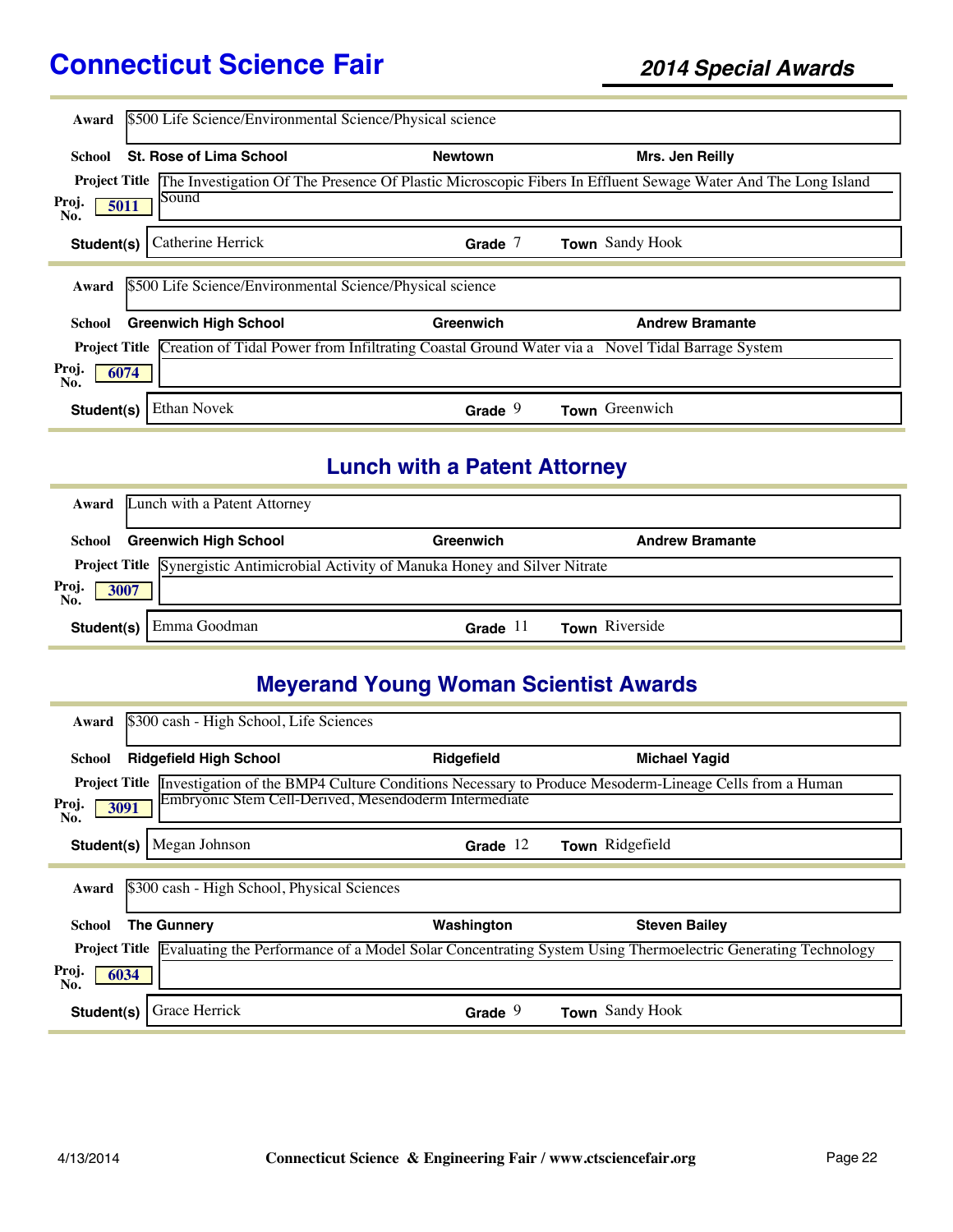| Award        | \$500 Life Science/Environmental Science/Physical science                                                            |                |                                                                                                                                   |  |
|--------------|----------------------------------------------------------------------------------------------------------------------|----------------|-----------------------------------------------------------------------------------------------------------------------------------|--|
|              |                                                                                                                      |                |                                                                                                                                   |  |
| School       | St. Rose of Lima School                                                                                              | <b>Newtown</b> | Mrs. Jen Reilly                                                                                                                   |  |
|              |                                                                                                                      |                | <b>Project Title</b> The Investigation Of The Presence Of Plastic Microscopic Fibers In Effluent Sewage Water And The Long Island |  |
| Proj.<br>No. | Sound<br>5011                                                                                                        |                |                                                                                                                                   |  |
| Student(s)   | Catherine Herrick                                                                                                    | Grade $7$      | Town Sandy Hook                                                                                                                   |  |
|              |                                                                                                                      |                |                                                                                                                                   |  |
| Award        | \$500 Life Science/Environmental Science/Physical science                                                            |                |                                                                                                                                   |  |
| School       | <b>Greenwich High School</b>                                                                                         | Greenwich      | <b>Andrew Bramante</b>                                                                                                            |  |
|              | <b>Project Title Creation of Tidal Power from Infiltrating Coastal Ground Water via a</b> Novel Tidal Barrage System |                |                                                                                                                                   |  |
| Proj.<br>No. | 6074                                                                                                                 |                |                                                                                                                                   |  |
| Student(s)   | <b>Ethan Novek</b>                                                                                                   | Grade $9$      | Town Greenwich                                                                                                                    |  |

#### **Lunch with a Patent Attorney**

|                               | <b>Award</b> Lunch with a Patent Attorney                                           |                     |                        |  |
|-------------------------------|-------------------------------------------------------------------------------------|---------------------|------------------------|--|
| School                        | <b>Greenwich High School</b>                                                        | Greenwich           | <b>Andrew Bramante</b> |  |
|                               | Project Title Synergistic Antimicrobial Activity of Manuka Honey and Silver Nitrate |                     |                        |  |
| Proj.<br>No.<br>$\sqrt{3007}$ |                                                                                     |                     |                        |  |
|                               | <b>Student(s)</b> Emma Goodman                                                      | Grade <sup>11</sup> | <b>Town</b> Riverside  |  |

# **Meyerand Young Woman Scientist Awards**

| Award                | \$300 cash - High School, Life Sciences     |                                                                                                                           |                      |  |
|----------------------|---------------------------------------------|---------------------------------------------------------------------------------------------------------------------------|----------------------|--|
| School               | <b>Ridgefield High School</b>               | Ridgefield                                                                                                                | <b>Michael Yagid</b> |  |
| <b>Project Title</b> |                                             | Investigation of the BMP4 Culture Conditions Necessary to Produce Mesoderm-Lineage Cells from a Human                     |                      |  |
| Proj.<br>3091<br>No. |                                             | Embryonic Stem Cell-Derived, Mesendoderm Intermediate                                                                     |                      |  |
| Student(s)           | Megan Johnson                               | Grade $12$                                                                                                                | Town Ridgefield      |  |
|                      |                                             |                                                                                                                           |                      |  |
| Award                | \$300 cash - High School, Physical Sciences |                                                                                                                           |                      |  |
| School               | <b>The Gunnery</b>                          | Washington                                                                                                                | <b>Steven Bailey</b> |  |
|                      |                                             | Project Title Evaluating the Performance of a Model Solar Concentrating System Using Thermoelectric Generating Technology |                      |  |
| Proj.<br>6034<br>No. |                                             |                                                                                                                           |                      |  |
| Student(s)           | Grace Herrick                               | Grade $9$                                                                                                                 | Town Sandy Hook      |  |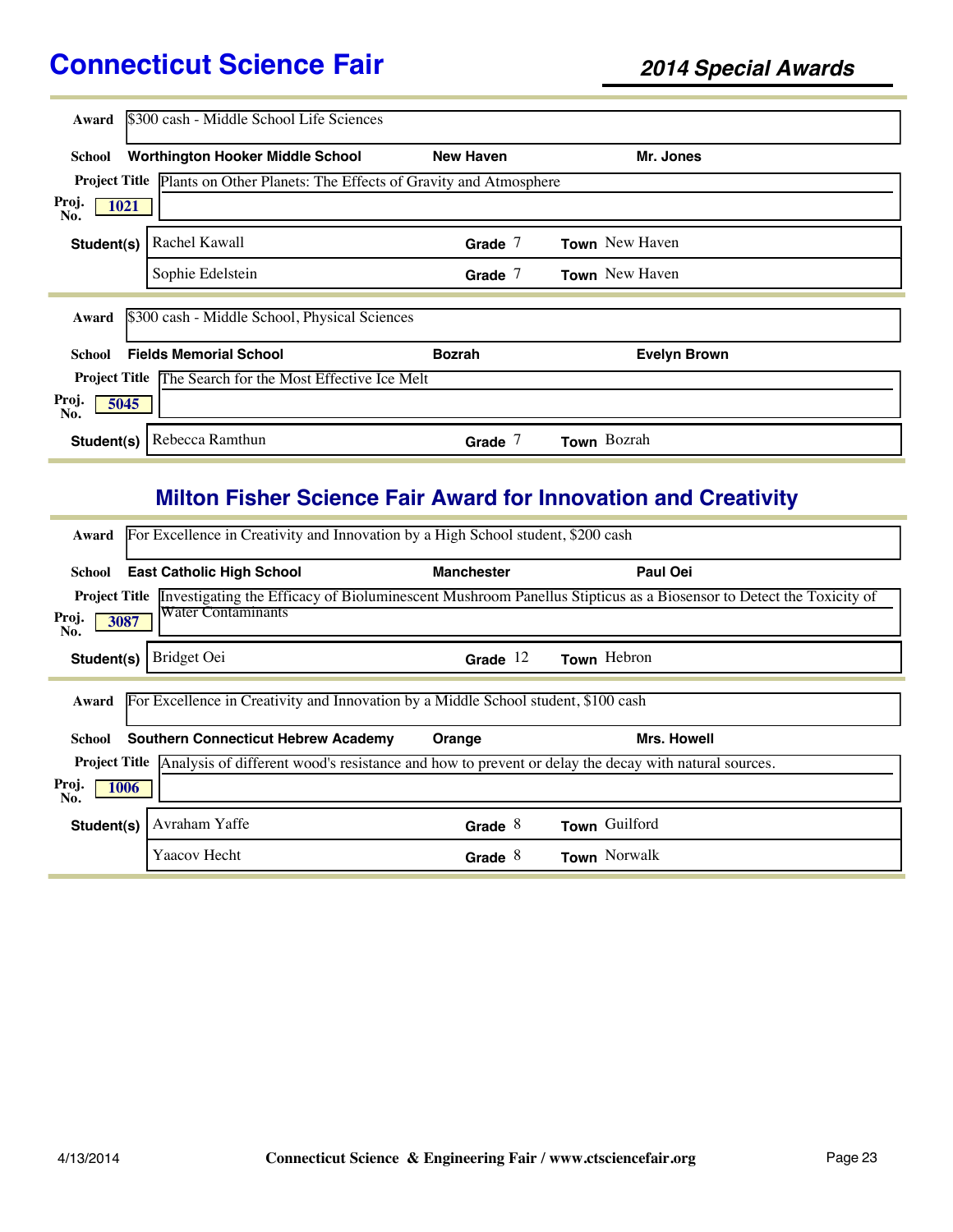| Award                | \$300 cash - Middle School Life Sciences                                            |                  |                     |
|----------------------|-------------------------------------------------------------------------------------|------------------|---------------------|
| School               | <b>Worthington Hooker Middle School</b>                                             | <b>New Haven</b> | Mr. Jones           |
|                      | <b>Project Title</b> Plants on Other Planets: The Effects of Gravity and Atmosphere |                  |                     |
| Proj.<br>1021<br>No. |                                                                                     |                  |                     |
| Student(s)           | Rachel Kawall                                                                       | Grade $7$        | Town New Haven      |
|                      | Sophie Edelstein                                                                    | Grade $7$        | Town New Haven      |
| Award                | \$300 cash - Middle School, Physical Sciences                                       |                  |                     |
| School               | <b>Fields Memorial School</b>                                                       | <b>Bozrah</b>    | <b>Evelyn Brown</b> |
|                      | <b>Project Title The Search for the Most Effective Ice Melt</b>                     |                  |                     |
| Proj.<br>5045<br>No. |                                                                                     |                  |                     |
| Student(s)           | Rebecca Ramthun                                                                     | Grade $7$        | Town Bozrah         |

# **Milton Fisher Science Fair Award for Innovation and Creativity**

| Award                | For Excellence in Creativity and Innovation by a High School student, \$200 cash                                         |                   |                    |  |  |  |
|----------------------|--------------------------------------------------------------------------------------------------------------------------|-------------------|--------------------|--|--|--|
| School               | <b>East Catholic High School</b>                                                                                         | <b>Manchester</b> | Paul Oei           |  |  |  |
| <b>Project Title</b> | Investigating the Efficacy of Bioluminescent Mushroom Panellus Stipticus as a Biosensor to Detect the Toxicity of        |                   |                    |  |  |  |
| Proj.<br>3087<br>No. | <b>Water Contaminants</b>                                                                                                |                   |                    |  |  |  |
| Student(s)           | Bridget Oei                                                                                                              | Grade $12$        | Town Hebron        |  |  |  |
| Award                | For Excellence in Creativity and Innovation by a Middle School student, \$100 cash                                       |                   |                    |  |  |  |
| School               | <b>Southern Connecticut Hebrew Academy</b>                                                                               | Orange            | <b>Mrs. Howell</b> |  |  |  |
|                      | <b>Project Title</b> Analysis of different wood's resistance and how to prevent or delay the decay with natural sources. |                   |                    |  |  |  |
| Proj.<br>1006<br>No. |                                                                                                                          |                   |                    |  |  |  |
| Student(s)           | Avraham Yaffe                                                                                                            | Grade $8$         | Town Guilford      |  |  |  |
|                      | Yaacov Hecht                                                                                                             | Grade $8$         | Town Norwalk       |  |  |  |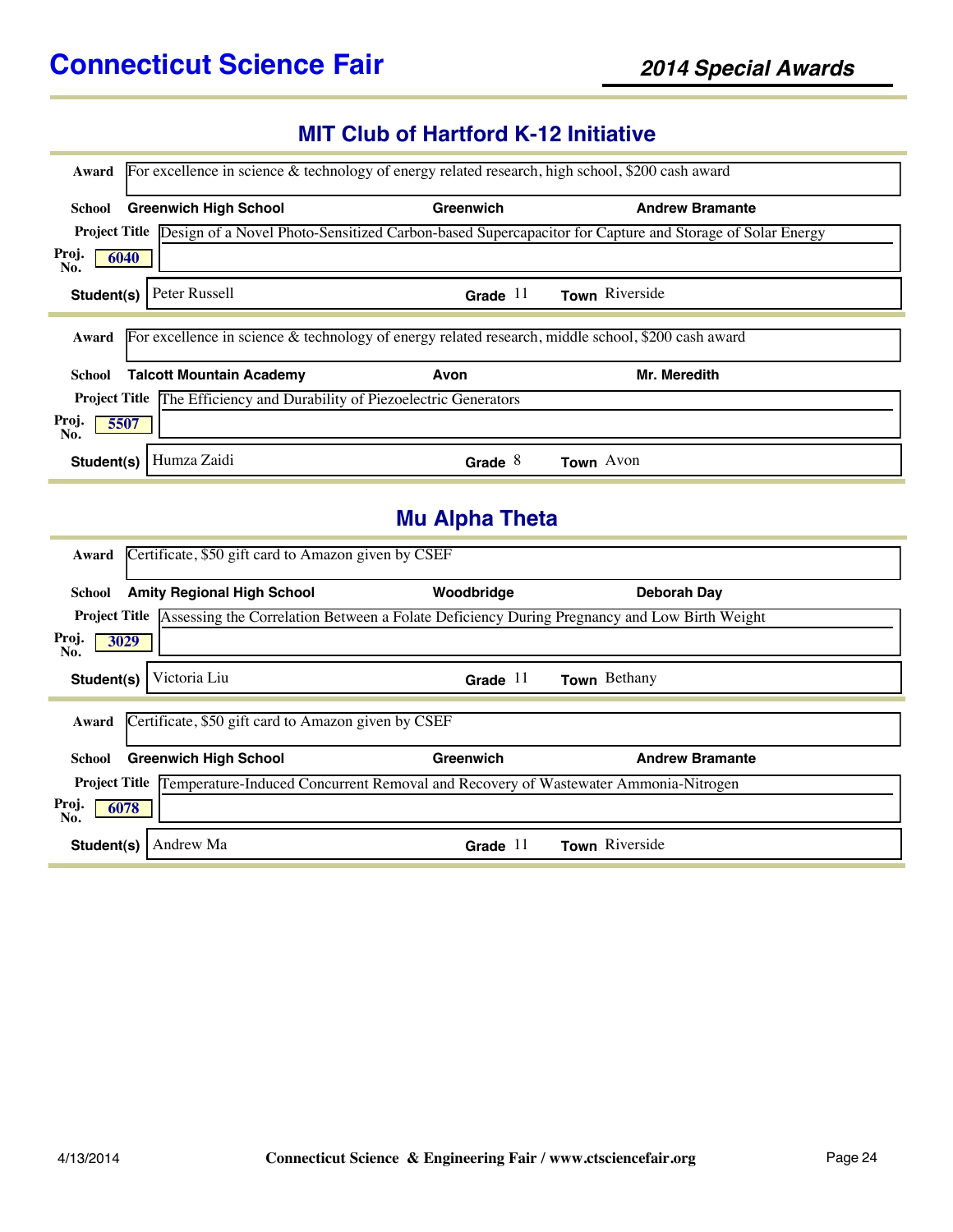### **MIT Club of Hartford K-12 Initiative**

| Award                                                                                                                       | For excellence in science & technology of energy related research, high school, \$200 cash award |                        |  |  |  |
|-----------------------------------------------------------------------------------------------------------------------------|--------------------------------------------------------------------------------------------------|------------------------|--|--|--|
| <b>Greenwich High School</b><br>School                                                                                      | Greenwich                                                                                        | <b>Andrew Bramante</b> |  |  |  |
| <b>Project Title</b> Design of a Novel Photo-Sensitized Carbon-based Supercapacitor for Capture and Storage of Solar Energy |                                                                                                  |                        |  |  |  |
| Proj.<br>6040<br>No.                                                                                                        |                                                                                                  |                        |  |  |  |
| Peter Russell<br>Student(s)                                                                                                 | Grade $11$                                                                                       | Town Riverside         |  |  |  |
| For excellence in science $\&$ technology of energy related research, middle school, \$200 cash award<br>Award              |                                                                                                  |                        |  |  |  |
| <b>Talcott Mountain Academy</b><br>School                                                                                   | Avon                                                                                             | Mr. Meredith           |  |  |  |
| <b>Project Title</b> The Efficiency and Durability of Piezoelectric Generators                                              |                                                                                                  |                        |  |  |  |
| Proj.<br>5507<br>No.                                                                                                        |                                                                                                  |                        |  |  |  |
| Humza Zaidi<br>Student(s)                                                                                                   | Grade $8$                                                                                        | Town Avon              |  |  |  |
|                                                                                                                             | <b>Mu Alpha Theta</b>                                                                            |                        |  |  |  |
| Certificate, \$50 gift card to Amazon given by CSEF<br>Award                                                                |                                                                                                  |                        |  |  |  |
| <b>Amity Regional High School</b><br>School                                                                                 | Woodbridge                                                                                       | <b>Deborah Day</b>     |  |  |  |
| <b>Project Title</b> Assessing the Correlation Between a Folate Deficiency During Pregnancy and Low Birth Weight            |                                                                                                  |                        |  |  |  |
| Proj.<br>3029<br>No.                                                                                                        |                                                                                                  |                        |  |  |  |
| Victoria Liu<br>Student(s)                                                                                                  | Grade $11$                                                                                       | Town Bethany           |  |  |  |
| Certificate, \$50 gift card to Amazon given by CSEF<br>Award                                                                |                                                                                                  |                        |  |  |  |
| <b>Greenwich High School</b><br><b>School</b>                                                                               | Greenwich                                                                                        | <b>Andrew Bramante</b> |  |  |  |
| <b>Project Title</b>                                                                                                        | Temperature-Induced Concurrent Removal and Recovery of Wastewater Ammonia-Nitrogen               |                        |  |  |  |
| Proj.<br>6078<br>No.                                                                                                        |                                                                                                  |                        |  |  |  |
| Andrew Ma<br>Student(s)                                                                                                     | Grade $11$                                                                                       | Town Riverside         |  |  |  |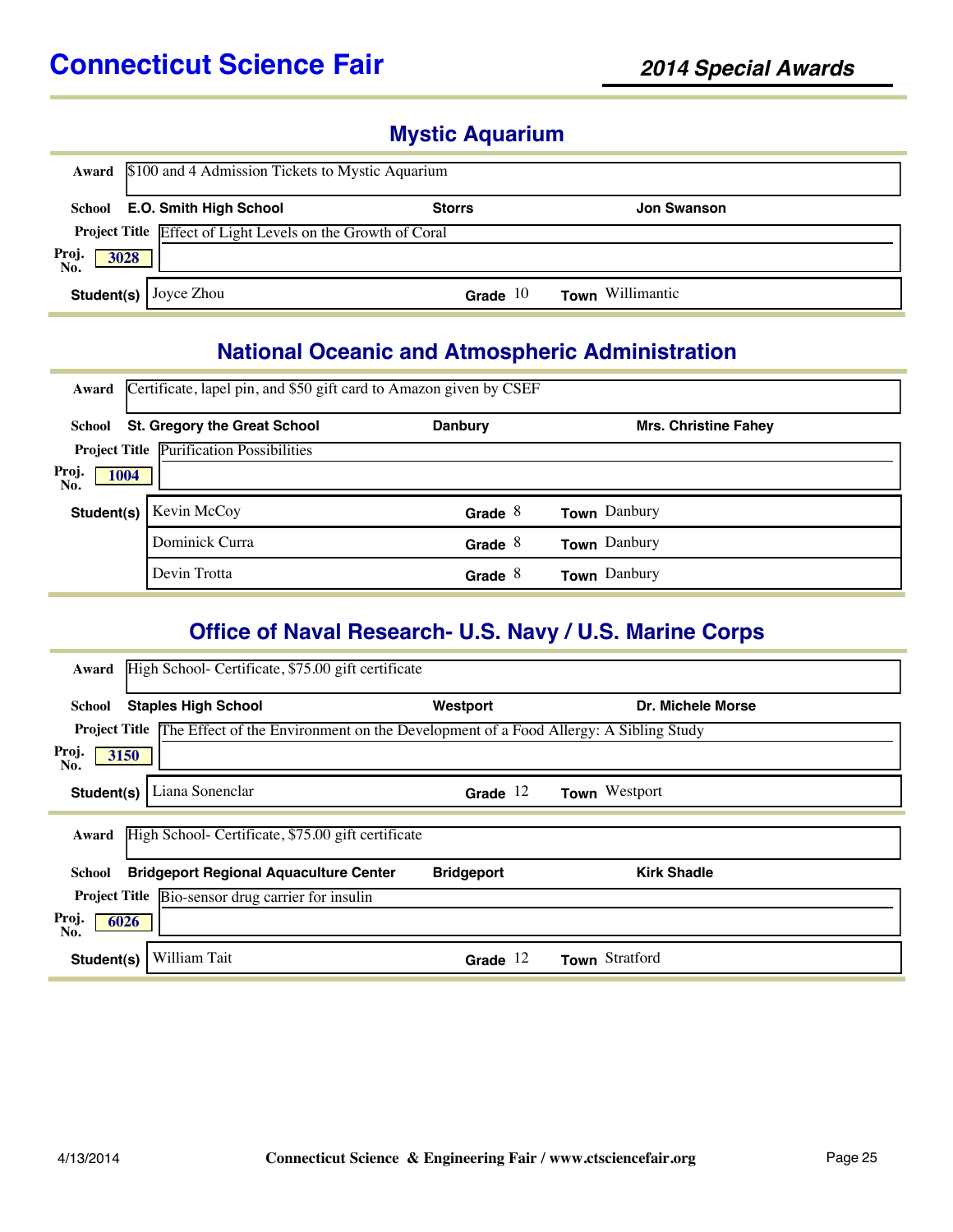### **Mystic Aquarium**

|                      | Award \$100 and 4 Admission Tickets to Mystic Aquarium |                                                             |               |                    |  |  |
|----------------------|--------------------------------------------------------|-------------------------------------------------------------|---------------|--------------------|--|--|
|                      |                                                        | School E.O. Smith High School                               | <b>Storrs</b> | <b>Jon Swanson</b> |  |  |
|                      |                                                        | Project Title Effect of Light Levels on the Growth of Coral |               |                    |  |  |
| Proj.<br>No.<br>3028 |                                                        |                                                             |               |                    |  |  |
|                      |                                                        | <b>Student(s)</b> Joyce Zhou                                | Grade $10$    | Town Willimantic   |  |  |

#### **National Oceanic and Atmospheric Administration**

| Award                       | Certificate, lapel pin, and \$50 gift card to Amazon given by CSEF |                |                             |  |  |  |
|-----------------------------|--------------------------------------------------------------------|----------------|-----------------------------|--|--|--|
| School                      | <b>St. Gregory the Great School</b>                                | <b>Danbury</b> | <b>Mrs. Christine Fahev</b> |  |  |  |
|                             | <b>Project Title Purification Possibilities</b>                    |                |                             |  |  |  |
| Proj.<br><b>1004</b><br>No. |                                                                    |                |                             |  |  |  |
| Student(s)                  | Kevin McCoy                                                        | Grade $8$      | <b>Town</b> Danbury         |  |  |  |
|                             | Dominick Curra                                                     | Grade $8$      | <b>Town</b> Danbury         |  |  |  |
|                             | Devin Trotta                                                       | Grade $8$      | Town Danbury                |  |  |  |

#### **Office of Naval Research- U.S. Navy / U.S. Marine Corps**

| High School- Certificate, \$75.00 gift certificate<br>Award                                              |                   |                    |
|----------------------------------------------------------------------------------------------------------|-------------------|--------------------|
| <b>Staples High School</b><br>School                                                                     | Westport          | Dr. Michele Morse  |
| <b>Project Title</b> The Effect of the Environment on the Development of a Food Allergy: A Sibling Study |                   |                    |
| Proj.<br>3150<br>No.                                                                                     |                   |                    |
| Liana Sonenclar<br>Student(s)                                                                            | Grade $12$        | Town Westport      |
| High School- Certificate, \$75.00 gift certificate<br>Award                                              |                   |                    |
| <b>Bridgeport Regional Aquaculture Center</b><br>School                                                  | <b>Bridgeport</b> | <b>Kirk Shadle</b> |
| Project Title Bio-sensor drug carrier for insulin                                                        |                   |                    |
| Proj.<br>6026<br>No.                                                                                     |                   |                    |
| William Tait<br>Student(s)                                                                               | Grade $12$        | Town Stratford     |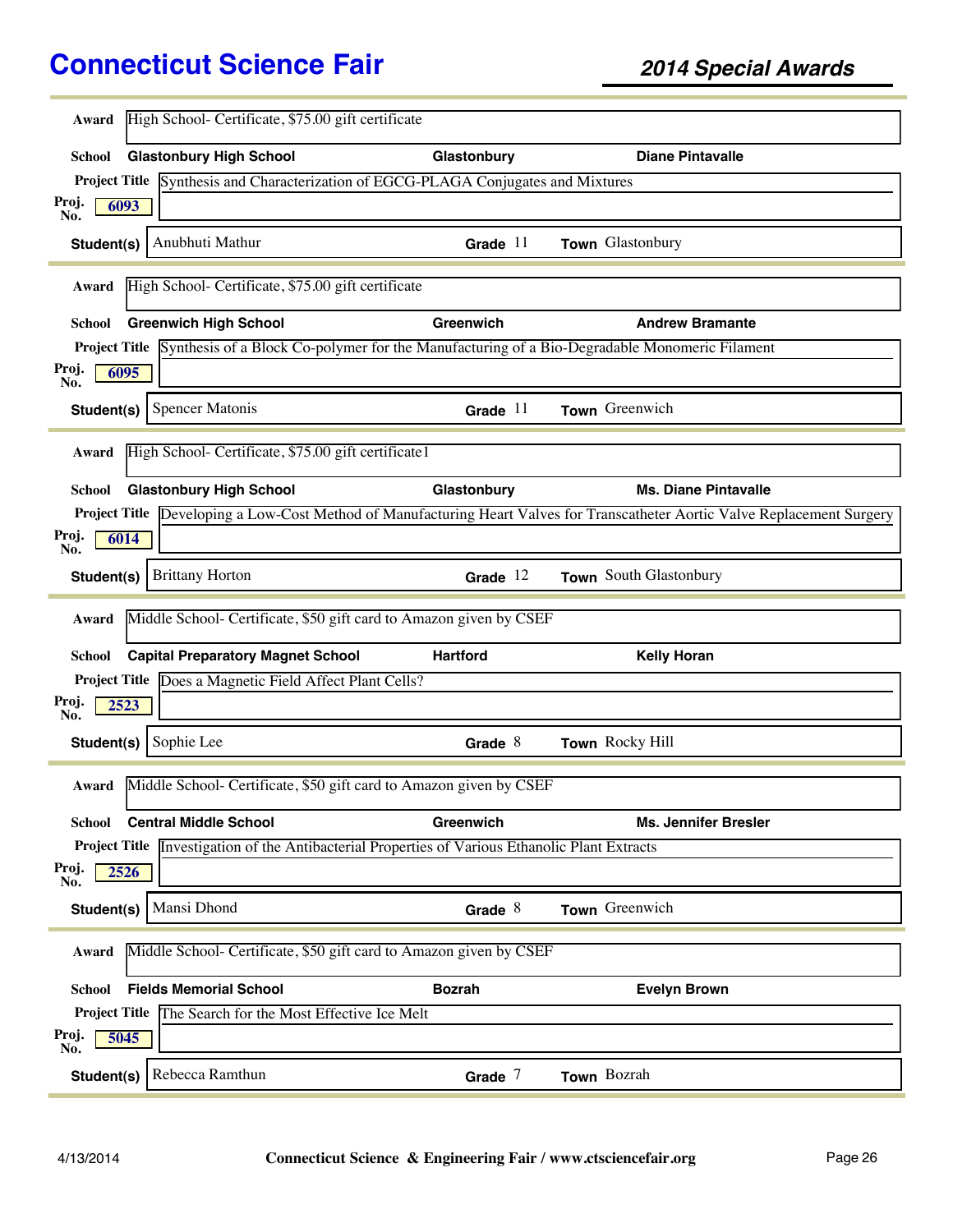| Award                                                                       | High School- Certificate, \$75.00 gift certificate                                                     |                 |                                                                                                                             |  |  |
|-----------------------------------------------------------------------------|--------------------------------------------------------------------------------------------------------|-----------------|-----------------------------------------------------------------------------------------------------------------------------|--|--|
| School                                                                      | <b>Glastonbury High School</b>                                                                         | Glastonbury     | <b>Diane Pintavalle</b>                                                                                                     |  |  |
|                                                                             | Project Title Synthesis and Characterization of EGCG-PLAGA Conjugates and Mixtures                     |                 |                                                                                                                             |  |  |
| Proj.<br>6093<br>No.                                                        |                                                                                                        |                 |                                                                                                                             |  |  |
| Student(s)                                                                  | Anubhuti Mathur                                                                                        | Grade $11$      | Town Glastonbury                                                                                                            |  |  |
| Award                                                                       | High School- Certificate, \$75.00 gift certificate                                                     |                 |                                                                                                                             |  |  |
| <b>Greenwich High School</b><br>School                                      |                                                                                                        | Greenwich       | <b>Andrew Bramante</b>                                                                                                      |  |  |
|                                                                             |                                                                                                        |                 | <b>Project Title</b> Synthesis of a Block Co-polymer for the Manufacturing of a Bio-Degradable Monomeric Filament           |  |  |
| Proj.<br>6095<br>No.                                                        |                                                                                                        |                 |                                                                                                                             |  |  |
| <b>Spencer Matonis</b><br>Student(s)                                        |                                                                                                        | Grade $11$      | Town Greenwich                                                                                                              |  |  |
| Award                                                                       | High School- Certificate, \$75.00 gift certificate1                                                    |                 |                                                                                                                             |  |  |
| <b>School</b>                                                               | <b>Glastonbury High School</b>                                                                         | Glastonbury     | <b>Ms. Diane Pintavalle</b>                                                                                                 |  |  |
|                                                                             |                                                                                                        |                 | Project Title Developing a Low-Cost Method of Manufacturing Heart Valves for Transcatheter Aortic Valve Replacement Surgery |  |  |
| Proj.<br>6014<br>No.                                                        |                                                                                                        |                 |                                                                                                                             |  |  |
| <b>Brittany Horton</b><br>Student(s)                                        |                                                                                                        | Grade $12$      | Town South Glastonbury                                                                                                      |  |  |
| Award                                                                       | Middle School- Certificate, \$50 gift card to Amazon given by CSEF                                     |                 |                                                                                                                             |  |  |
| School                                                                      | <b>Capital Preparatory Magnet School</b>                                                               | <b>Hartford</b> | <b>Kelly Horan</b>                                                                                                          |  |  |
|                                                                             | Project Title Does a Magnetic Field Affect Plant Cells?                                                |                 |                                                                                                                             |  |  |
| Proj.<br>2523<br>No.                                                        |                                                                                                        |                 |                                                                                                                             |  |  |
| Sophie Lee<br>Student(s)                                                    |                                                                                                        | Grade $8$       | Town Rocky Hill                                                                                                             |  |  |
| Award                                                                       | Middle School- Certificate, \$50 gift card to Amazon given by CSEF                                     |                 |                                                                                                                             |  |  |
| <b>Central Middle School</b><br>School                                      |                                                                                                        | Greenwich       | <b>Ms. Jennifer Bresler</b>                                                                                                 |  |  |
|                                                                             | <b>Project Title Investigation of the Antibacterial Properties of Various Ethanolic Plant Extracts</b> |                 |                                                                                                                             |  |  |
| Proj.<br>2526<br>No.                                                        |                                                                                                        |                 |                                                                                                                             |  |  |
| Mansi Dhond<br>Student(s)                                                   |                                                                                                        | Grade $8$       | Town Greenwich                                                                                                              |  |  |
| Middle School- Certificate, \$50 gift card to Amazon given by CSEF<br>Award |                                                                                                        |                 |                                                                                                                             |  |  |
| <b>Fields Memorial School</b><br>School                                     |                                                                                                        | <b>Bozrah</b>   | <b>Evelyn Brown</b>                                                                                                         |  |  |
|                                                                             |                                                                                                        |                 |                                                                                                                             |  |  |
|                                                                             | Project Title The Search for the Most Effective Ice Melt                                               |                 |                                                                                                                             |  |  |
| Proj.<br>5045<br>No.                                                        |                                                                                                        |                 |                                                                                                                             |  |  |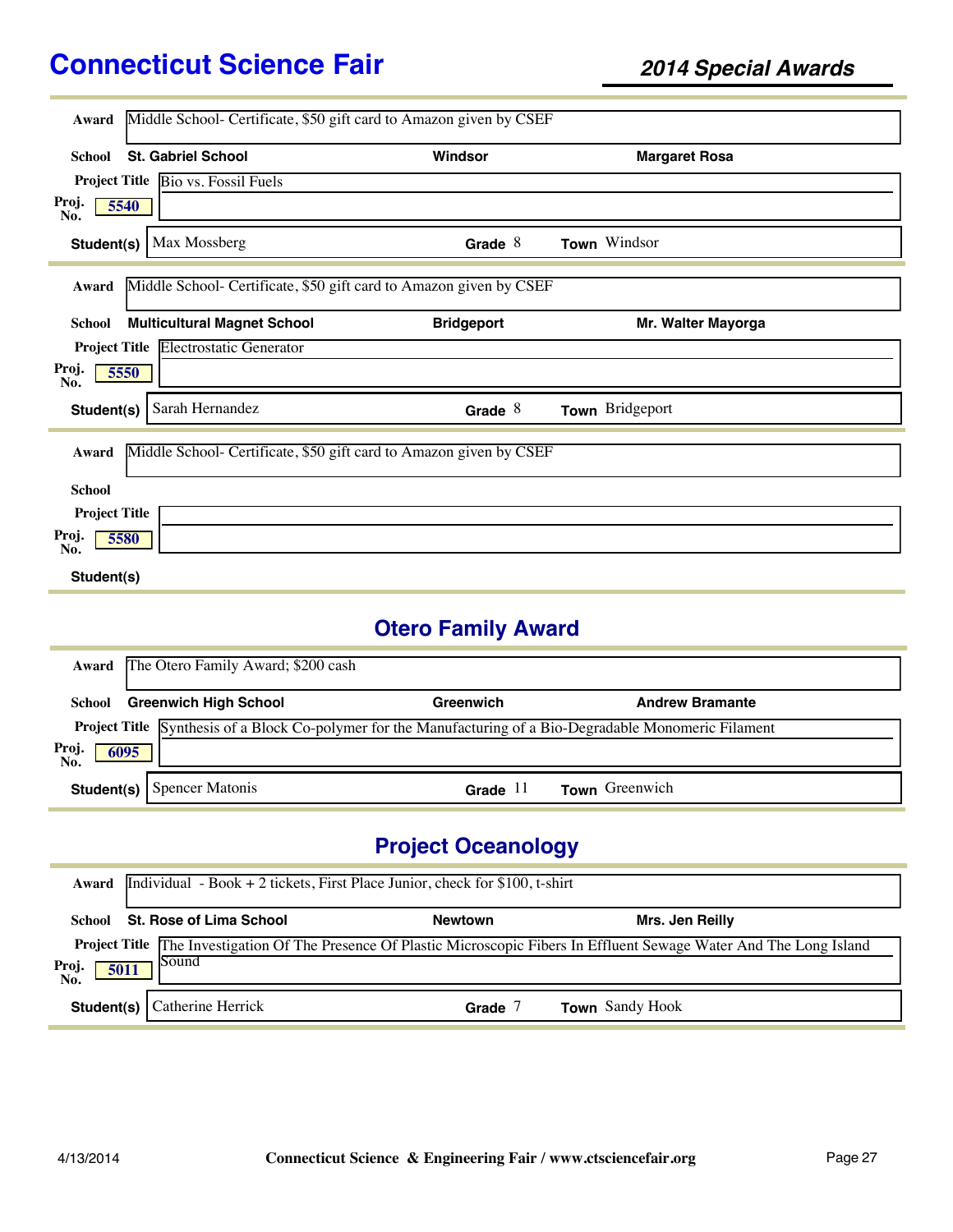| Award                                      | Middle School- Certificate, \$50 gift card to Amazon given by CSEF |                   |                      |
|--------------------------------------------|--------------------------------------------------------------------|-------------------|----------------------|
|                                            |                                                                    |                   |                      |
| <b>St. Gabriel School</b><br><b>School</b> |                                                                    | Windsor           | <b>Margaret Rosa</b> |
| Project Title Bio vs. Fossil Fuels         |                                                                    |                   |                      |
| Proj.<br>5540<br>No.                       |                                                                    |                   |                      |
| Student(s)                                 | Max Mossberg                                                       | Grade $8$         | Town Windsor         |
| Award                                      | Middle School- Certificate, \$50 gift card to Amazon given by CSEF |                   |                      |
| <b>School</b>                              | <b>Multicultural Magnet School</b>                                 | <b>Bridgeport</b> | Mr. Walter Mayorga   |
|                                            | <b>Project Title Electrostatic Generator</b>                       |                   |                      |
| Proj.<br>5550<br>No.                       |                                                                    |                   |                      |
| Student(s)                                 | Sarah Hernandez                                                    | Grade $8$         | Town Bridgeport      |
| Award                                      | Middle School- Certificate, \$50 gift card to Amazon given by CSEF |                   |                      |
| <b>School</b>                              |                                                                    |                   |                      |
| <b>Project Title</b>                       |                                                                    |                   |                      |
| Proj.<br>5580<br>No.                       |                                                                    |                   |                      |
| Student(s)                                 |                                                                    |                   |                      |

# **Otero Family Award**

| Award                | The Otero Family Award; \$200 cash                                                                         |            |                        |  |  |  |
|----------------------|------------------------------------------------------------------------------------------------------------|------------|------------------------|--|--|--|
| School               | <b>Greenwich High School</b>                                                                               | Greenwich  | <b>Andrew Bramante</b> |  |  |  |
|                      | Project Title Synthesis of a Block Co-polymer for the Manufacturing of a Bio-Degradable Monomeric Filament |            |                        |  |  |  |
| Proj.<br>No.<br>6095 |                                                                                                            |            |                        |  |  |  |
|                      | <b>Student(s)</b> Spencer Matonis                                                                          | Grade $11$ | Town Greenwich         |  |  |  |

# **Project Oceanology**

| Award                | Individual - Book + 2 tickets, First Place Junior, check for $$100$ , t-shirt |                |                                                                                                                                   |  |  |  |  |
|----------------------|-------------------------------------------------------------------------------|----------------|-----------------------------------------------------------------------------------------------------------------------------------|--|--|--|--|
| School               | St. Rose of Lima School                                                       | <b>Newtown</b> | Mrs. Jen Reilly                                                                                                                   |  |  |  |  |
| Proj.<br>5011<br>No. | Sound                                                                         |                | <b>Project Title</b> The Investigation Of The Presence Of Plastic Microscopic Fibers In Effluent Sewage Water And The Long Island |  |  |  |  |
| Student(s)           | Catherine Herrick                                                             | Grade          | <b>Town</b> Sandy Hook                                                                                                            |  |  |  |  |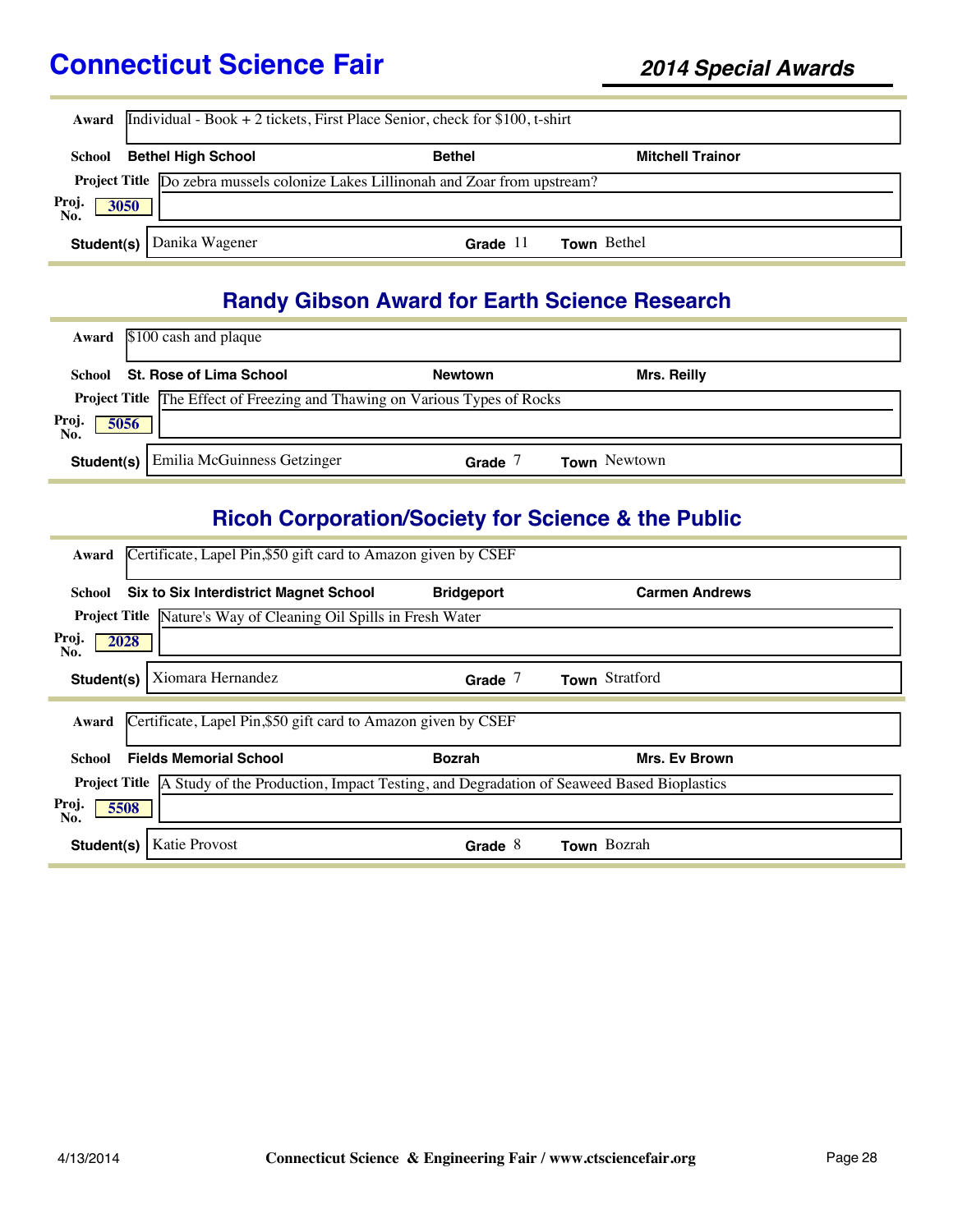| Award                | Individual - Book + 2 tickets, First Place Senior, check for $$100$ , t-shirt    |               |                         |  |  |  |
|----------------------|----------------------------------------------------------------------------------|---------------|-------------------------|--|--|--|
| School               | <b>Bethel High School</b>                                                        | <b>Bethel</b> | <b>Mitchell Trainor</b> |  |  |  |
|                      | Project Title Do zebra mussels colonize Lakes Lillinonah and Zoar from upstream? |               |                         |  |  |  |
| Proj.<br>No.<br>3050 |                                                                                  |               |                         |  |  |  |
|                      | <b>Student(s)</b> Danika Wagener                                                 | Grade $11$    | <b>Town</b> Bethel      |  |  |  |

### **Randy Gibson Award for Earth Science Research**

| Award               | $$100$ cash and plaque                                                            |                |                     |  |
|---------------------|-----------------------------------------------------------------------------------|----------------|---------------------|--|
| School              | St. Rose of Lima School                                                           | <b>Newtown</b> | <b>Mrs. Reilly</b>  |  |
|                     | <b>Project Title The Effect of Freezing and Thawing on Various Types of Rocks</b> |                |                     |  |
| Proj<br>5056<br>No. |                                                                                   |                |                     |  |
| Student(s)          | <b>Emilia McGuinness Getzinger</b>                                                | Grade          | <b>Town</b> Newtown |  |

# **Ricoh Corporation/Society for Science & the Public**

| Certificate, Lapel Pin, \$50 gift card to Amazon given by CSEF<br>Award                                      |                   |                       |  |  |  |
|--------------------------------------------------------------------------------------------------------------|-------------------|-----------------------|--|--|--|
| <b>Six to Six Interdistrict Magnet School</b><br>School                                                      | <b>Bridgeport</b> | <b>Carmen Andrews</b> |  |  |  |
| <b>Project Title</b> Nature's Way of Cleaning Oil Spills in Fresh Water                                      |                   |                       |  |  |  |
| Proj.<br>2028<br>No.                                                                                         |                   |                       |  |  |  |
| Xiomara Hernandez<br>Student(s)                                                                              | Grade $7$         | Town Stratford        |  |  |  |
| Certificate, Lapel Pin, \$50 gift card to Amazon given by CSEF<br>Award                                      |                   |                       |  |  |  |
| <b>Fields Memorial School</b><br>School                                                                      | <b>Bozrah</b>     | <b>Mrs. Ev Brown</b>  |  |  |  |
| <b>Project Title</b> A Study of the Production, Impact Testing, and Degradation of Seaweed Based Bioplastics |                   |                       |  |  |  |
| Proj.<br>5508<br>No.                                                                                         |                   |                       |  |  |  |
|                                                                                                              |                   |                       |  |  |  |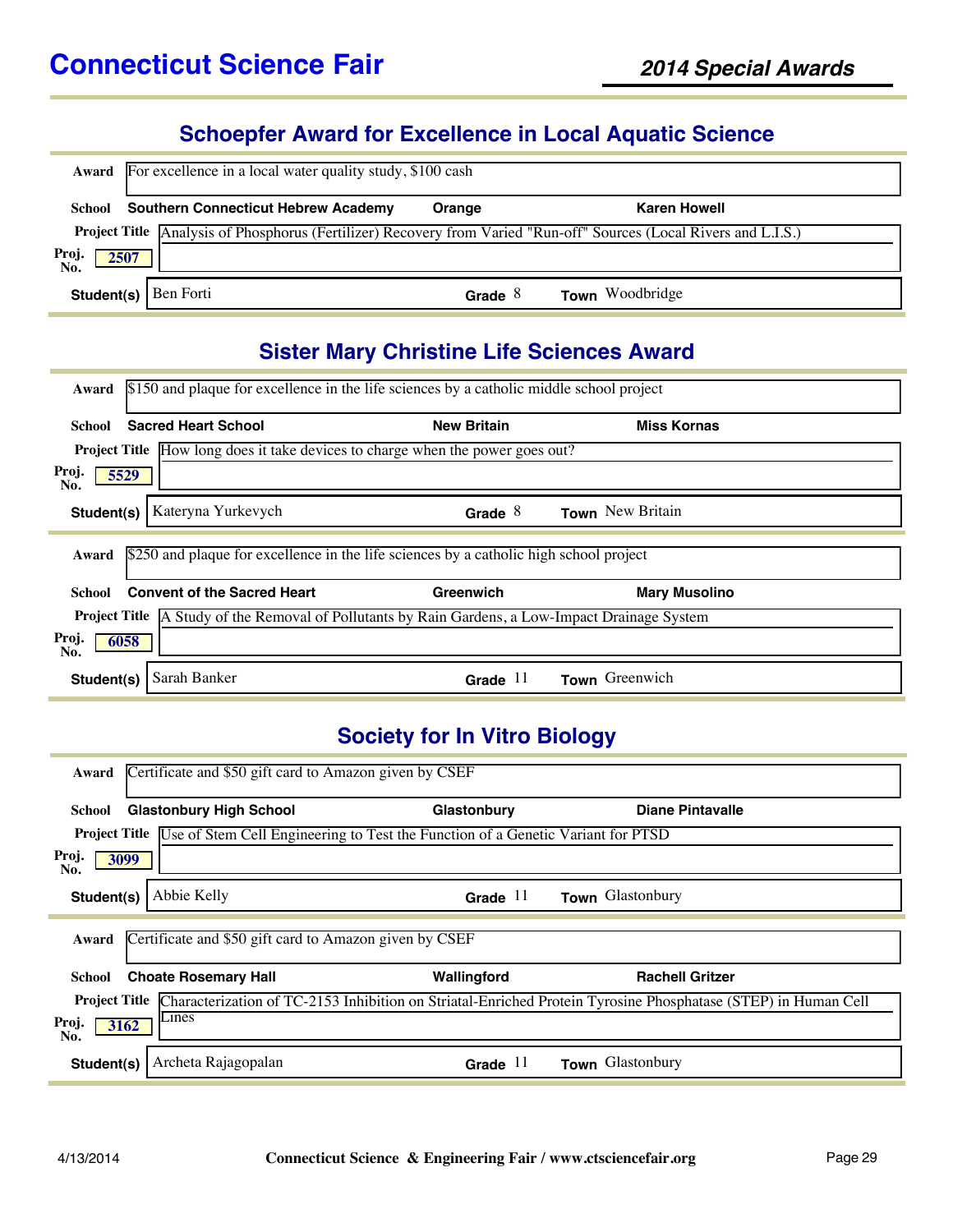#### **Schoepfer Award for Excellence in Local Aquatic Science**

|                      | <b>Award</b> For excellence in a local water quality study, \$100 cash                                                    |           |                        |  |  |  |
|----------------------|---------------------------------------------------------------------------------------------------------------------------|-----------|------------------------|--|--|--|
|                      | <b>School</b> Southern Connecticut Hebrew Academy                                                                         | Orange    | <b>Karen Howell</b>    |  |  |  |
|                      | <b>Project Title</b> Analysis of Phosphorus (Fertilizer) Recovery from Varied "Run-off" Sources (Local Rivers and L.I.S.) |           |                        |  |  |  |
| Proj.<br>No.<br>2507 |                                                                                                                           |           |                        |  |  |  |
| Student(s)           | Ben Forti                                                                                                                 | Grade $8$ | <b>Town</b> Woodbridge |  |  |  |

### **Sister Mary Christine Life Sciences Award**

| \$150 and plaque for excellence in the life sciences by a catholic middle school project<br>Award                    |                    |                      |  |  |  |  |
|----------------------------------------------------------------------------------------------------------------------|--------------------|----------------------|--|--|--|--|
| <b>Sacred Heart School</b><br>School                                                                                 | <b>New Britain</b> | <b>Miss Kornas</b>   |  |  |  |  |
| <b>Project Title</b> How long does it take devices to charge when the power goes out?                                |                    |                      |  |  |  |  |
| Proj.<br>5529<br>No.                                                                                                 |                    |                      |  |  |  |  |
| Kateryna Yurkevych<br>Student(s)                                                                                     | Grade $8$          | Town New Britain     |  |  |  |  |
| \$250 and plaque for excellence in the life sciences by a catholic high school project<br>Award                      |                    |                      |  |  |  |  |
| <b>Convent of the Sacred Heart</b><br>School                                                                         | Greenwich          | <b>Mary Musolino</b> |  |  |  |  |
| <b>Project Title</b> $\overline{A}$ Study of the Removal of Pollutants by Rain Gardens, a Low-Impact Drainage System |                    |                      |  |  |  |  |
| Proj.<br>6058<br>No.                                                                                                 |                    |                      |  |  |  |  |
| Sarah Banker                                                                                                         |                    |                      |  |  |  |  |

### **Society for In Vitro Biology**

| Certificate and \$50 gift card to Amazon given by CSEF<br>Award                                                                       |             |                         |  |  |  |  |
|---------------------------------------------------------------------------------------------------------------------------------------|-------------|-------------------------|--|--|--|--|
| <b>Glastonbury High School</b><br>School                                                                                              | Glastonbury | <b>Diane Pintavalle</b> |  |  |  |  |
| <b>Project Title Use of Stem Cell Engineering to Test the Function of a Genetic Variant for PTSD</b>                                  |             |                         |  |  |  |  |
| Proj.<br>3099<br>No.                                                                                                                  |             |                         |  |  |  |  |
| Abbie Kelly<br>Student(s)                                                                                                             | Grade $11$  | Town Glastonbury        |  |  |  |  |
| Certificate and \$50 gift card to Amazon given by CSEF<br>Award                                                                       |             |                         |  |  |  |  |
| <b>Choate Rosemary Hall</b><br>School                                                                                                 | Wallingford | <b>Rachell Gritzer</b>  |  |  |  |  |
| Characterization of TC-2153 Inhibition on Striatal-Enriched Protein Tyrosine Phosphatase (STEP) in Human Cell<br><b>Project Title</b> |             |                         |  |  |  |  |
| $L$ ines<br>Proj.<br>3162<br>No.                                                                                                      |             |                         |  |  |  |  |
| Archeta Rajagopalan<br>Student(s)                                                                                                     | Grade $11$  | Town Glastonbury        |  |  |  |  |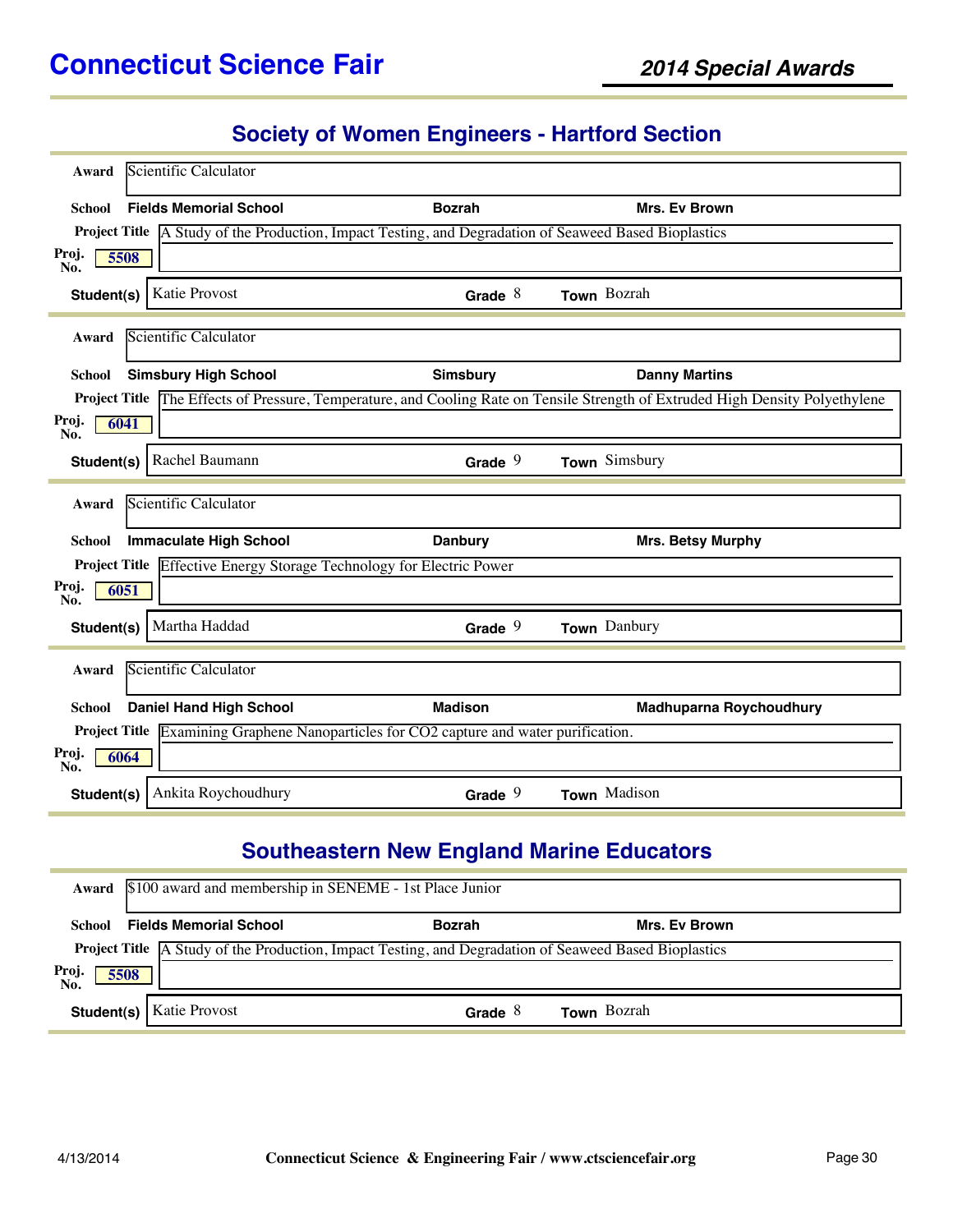#### **Society of Women Engineers - Hartford Section**

| Award                | Scientific Calculator          |                                                                                                         |                                                                                                                                |
|----------------------|--------------------------------|---------------------------------------------------------------------------------------------------------|--------------------------------------------------------------------------------------------------------------------------------|
| <b>School</b>        | <b>Fields Memorial School</b>  | <b>Bozrah</b>                                                                                           | Mrs. Ev Brown                                                                                                                  |
|                      |                                | Project Title   A Study of the Production, Impact Testing, and Degradation of Seaweed Based Bioplastics |                                                                                                                                |
| Proj.<br>5508<br>No. |                                |                                                                                                         |                                                                                                                                |
| Student(s)           | Katie Provost                  | Grade $8$                                                                                               | Town Bozrah                                                                                                                    |
| Award                | Scientific Calculator          |                                                                                                         |                                                                                                                                |
| School               | <b>Simsbury High School</b>    | <b>Simsbury</b>                                                                                         | <b>Danny Martins</b>                                                                                                           |
|                      |                                |                                                                                                         | Project Title The Effects of Pressure, Temperature, and Cooling Rate on Tensile Strength of Extruded High Density Polyethylene |
| Proj.<br>6041<br>No. |                                |                                                                                                         |                                                                                                                                |
|                      | Student(s)   Rachel Baumann    | Grade $9$                                                                                               | Town Simsbury                                                                                                                  |
| Award                | Scientific Calculator          |                                                                                                         |                                                                                                                                |
| <b>School</b>        | <b>Immaculate High School</b>  | <b>Danbury</b>                                                                                          | Mrs. Betsy Murphy                                                                                                              |
|                      |                                | <b>Project Title</b> Effective Energy Storage Technology for Electric Power                             |                                                                                                                                |
| Proj.<br>6051<br>No. |                                |                                                                                                         |                                                                                                                                |
| Student(s)           | Martha Haddad                  | Grade $9$                                                                                               | Town Danbury                                                                                                                   |
| Award                | Scientific Calculator          |                                                                                                         |                                                                                                                                |
| <b>School</b>        | <b>Daniel Hand High School</b> | <b>Madison</b>                                                                                          | <b>Madhuparna Roychoudhury</b>                                                                                                 |
|                      |                                | <b>Project Title</b> Examining Graphene Nanoparticles for CO2 capture and water purification.           |                                                                                                                                |
| Proj.<br>6064<br>No. |                                |                                                                                                         |                                                                                                                                |
| Student(s)           | Ankita Roychoudhury            | Grade $9$                                                                                               | Town Madison                                                                                                                   |

# **Southeastern New England Marine Educators**

|                      | Award \$100 award and membership in SENEME - 1st Place Junior                                                |               |                    |  |  |  |
|----------------------|--------------------------------------------------------------------------------------------------------------|---------------|--------------------|--|--|--|
|                      | School Fields Memorial School                                                                                | <b>Bozrah</b> | Mrs. Ev Brown      |  |  |  |
|                      | <b>Project Title</b> A Study of the Production, Impact Testing, and Degradation of Seaweed Based Bioplastics |               |                    |  |  |  |
| Proj.<br>No.<br>5508 |                                                                                                              |               |                    |  |  |  |
|                      | <b>Student(s)</b>   Katie Provost                                                                            | Grade $8$     | <b>Town</b> Bozrah |  |  |  |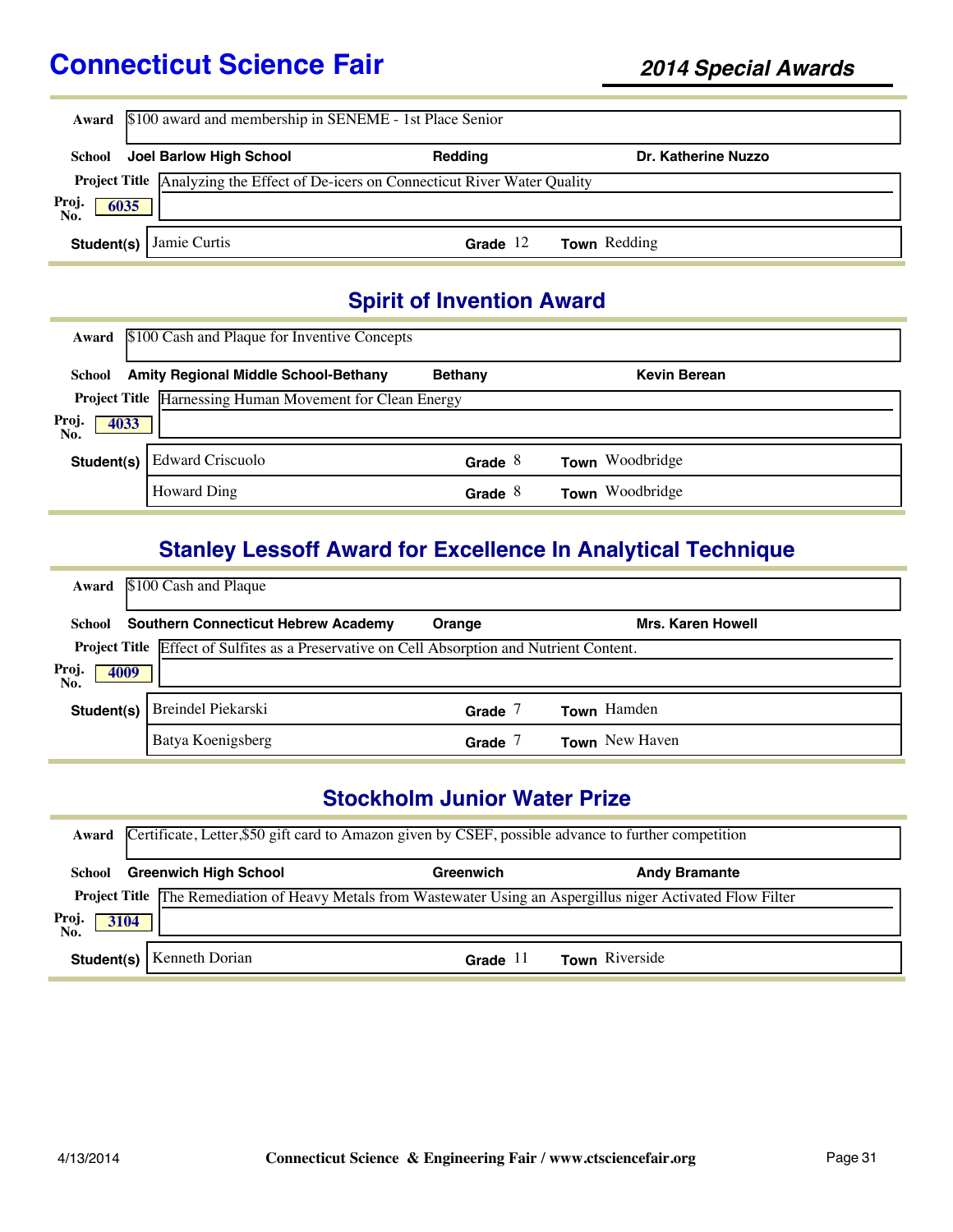|                      | Award \$100 award and membership in SENEME - 1st Place Senior |                                                                                          |                     |  |  |  |
|----------------------|---------------------------------------------------------------|------------------------------------------------------------------------------------------|---------------------|--|--|--|
| School               | Joel Barlow High School                                       | Redding                                                                                  | Dr. Katherine Nuzzo |  |  |  |
|                      |                                                               | <b>Project Title</b> Analyzing the Effect of De-icers on Connecticut River Water Quality |                     |  |  |  |
| Proj.<br>No.<br>6035 |                                                               |                                                                                          |                     |  |  |  |
|                      | <b>Student(s)</b> Jamie Curtis                                | Grade $12$                                                                               | Town Redding        |  |  |  |

# **Spirit of Invention Award**

| Award                | \$100 Cash and Plaque for Inventive Concepts                    |                |                     |  |
|----------------------|-----------------------------------------------------------------|----------------|---------------------|--|
| School               | <b>Amity Regional Middle School-Bethany</b>                     | <b>Bethany</b> | <b>Kevin Berean</b> |  |
|                      | <b>Project Title</b> Harnessing Human Movement for Clean Energy |                |                     |  |
| Proj.<br>4033<br>No. |                                                                 |                |                     |  |
| Student(s)           | <b>Edward Criscuolo</b>                                         | Grade $8$      | Town Woodbridge     |  |
|                      | <b>Howard Ding</b>                                              | Grade $8$      | Town Woodbridge     |  |

### **Stanley Lessoff Award for Excellence In Analytical Technique**

| Award                | \$100 Cash and Plaque                                                                       |        |                          |  |
|----------------------|---------------------------------------------------------------------------------------------|--------|--------------------------|--|
|                      | <b>School</b> Southern Connecticut Hebrew Academy                                           | Orange | <b>Mrs. Karen Howell</b> |  |
|                      | Project Title Effect of Sulfites as a Preservative on Cell Absorption and Nutrient Content. |        |                          |  |
| Proj.<br>4009<br>No. |                                                                                             |        |                          |  |
| Student(s)           | Breindel Piekarski                                                                          | Grade  | <b>Town</b> Hamden       |  |
|                      | Batya Koenigsberg                                                                           | Grade  | <b>Town</b> New Haven    |  |

### **Stockholm Junior Water Prize**

|                      | Award Certificate, Letter, \$50 gift card to Amazon given by CSEF, possible advance to further competition            |                  |                      |  |  |  |
|----------------------|-----------------------------------------------------------------------------------------------------------------------|------------------|----------------------|--|--|--|
| School               | <b>Greenwich High School</b>                                                                                          | Greenwich        | <b>Andy Bramante</b> |  |  |  |
|                      | <b>Project Title The Remediation of Heavy Metals from Wastewater Using an Aspergillus niger Activated Flow Filter</b> |                  |                      |  |  |  |
| Proj.<br>No.<br>3104 |                                                                                                                       |                  |                      |  |  |  |
|                      | <b>Student(s)</b>   Kenneth Dorian                                                                                    | Grade<br>$\perp$ | Town Riverside       |  |  |  |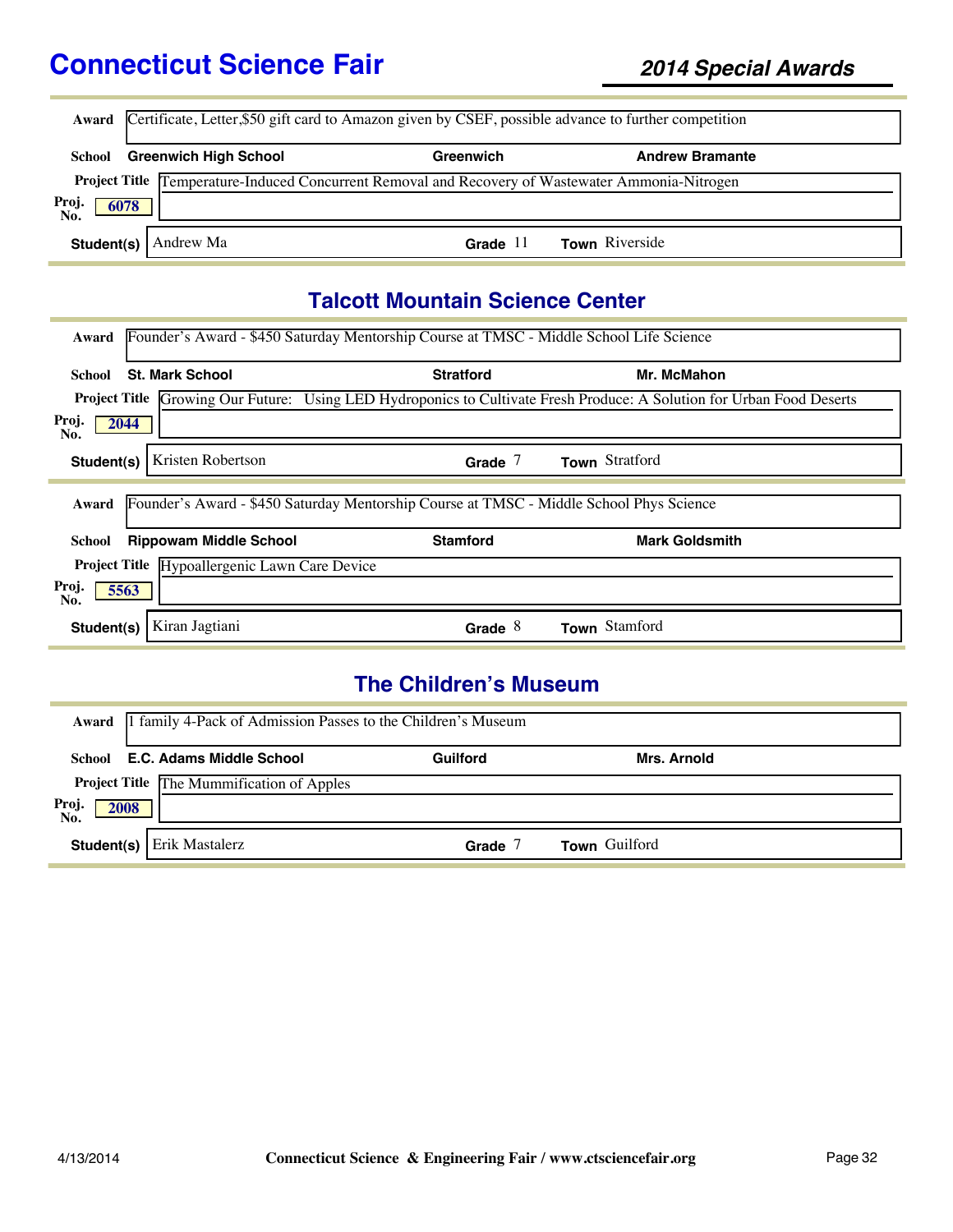|                      | Award Certificate, Letter,\$50 gift card to Amazon given by CSEF, possible advance to further competition |           |                        |  |  |  |
|----------------------|-----------------------------------------------------------------------------------------------------------|-----------|------------------------|--|--|--|
| School               | <b>Greenwich High School</b>                                                                              | Greenwich | <b>Andrew Bramante</b> |  |  |  |
|                      | Project Title Temperature-Induced Concurrent Removal and Recovery of Wastewater Ammonia-Nitrogen          |           |                        |  |  |  |
| Proj.<br>No.<br>6078 |                                                                                                           |           |                        |  |  |  |
| Student(s) $\vert$   | Andrew Ma                                                                                                 | Grade     | <b>Town</b> Riverside  |  |  |  |

### **Talcott Mountain Science Center**

| Founder's Award - \$450 Saturday Mentorship Course at TMSC - Middle School Life Science<br>Award |                  |                                                                                                                              |  |
|--------------------------------------------------------------------------------------------------|------------------|------------------------------------------------------------------------------------------------------------------------------|--|
|                                                                                                  |                  |                                                                                                                              |  |
| <b>St. Mark School</b><br>School                                                                 | <b>Stratford</b> | Mr. McMahon                                                                                                                  |  |
|                                                                                                  |                  | <b>Project Title Growing Our Future:</b> Using LED Hydroponics to Cultivate Fresh Produce: A Solution for Urban Food Deserts |  |
| Proj.<br>2044<br>No.                                                                             |                  |                                                                                                                              |  |
| Kristen Robertson<br>Student(s)                                                                  | Grade $7$        | Town Stratford                                                                                                               |  |
| Founder's Award - \$450 Saturday Mentorship Course at TMSC - Middle School Phys Science<br>Award |                  |                                                                                                                              |  |
| <b>Rippowam Middle School</b><br>School                                                          | <b>Stamford</b>  | <b>Mark Goldsmith</b>                                                                                                        |  |
| Hypoallergenic Lawn Care Device<br><b>Project Title</b>                                          |                  |                                                                                                                              |  |
| Proj.<br>5563<br>No.                                                                             |                  |                                                                                                                              |  |
| Kiran Jagtiani<br>Student(s)                                                                     | Grade $8$        | Town Stamford                                                                                                                |  |

### **The Children's Museum**

|                      | Award   1 family 4-Pack of Admission Passes to the Children's Museum |                 |               |  |
|----------------------|----------------------------------------------------------------------|-----------------|---------------|--|
|                      | School E.C. Adams Middle School                                      | <b>Guilford</b> | Mrs. Arnold   |  |
|                      | <b>Project Title</b> The Mummification of Apples                     |                 |               |  |
| Proj.<br>No.<br>2008 |                                                                      |                 |               |  |
| Student(s)           | Erik Mastalerz                                                       | Grade           | Town Guilford |  |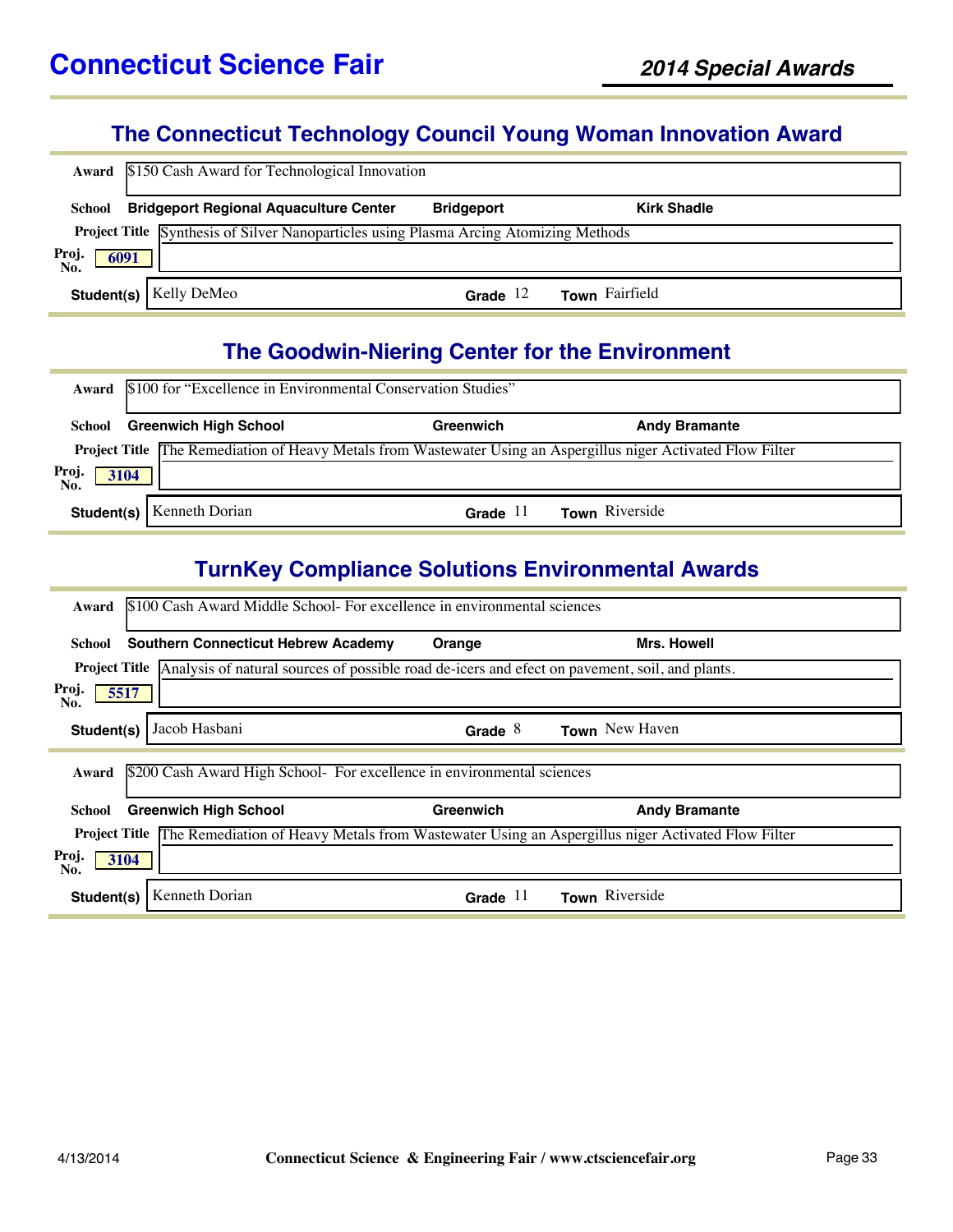### **The Connecticut Technology Council Young Woman Innovation Award**

|                      | Award \$150 Cash Award for Technological Innovation                                          |                   |                    |  |
|----------------------|----------------------------------------------------------------------------------------------|-------------------|--------------------|--|
| School               | <b>Bridgeport Regional Aquaculture Center</b>                                                | <b>Bridgeport</b> | <b>Kirk Shadle</b> |  |
|                      | <b>Project Title</b> Synthesis of Silver Nanoparticles using Plasma Arcing Atomizing Methods |                   |                    |  |
| Proj.<br>No.<br>6091 |                                                                                              |                   |                    |  |
|                      | <b>Student(s)</b>   Kelly DeMeo                                                              | Grade $12$        | Town Fairfield     |  |

# **The Goodwin-Niering Center for the Environment**

|              | Award \$100 for "Excellence in Environmental Conservation Studies" |            |                                                                                                                       |  |  |  |
|--------------|--------------------------------------------------------------------|------------|-----------------------------------------------------------------------------------------------------------------------|--|--|--|
| School       | <b>Greenwich High School</b>                                       | Greenwich  | <b>Andy Bramante</b>                                                                                                  |  |  |  |
|              |                                                                    |            | <b>Project Title</b> The Remediation of Heavy Metals from Wastewater Using an Aspergillus niger Activated Flow Filter |  |  |  |
| Proj<br>3104 |                                                                    |            |                                                                                                                       |  |  |  |
|              | <b>Student(s)</b>   Kenneth Dorian                                 | Grade $11$ | <b>Town</b> Riverside                                                                                                 |  |  |  |

### **TurnKey Compliance Solutions Environmental Awards**

| \$100 Cash Award Middle School- For excellence in environmental sciences<br>Award                                   |           |                       |  |  |  |
|---------------------------------------------------------------------------------------------------------------------|-----------|-----------------------|--|--|--|
| <b>Southern Connecticut Hebrew Academy</b><br>School                                                                | Orange    | Mrs. Howell           |  |  |  |
| <b>Project Title</b> Analysis of natural sources of possible road de-icers and efect on pavement, soil, and plants. |           |                       |  |  |  |
| Proj.<br>5517<br>No.                                                                                                |           |                       |  |  |  |
| Jacob Hasbani<br>Student(s)                                                                                         | Grade $8$ | <b>Town</b> New Haven |  |  |  |
| \$200 Cash Award High School- For excellence in environmental sciences<br>Award                                     |           |                       |  |  |  |
| <b>Greenwich High School</b><br>School                                                                              | Greenwich | <b>Andy Bramante</b>  |  |  |  |
| Project Title The Remediation of Heavy Metals from Wastewater Using an Aspergillus niger Activated Flow Filter      |           |                       |  |  |  |
| Proj.<br>3104<br>No.                                                                                                |           |                       |  |  |  |
|                                                                                                                     |           |                       |  |  |  |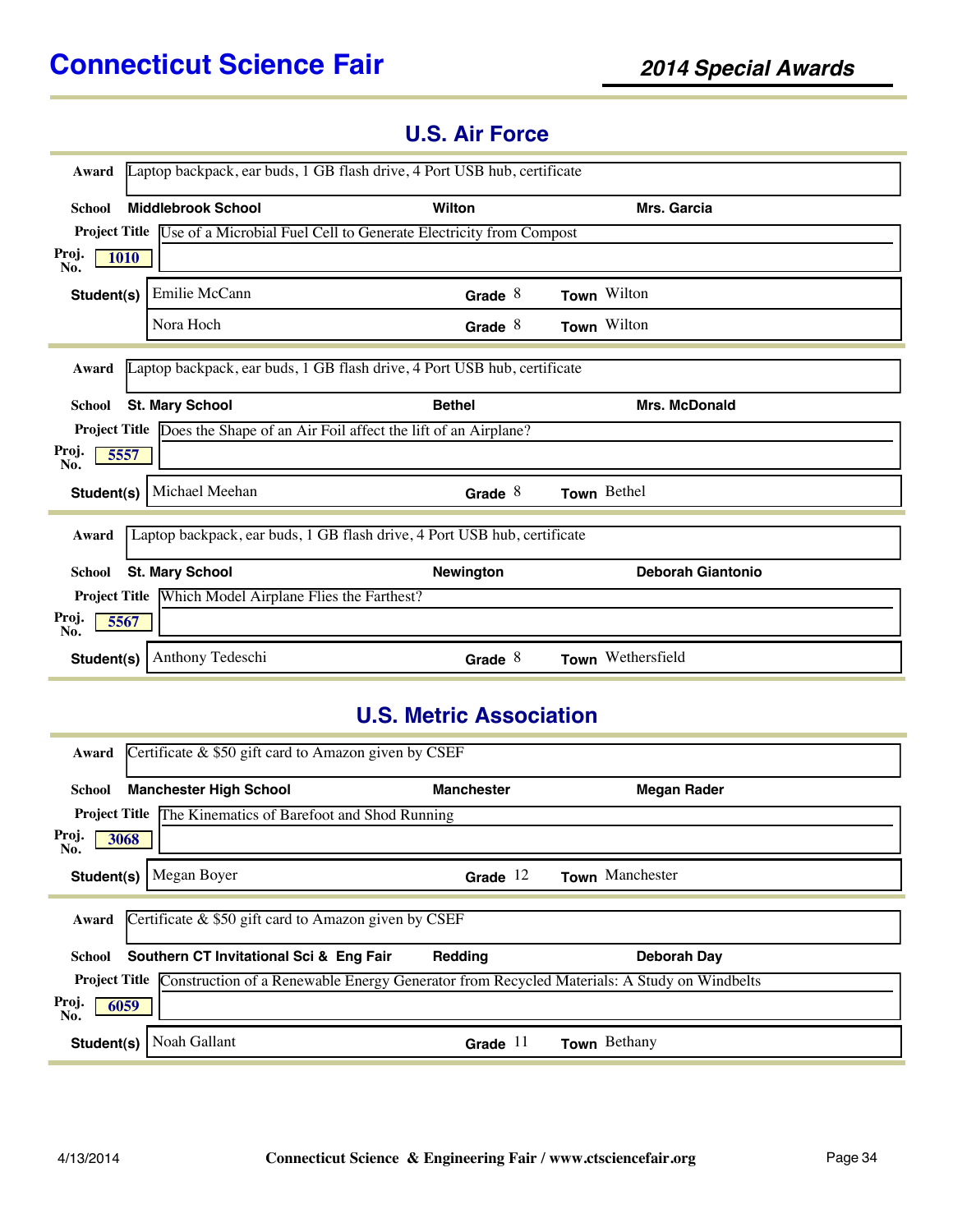| Award                       | Laptop backpack, ear buds, 1 GB flash drive, 4 Port USB hub, certificate        |                  |                          |  |
|-----------------------------|---------------------------------------------------------------------------------|------------------|--------------------------|--|
| <b>School</b>               | <b>Middlebrook School</b>                                                       | Wilton           | <b>Mrs. Garcia</b>       |  |
|                             | Project Title Use of a Microbial Fuel Cell to Generate Electricity from Compost |                  |                          |  |
| Proj.<br><b>1010</b><br>No. |                                                                                 |                  |                          |  |
| Student(s)                  | Emilie McCann                                                                   | Grade $8$        | Town Wilton              |  |
|                             | Nora Hoch                                                                       | Grade $8$        | Town Wilton              |  |
| Award                       | Laptop backpack, ear buds, 1 GB flash drive, 4 Port USB hub, certificate        |                  |                          |  |
|                             |                                                                                 |                  |                          |  |
| <b>School</b>               | <b>St. Mary School</b>                                                          | <b>Bethel</b>    | <b>Mrs. McDonald</b>     |  |
|                             | Project Title Does the Shape of an Air Foil affect the lift of an Airplane?     |                  |                          |  |
| Proj.<br>5557<br>No.        |                                                                                 |                  |                          |  |
| Student(s)                  | Michael Meehan                                                                  | Grade $8$        | Town Bethel              |  |
| Award                       | Laptop backpack, ear buds, 1 GB flash drive, 4 Port USB hub, certificate        |                  |                          |  |
| <b>School</b>               | <b>St. Mary School</b>                                                          | <b>Newington</b> | <b>Deborah Giantonio</b> |  |
|                             | Project Title Which Model Airplane Flies the Farthest?                          |                  |                          |  |
| Proj.<br>5567<br>No.        |                                                                                 |                  |                          |  |
| Student(s)                  | Anthony Tedeschi                                                                | Grade $8$        | Town Wethersfield        |  |

### **U.S. Air Force**

### **U.S. Metric Association**

| Award                | Certificate $\&$ \$50 gift card to Amazon given by CSEF                                                         |                   |                    |  |
|----------------------|-----------------------------------------------------------------------------------------------------------------|-------------------|--------------------|--|
| School               | <b>Manchester High School</b>                                                                                   | <b>Manchester</b> | <b>Megan Rader</b> |  |
|                      | <b>Project Title The Kinematics of Barefoot and Shod Running</b>                                                |                   |                    |  |
| Proj.<br>3068<br>No. |                                                                                                                 |                   |                    |  |
| Student(s)           | Megan Boyer                                                                                                     | Grade $12$        | Town Manchester    |  |
| Award                | Certificate $\&$ \$50 gift card to Amazon given by CSEF                                                         |                   |                    |  |
| School               | Southern CT Invitational Sci & Eng Fair                                                                         | Redding           | Deborah Day        |  |
|                      | <b>Project Title</b> Construction of a Renewable Energy Generator from Recycled Materials: A Study on Windbelts |                   |                    |  |
| Proj.<br>6059<br>No. |                                                                                                                 |                   |                    |  |
| Student(s)           | Noah Gallant                                                                                                    | Grade $11$        | Town Bethany       |  |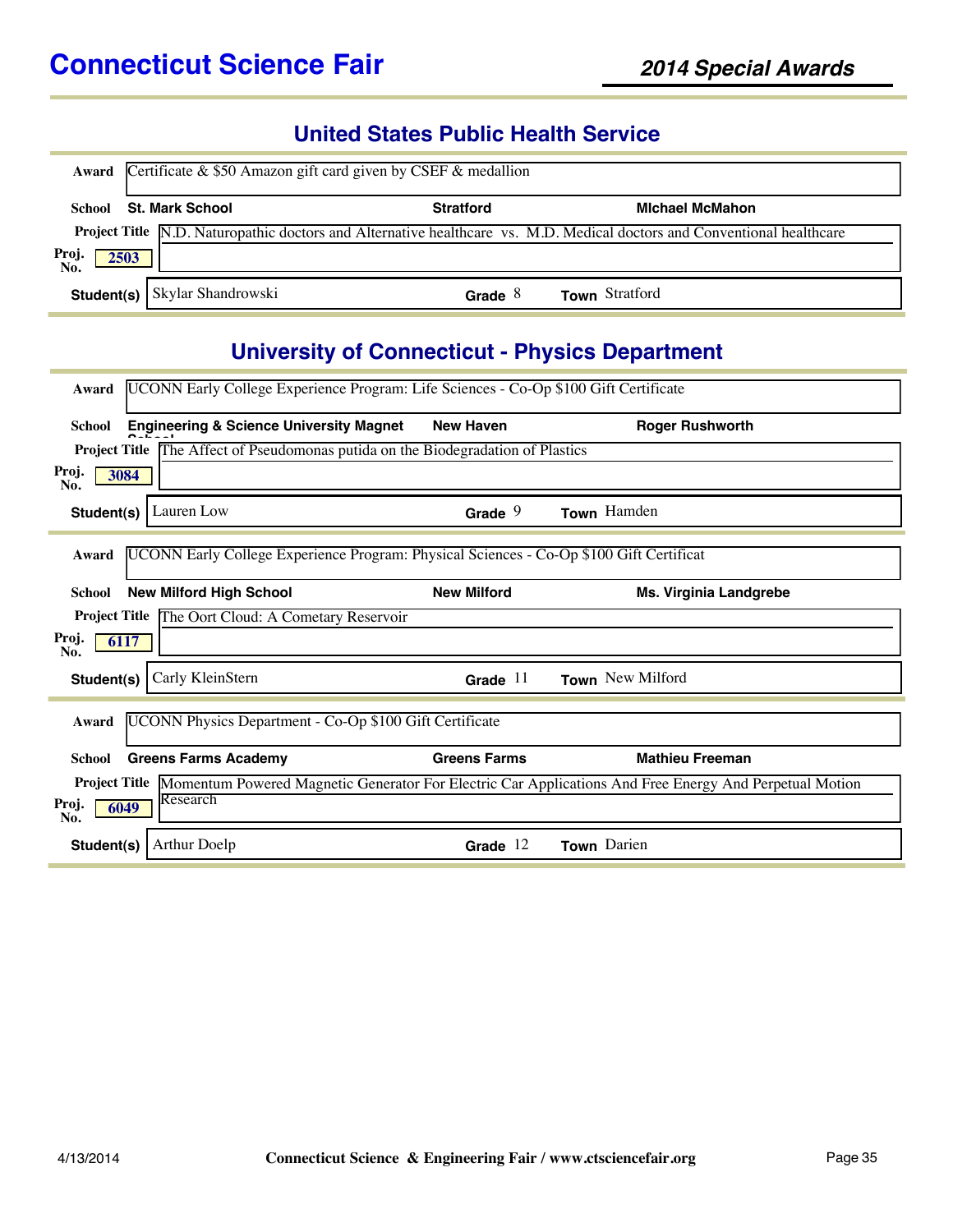### **United States Public Health Service**

|              | Award Certificate $&$ \$50 Amazon gift card given by CSEF $&$ medallion |                  |                                                                                                                                |  |  |  |
|--------------|-------------------------------------------------------------------------|------------------|--------------------------------------------------------------------------------------------------------------------------------|--|--|--|
| School       | <b>St. Mark School</b>                                                  | <b>Stratford</b> | <b>Michael McMahon</b>                                                                                                         |  |  |  |
|              |                                                                         |                  | <b>Project Title N.D. Naturopathic doctors and Alternative healthcare vs. M.D. Medical doctors and Conventional healthcare</b> |  |  |  |
| Proj.<br>No. | 2503                                                                    |                  |                                                                                                                                |  |  |  |
|              | Student(s) Skylar Shandrowski                                           | Grade $8$        | <b>Town</b> Stratford                                                                                                          |  |  |  |

### **University of Connecticut - Physics Department**

| Award         | UCONN Early College Experience Program: Life Sciences - Co-Op \$100 Gift Certificate    |                     |                                                                                                                      |
|---------------|-----------------------------------------------------------------------------------------|---------------------|----------------------------------------------------------------------------------------------------------------------|
| School        | <b>Engineering &amp; Science University Magnet</b>                                      | <b>New Haven</b>    | <b>Roger Rushworth</b>                                                                                               |
|               | Project Title The Affect of Pseudomonas putida on the Biodegradation of Plastics        |                     |                                                                                                                      |
| Proj.<br>No.  | 3084                                                                                    |                     |                                                                                                                      |
| Student(s)    | Lauren Low                                                                              | Grade $9$           | Town Hamden                                                                                                          |
| Award         | UCONN Early College Experience Program: Physical Sciences - Co-Op \$100 Gift Certificat |                     |                                                                                                                      |
| <b>School</b> | <b>New Milford High School</b>                                                          | <b>New Milford</b>  | Ms. Virginia Landgrebe                                                                                               |
|               | Project Title The Oort Cloud: A Cometary Reservoir                                      |                     |                                                                                                                      |
| Proj.<br>No.  | 6117                                                                                    |                     |                                                                                                                      |
| Student(s)    | Carly KleinStern                                                                        | Grade $11$          | Town New Milford                                                                                                     |
| Award         | UCONN Physics Department - Co-Op \$100 Gift Certificate                                 |                     |                                                                                                                      |
| School        | <b>Greens Farms Academy</b>                                                             | <b>Greens Farms</b> | <b>Mathieu Freeman</b>                                                                                               |
|               |                                                                                         |                     | Project Title Momentum Powered Magnetic Generator For Electric Car Applications And Free Energy And Perpetual Motion |
| Proj.<br>No.  | Research<br>6049                                                                        |                     |                                                                                                                      |
| Student(s)    | <b>Arthur Doelp</b>                                                                     | Grade $12$          | Town Darien                                                                                                          |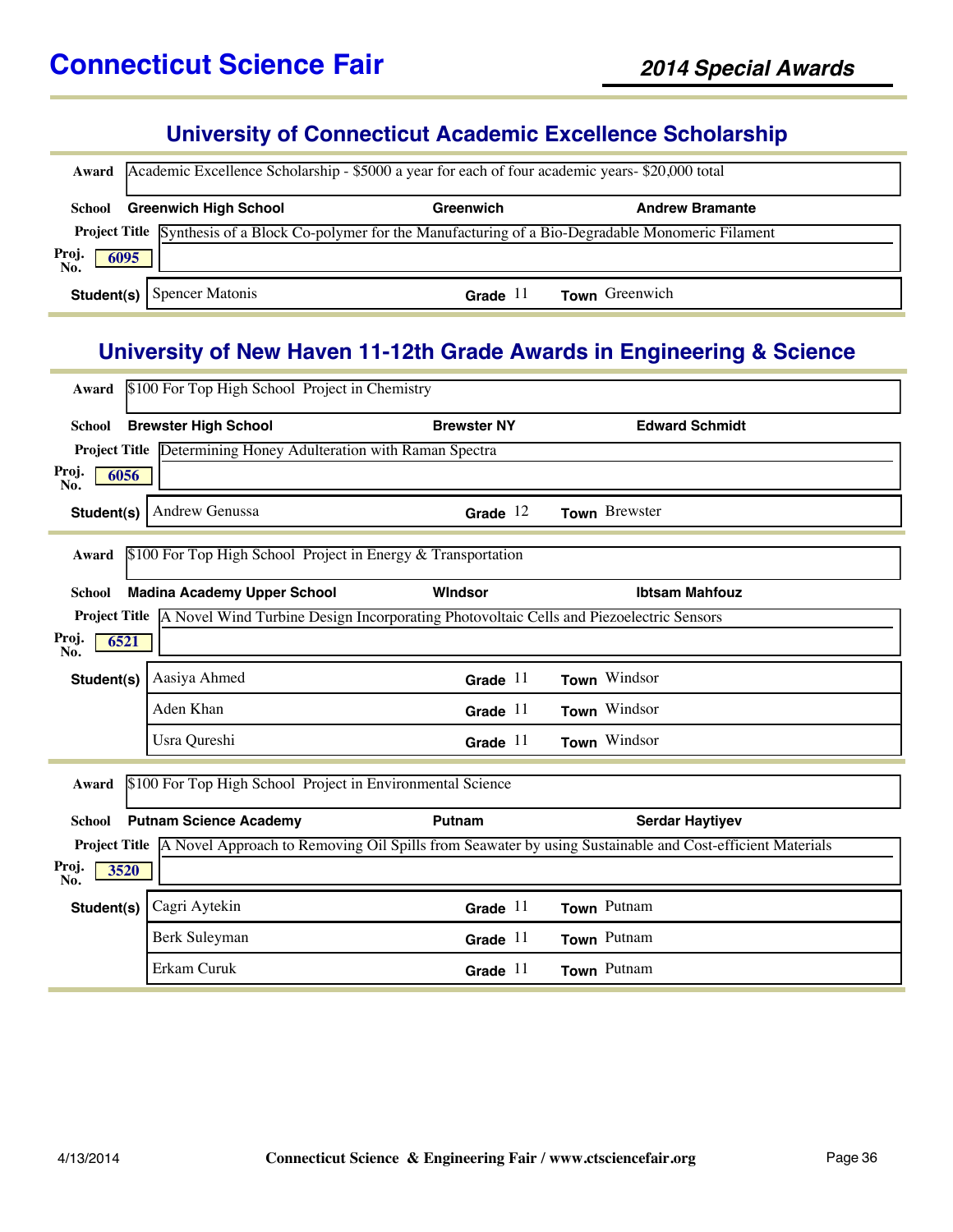# **University of Connecticut Academic Excellence Scholarship**

|                                | Award Academic Excellence Scholarship - \$5000 a year for each of four academic years- \$20,000 total |                     |                                                                                                            |  |  |  |
|--------------------------------|-------------------------------------------------------------------------------------------------------|---------------------|------------------------------------------------------------------------------------------------------------|--|--|--|
| School                         | <b>Greenwich High School</b>                                                                          | Greenwich           | <b>Andrew Bramante</b>                                                                                     |  |  |  |
|                                |                                                                                                       |                     | Project Title Synthesis of a Block Co-polymer for the Manufacturing of a Bio-Degradable Monomeric Filament |  |  |  |
| Proj.<br>No.<br>$\boxed{6095}$ |                                                                                                       |                     |                                                                                                            |  |  |  |
|                                | <b>Student(s)</b> Spencer Matonis                                                                     | Grade <sup>11</sup> | Town Greenwich                                                                                             |  |  |  |

### **University of New Haven 11-12th Grade Awards in Engineering & Science**

| Award                | \$100 For Top High School Project in Chemistry                                                         |                    |                                                                                                                              |
|----------------------|--------------------------------------------------------------------------------------------------------|--------------------|------------------------------------------------------------------------------------------------------------------------------|
| <b>School</b>        | <b>Brewster High School</b>                                                                            | <b>Brewster NY</b> | <b>Edward Schmidt</b>                                                                                                        |
|                      | Project Title Determining Honey Adulteration with Raman Spectra                                        |                    |                                                                                                                              |
| Proj.<br>6056<br>No. |                                                                                                        |                    |                                                                                                                              |
| Student(s)           | Andrew Genussa                                                                                         | Grade $12$         | Town Brewster                                                                                                                |
| Award                | \$100 For Top High School Project in Energy & Transportation                                           |                    |                                                                                                                              |
| <b>School</b>        | <b>Madina Academy Upper School</b>                                                                     | Windsor            | <b>Ibtsam Mahfouz</b>                                                                                                        |
|                      | Project Title   A Novel Wind Turbine Design Incorporating Photovoltaic Cells and Piezoelectric Sensors |                    |                                                                                                                              |
| Proj.<br>6521<br>No. |                                                                                                        |                    |                                                                                                                              |
| Student(s)           | Aasiya Ahmed                                                                                           | Grade $11$         | Town Windsor                                                                                                                 |
|                      | Aden Khan                                                                                              | Grade $11$         | Town Windsor                                                                                                                 |
|                      | Usra Qureshi                                                                                           | Grade $11$         | Town Windsor                                                                                                                 |
| Award                | \$100 For Top High School Project in Environmental Science                                             |                    |                                                                                                                              |
| <b>School</b>        | <b>Putnam Science Academy</b>                                                                          | Putnam             | <b>Serdar Haytiyev</b>                                                                                                       |
|                      |                                                                                                        |                    | <b>Project Title</b> A Novel Approach to Removing Oil Spills from Seawater by using Sustainable and Cost-efficient Materials |
| Proj.<br>3520<br>No. |                                                                                                        |                    |                                                                                                                              |
| Student(s)           | Cagri Aytekin                                                                                          | Grade $11$         | Town Putnam                                                                                                                  |
|                      | Berk Suleyman                                                                                          | Grade $11$         | Town Putnam                                                                                                                  |
|                      | Erkam Curuk                                                                                            | Grade $11$         | Town Putnam                                                                                                                  |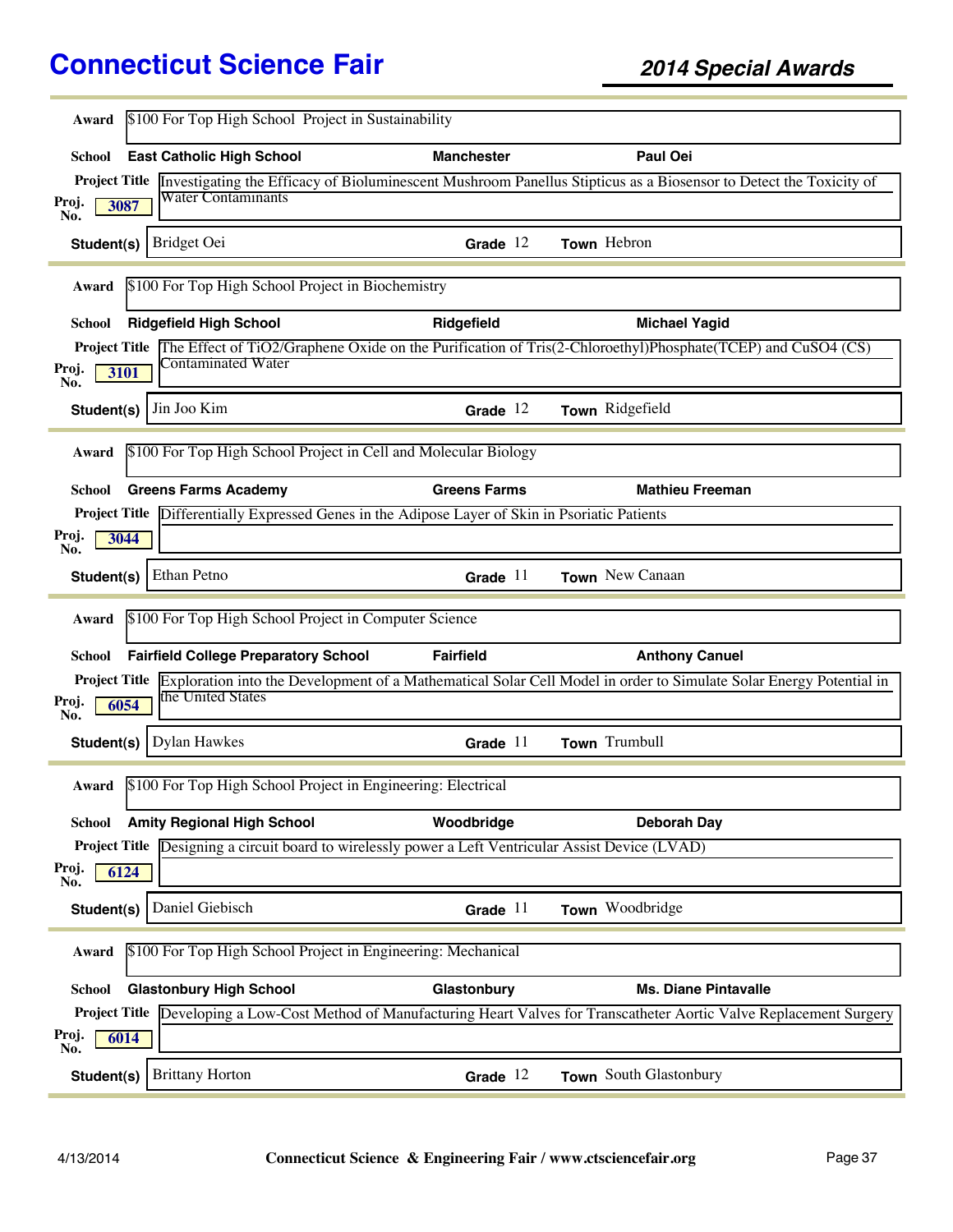| \$100 For Top High School Project in Sustainability<br>Award                                               |                     |                                                                                                                                         |
|------------------------------------------------------------------------------------------------------------|---------------------|-----------------------------------------------------------------------------------------------------------------------------------------|
| <b>East Catholic High School</b><br>School                                                                 | <b>Manchester</b>   | Paul Oei                                                                                                                                |
|                                                                                                            |                     | <b>Project Title</b> Investigating the Efficacy of Bioluminescent Mushroom Panellus Stipticus as a Biosensor to Detect the Toxicity of  |
| Water Contaminants<br>Proj.<br>3087<br>No.                                                                 |                     |                                                                                                                                         |
| Bridget Oei<br>Student(s)                                                                                  | Grade $12$          | Town Hebron                                                                                                                             |
| \$100 For Top High School Project in Biochemistry<br>Award                                                 |                     |                                                                                                                                         |
| <b>Ridgefield High School</b><br><b>School</b>                                                             | Ridgefield          | <b>Michael Yagid</b>                                                                                                                    |
|                                                                                                            |                     | Project Title The Effect of TiO2/Graphene Oxide on the Purification of Tris(2-Chloroethyl)Phosphate(TCEP) and CuSO4 (CS)                |
| Contaminated Water<br>Proj.<br>3101<br>No.                                                                 |                     |                                                                                                                                         |
| Jin Joo Kim<br>Student(s)                                                                                  | Grade $12$          | Town Ridgefield                                                                                                                         |
| \$100 For Top High School Project in Cell and Molecular Biology<br>Award                                   |                     |                                                                                                                                         |
| <b>Greens Farms Academy</b><br>School                                                                      | <b>Greens Farms</b> | <b>Mathieu Freeman</b>                                                                                                                  |
| <b>Project Title</b> Differentially Expressed Genes in the Adipose Layer of Skin in Psoriatic Patients     |                     |                                                                                                                                         |
| Proj.<br>3044<br>No.                                                                                       |                     |                                                                                                                                         |
| Ethan Petno<br>Student(s)                                                                                  | Grade $11$          | Town New Canaan                                                                                                                         |
|                                                                                                            |                     |                                                                                                                                         |
| \$100 For Top High School Project in Computer Science<br>Award                                             |                     |                                                                                                                                         |
| <b>Fairfield College Preparatory School</b><br>School                                                      | <b>Fairfield</b>    | <b>Anthony Canuel</b>                                                                                                                   |
|                                                                                                            |                     | <b>Project Title</b> Exploration into the Development of a Mathematical Solar Cell Model in order to Simulate Solar Energy Potential in |
| the United States<br>Proj.<br>6054<br>No.                                                                  |                     |                                                                                                                                         |
| <b>Dylan Hawkes</b><br>Student(s)                                                                          | Grade $11$          | Town Trumbull                                                                                                                           |
| \$100 For Top High School Project in Engineering: Electrical<br>Award                                      |                     |                                                                                                                                         |
| <b>Amity Regional High School</b><br>School                                                                | Woodbridge          | <b>Deborah Day</b>                                                                                                                      |
| <b>Project Title</b> Designing a circuit board to wirelessly power a Left Ventricular Assist Device (LVAD) |                     |                                                                                                                                         |
| Proj.<br>6124<br>No.                                                                                       |                     |                                                                                                                                         |
| Daniel Giebisch<br>Student(s)                                                                              | Grade $11$          | Town Woodbridge                                                                                                                         |
| \$100 For Top High School Project in Engineering: Mechanical<br>Award                                      |                     |                                                                                                                                         |
| <b>Glastonbury High School</b><br><b>School</b>                                                            | Glastonbury         | <b>Ms. Diane Pintavalle</b>                                                                                                             |
|                                                                                                            |                     | Project Title Developing a Low-Cost Method of Manufacturing Heart Valves for Transcatheter Aortic Valve Replacement Surgery             |
| Proj.<br>6014<br>No.                                                                                       |                     |                                                                                                                                         |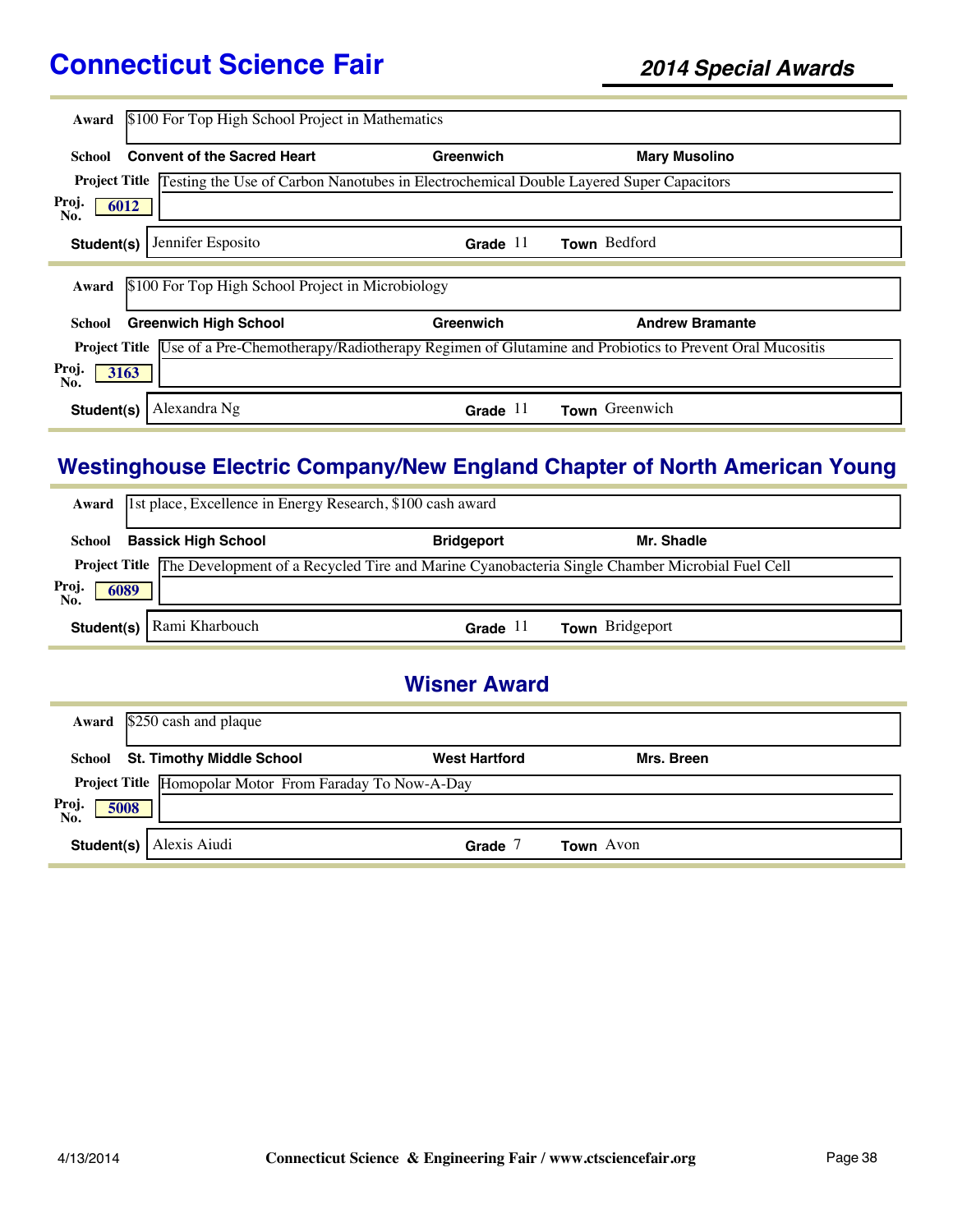| Award        | \$100 For Top High School Project in Mathematics                                                            |            |                                                                                                                           |
|--------------|-------------------------------------------------------------------------------------------------------------|------------|---------------------------------------------------------------------------------------------------------------------------|
| School       | <b>Convent of the Sacred Heart</b>                                                                          | Greenwich  | <b>Mary Musolino</b>                                                                                                      |
|              | <b>Project Title</b> Testing the Use of Carbon Nanotubes in Electrochemical Double Layered Super Capacitors |            |                                                                                                                           |
| Proj.<br>No. | 6012                                                                                                        |            |                                                                                                                           |
| Student(s)   | Jennifer Esposito                                                                                           | Grade $11$ | Town Bedford                                                                                                              |
|              |                                                                                                             |            |                                                                                                                           |
| Award        | \$100 For Top High School Project in Microbiology                                                           |            |                                                                                                                           |
| School       | <b>Greenwich High School</b>                                                                                | Greenwich  | <b>Andrew Bramante</b>                                                                                                    |
|              |                                                                                                             |            | <b>Project Title</b> Use of a Pre-Chemotherapy/Radiotherapy Regimen of Glutamine and Probiotics to Prevent Oral Mucositis |
| Proj.<br>No. | 3163                                                                                                        |            |                                                                                                                           |
| Student(s)   | Alexandra Ng                                                                                                | Grade $11$ | Town Greenwich                                                                                                            |

### **Westinghouse Electric Company/New England Chapter of North American Young**

|        | Award 1st place, Excellence in Energy Research, \$100 cash award                                                            |                   |                        |  |
|--------|-----------------------------------------------------------------------------------------------------------------------------|-------------------|------------------------|--|
| School | <b>Bassick High School</b>                                                                                                  | <b>Bridgeport</b> | Mr. Shadle             |  |
| Proj.  | <b>Project Title The Development of a Recycled Tire and Marine Cyanobacteria Single Chamber Microbial Fuel Cell</b><br>6089 |                   |                        |  |
| No.    | Student(s)   Rami Kharbouch                                                                                                 | Grade $11$        | <b>Town</b> Bridgeport |  |

### **Wisner Award**

|                      | <b>Award</b> $\sqrt{$250}$ cash and plaque              |                      |                  |  |
|----------------------|---------------------------------------------------------|----------------------|------------------|--|
| School               | <b>St. Timothy Middle School</b>                        | <b>West Hartford</b> | Mrs. Breen       |  |
|                      | Project Title Homopolar Motor From Faraday To Now-A-Day |                      |                  |  |
| Proj.<br>No.<br>5008 |                                                         |                      |                  |  |
|                      | <b>Student(s)</b> Alexis Aiudi                          | Grade                | <b>Town</b> Avon |  |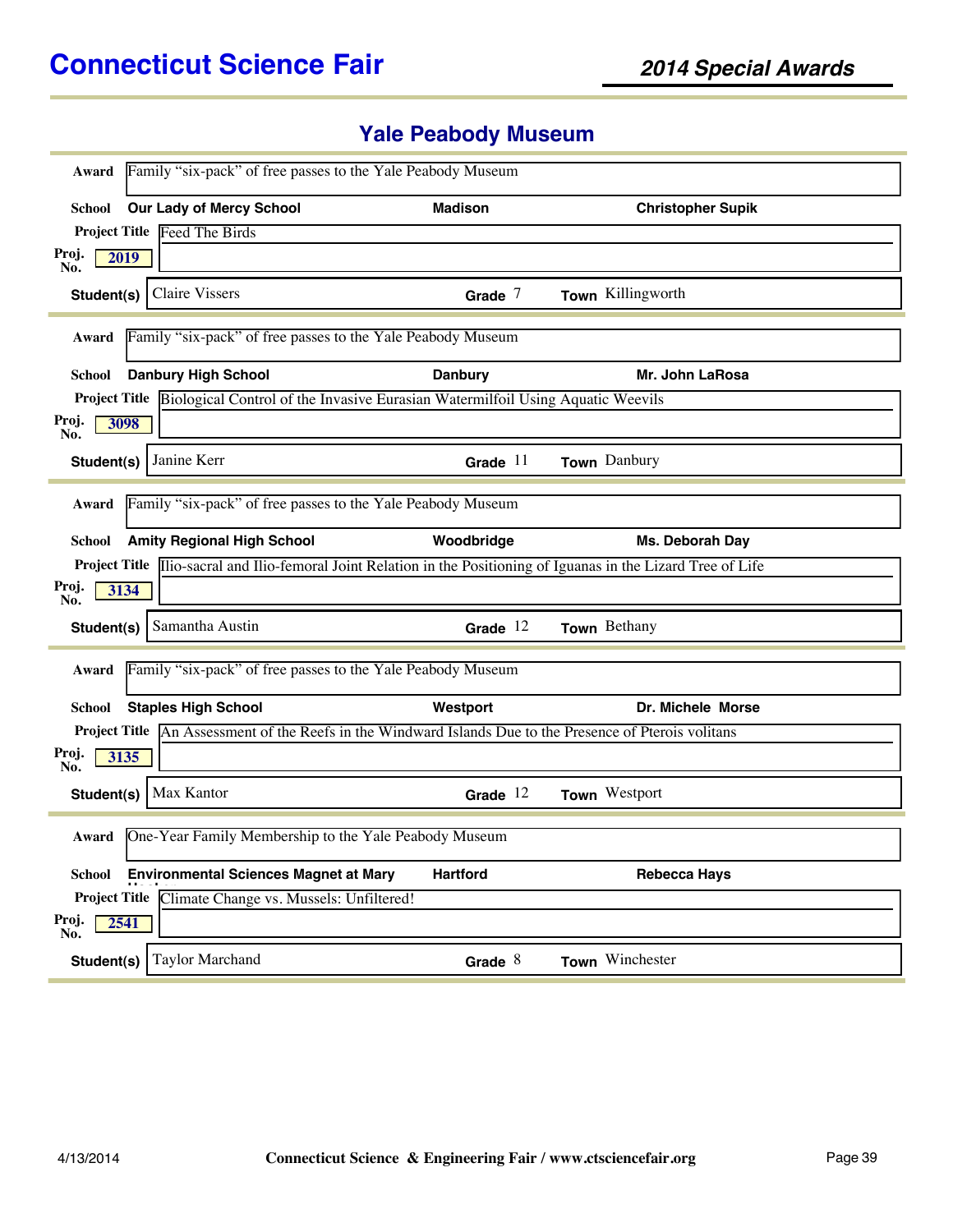# **Yale Peabody Museum**

| Award                | Family "six-pack" of free passes to the Yale Peabody Museum |                                                                                                                           |                          |
|----------------------|-------------------------------------------------------------|---------------------------------------------------------------------------------------------------------------------------|--------------------------|
| School               | <b>Our Lady of Mercy School</b>                             | <b>Madison</b>                                                                                                            | <b>Christopher Supik</b> |
|                      | Project Title Feed The Birds                                |                                                                                                                           |                          |
| Proj.                | 2019                                                        |                                                                                                                           |                          |
| No.<br>Student(s)    | <b>Claire Vissers</b>                                       | Grade $7$                                                                                                                 | Town Killingworth        |
| Award                | Family "six-pack" of free passes to the Yale Peabody Museum |                                                                                                                           |                          |
| School               | <b>Danbury High School</b>                                  | <b>Danbury</b>                                                                                                            | Mr. John LaRosa          |
|                      |                                                             | <b>Project Title</b> Biological Control of the Invasive Eurasian Watermilfoil Using Aquatic Weevils                       |                          |
| Proj.<br>No.         | 3098                                                        |                                                                                                                           |                          |
| Student(s)           | Janine Kerr                                                 | Grade $11$                                                                                                                | Town Danbury             |
| Award                | Family "six-pack" of free passes to the Yale Peabody Museum |                                                                                                                           |                          |
|                      |                                                             |                                                                                                                           |                          |
| School               | <b>Amity Regional High School</b>                           | Woodbridge                                                                                                                | Ms. Deborah Day          |
|                      |                                                             | <b>Project Title</b> Ilio-sacral and Ilio-femoral Joint Relation in the Positioning of Iguanas in the Lizard Tree of Life |                          |
| Proj.<br>3134<br>No. |                                                             |                                                                                                                           |                          |
| Student(s)           | Samantha Austin                                             | Grade $12$                                                                                                                | Town Bethany             |
| Award                | Family "six-pack" of free passes to the Yale Peabody Museum |                                                                                                                           |                          |
| School               | <b>Staples High School</b>                                  | Westport                                                                                                                  | Dr. Michele Morse        |
|                      |                                                             | <b>Project Title</b> An Assessment of the Reefs in the Windward Islands Due to the Presence of Pterois volitans           |                          |
| Proj.<br>No.         | 3135                                                        |                                                                                                                           |                          |
| Student(s)           | Max Kantor                                                  | Grade $12$                                                                                                                | Town Westport            |
| Award                | One-Year Family Membership to the Yale Peabody Museum       |                                                                                                                           |                          |
|                      | School Environmental Sciences Magnet at Mary                | <b>Hartford</b>                                                                                                           | <b>Rebecca Hays</b>      |
|                      | Project Title Climate Change vs. Mussels: Unfiltered!       |                                                                                                                           |                          |
| Proj.<br>2541<br>No. |                                                             |                                                                                                                           |                          |
| Student(s)           | Taylor Marchand                                             | Grade $8$                                                                                                                 | Town Winchester          |